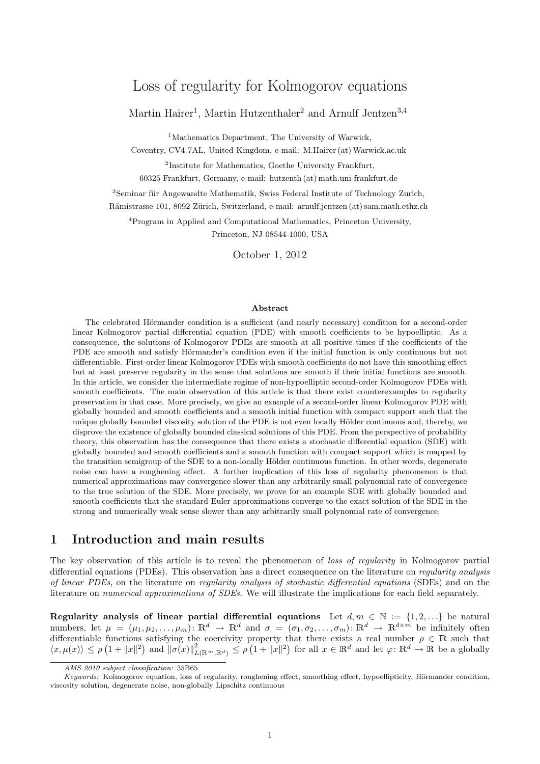# Loss of regularity for Kolmogorov equations

Martin Hairer<sup>1</sup>, Martin Hutzenthaler<sup>2</sup> and Arnulf Jentzen<sup>3,4</sup>

<sup>1</sup>Mathematics Department, The University of Warwick,

Coventry, CV4 7AL, United Kingdom, e-mail: M.Hairer (at) Warwick.ac.uk

<sup>2</sup>Institute for Mathematics, Goethe University Frankfurt, 60325 Frankfurt, Germany, e-mail: hutzenth (at) math.uni-frankfurt.de

<sup>3</sup>Seminar für Angewandte Mathematik, Swiss Federal Institute of Technology Zurich, Rämistrasse 101, 8092 Zürich, Switzerland, e-mail: arnulf.jentzen (at) sam.math.ethz.ch

<sup>4</sup>Program in Applied and Computational Mathematics, Princeton University, Princeton, NJ 08544-1000, USA

October 1, 2012

#### Abstract

The celebrated Hörmander condition is a sufficient (and nearly necessary) condition for a second-order linear Kolmogorov partial differential equation (PDE) with smooth coefficients to be hypoelliptic. As a consequence, the solutions of Kolmogorov PDEs are smooth at all positive times if the coefficients of the PDE are smooth and satisfy Hörmander's condition even if the initial function is only continuous but not differentiable. First-order linear Kolmogorov PDEs with smooth coefficients do not have this smoothing effect but at least preserve regularity in the sense that solutions are smooth if their initial functions are smooth. In this article, we consider the intermediate regime of non-hypoelliptic second-order Kolmogorov PDEs with smooth coefficients. The main observation of this article is that there exist counterexamples to regularity preservation in that case. More precisely, we give an example of a second-order linear Kolmogorov PDE with globally bounded and smooth coefficients and a smooth initial function with compact support such that the unique globally bounded viscosity solution of the PDE is not even locally Hölder continuous and, thereby, we disprove the existence of globally bounded classical solutions of this PDE. From the perspective of probability theory, this observation has the consequence that there exists a stochastic differential equation (SDE) with globally bounded and smooth coefficients and a smooth function with compact support which is mapped by the transition semigroup of the SDE to a non-locally Hölder continuous function. In other words, degenerate noise can have a roughening effect. A further implication of this loss of regularity phenomenon is that numerical approximations may convergence slower than any arbitrarily small polynomial rate of convergence to the true solution of the SDE. More precisely, we prove for an example SDE with globally bounded and smooth coefficients that the standard Euler approximations converge to the exact solution of the SDE in the strong and numerically weak sense slower than any arbitrarily small polynomial rate of convergence.

## 1 Introduction and main results

The key observation of this article is to reveal the phenomenon of loss of regularity in Kolmogorov partial differential equations (PDEs). This observation has a direct consequence on the literature on *regularity analysis* of linear PDEs, on the literature on regularity analysis of stochastic differential equations (SDEs) and on the literature on *numerical approximations of SDEs*. We will illustrate the implications for each field separately.

Regularity analysis of linear partial differential equations Let  $d, m \in \mathbb{N} := \{1, 2, ...\}$  be natural numbers, let  $\mu = (\mu_1, \mu_2, \dots, \mu_m) \colon \mathbb{R}^d \to \mathbb{R}^d$  and  $\sigma = (\sigma_1, \sigma_2, \dots, \sigma_m) \colon \mathbb{R}^d \to \mathbb{R}^{d \times m}$  be infinitely often differentiable functions satisfying the coercivity property that there exists a real number  $\rho \in \mathbb{R}$  such that  $\langle x, \mu(x) \rangle \leq \rho \left(1 + \|x\|^2\right)$  and  $\|\sigma(x)\|^2_{L(\mathbb{R}^m, \mathbb{R}^d)} \leq \rho \left(1 + \|x\|^2\right)$  for all  $x \in \mathbb{R}^d$  and let  $\varphi: \mathbb{R}^d \to \mathbb{R}$  be a globally

AMS 2010 subject classification: 35B65

Keywords: Kolmogorov equation, loss of regularity, roughening effect, smoothing effect, hypoellipticity, Hörmander condition, viscosity solution, degenerate noise, non-globally Lipschitz continuous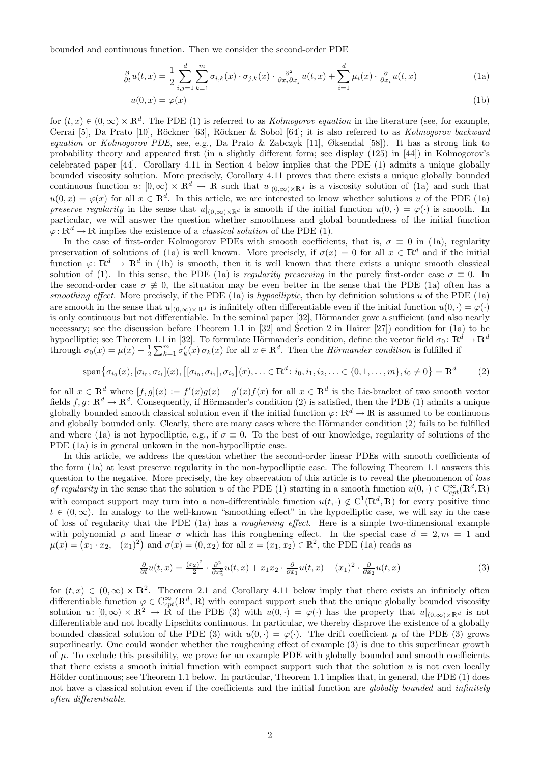bounded and continuous function. Then we consider the second-order PDE

$$
\frac{\partial}{\partial t}u(t,x) = \frac{1}{2} \sum_{i,j=1}^d \sum_{k=1}^m \sigma_{i,k}(x) \cdot \sigma_{j,k}(x) \cdot \frac{\partial^2}{\partial x_i \partial x_j} u(t,x) + \sum_{i=1}^d \mu_i(x) \cdot \frac{\partial}{\partial x_i} u(t,x)
$$
(1a)

$$
u(0,x) = \varphi(x) \tag{1b}
$$

for  $(t, x) \in (0, \infty) \times \mathbb{R}^d$ . The PDE (1) is referred to as *Kolmogorov equation* in the literature (see, for example, Cerrai [5], Da Prato [10], Röckner [63], Röckner & Sobol [64]; it is also referred to as Kolmogorov backward equation or Kolmogorov PDE, see, e.g., Da Prato & Zabczyk [11], Øksendal [58]). It has a strong link to probability theory and appeared first (in a slightly different form; see display (125) in [44]) in Kolmogorov's celebrated paper [44]. Corollary 4.11 in Section 4 below implies that the PDE (1) admits a unique globally bounded viscosity solution. More precisely, Corollary 4.11 proves that there exists a unique globally bounded continuous function  $u: [0, \infty) \times \mathbb{R}^d \to \mathbb{R}$  such that  $u|_{(0, \infty) \times \mathbb{R}^d}$  is a viscosity solution of (1a) and such that  $u(0,x) = \varphi(x)$  for all  $x \in \mathbb{R}^d$ . In this article, we are interested to know whether solutions u of the PDE (1a) preserve regularity in the sense that  $u|_{(0,\infty)\times\mathbb{R}^d}$  is smooth if the initial function  $u(0,\cdot) = \varphi(\cdot)$  is smooth. In particular, we will answer the question whether smoothness and global boundedness of the initial function  $\varphi: \mathbb{R}^d \to \mathbb{R}$  implies the existence of a *classical solution* of the PDE (1).

In the case of first-order Kolmogorov PDEs with smooth coefficients, that is,  $\sigma \equiv 0$  in (1a), regularity preservation of solutions of (1a) is well known. More precisely, if  $\sigma(x) = 0$  for all  $x \in \mathbb{R}^d$  and if the initial function  $\varphi: \mathbb{R}^d \to \mathbb{R}^d$  in (1b) is smooth, then it is well known that there exists a unique smooth classical solution of (1). In this sense, the PDE (1a) is regularity preserving in the purely first-order case  $\sigma \equiv 0$ . In the second-order case  $\sigma \neq 0$ , the situation may be even better in the sense that the PDE (1a) often has a smoothing effect. More precisely, if the PDE (1a) is hypoelliptic, then by definition solutions u of the PDE (1a) are smooth in the sense that  $u|_{(0,\infty)\times\mathbb{R}^d}$  is infinitely often differentiable even if the initial function  $u(0,\cdot) = \varphi(\cdot)$ is only continuous but not differentiable. In the seminal paper [32], Hörmander gave a sufficient (and also nearly necessary; see the discussion before Theorem 1.1 in [32] and Section 2 in Hairer [27]) condition for (1a) to be hypoelliptic; see Theorem 1.1 in [32]. To formulate Hörmander's condition, define the vector field  $\sigma_0 \colon \mathbb{R}^d \to \mathbb{R}^d$ through  $\sigma_0(x) = \mu(x) - \frac{1}{2} \sum_{k=1}^m \sigma'_k(x) \sigma_k(x)$  for all  $x \in \mathbb{R}^d$ . Then the *Hörmander condition* is fulfilled if

$$
\text{span}\{\sigma_{i_0}(x), [\sigma_{i_0}, \sigma_{i_1}](x), \left[ [\sigma_{i_0}, \sigma_{i_1}], \sigma_{i_2} \right](x), \dots \in \mathbb{R}^d \colon i_0, i_1, i_2, \dots \in \{0, 1, \dots, m\}, i_0 \neq 0 \} = \mathbb{R}^d
$$
 (2)

for all  $x \in \mathbb{R}^d$  where  $[f, g](x) := f'(x)g(x) - g'(x)f(x)$  for all  $x \in \mathbb{R}^d$  is the Lie-bracket of two smooth vector fields  $f, g \colon \mathbb{R}^d \to \mathbb{R}^d$ . Consequently, if Hörmander's condition (2) is satisfied, then the PDE (1) admits a unique globally bounded smooth classical solution even if the initial function  $\varphi \colon \mathbb{R}^d \to \mathbb{R}$  is assumed to be continuous and globally bounded only. Clearly, there are many cases where the Hörmander condition (2) fails to be fulfilled and where (1a) is not hypoelliptic, e.g., if  $\sigma \equiv 0$ . To the best of our knowledge, regularity of solutions of the PDE (1a) is in general unkown in the non-hypoelliptic case.

In this article, we address the question whether the second-order linear PDEs with smooth coefficients of the form (1a) at least preserve regularity in the non-hypoelliptic case. The following Theorem 1.1 answers this question to the negative. More precisely, the key observation of this article is to reveal the phenomenon of loss of regularity in the sense that the solution u of the PDE (1) starting in a smooth function  $u(0, \cdot) \in C_{cpt}^{\infty}(\mathbb{R}^d, \mathbb{R})$ with compact support may turn into a non-differentiable function  $u(t, \cdot) \notin C^1(\mathbb{R}^d, \mathbb{R})$  for every positive time  $t \in (0,\infty)$ . In analogy to the well-known "smoothing effect" in the hypoelliptic case, we will say in the case of loss of regularity that the PDE (1a) has a roughening effect. Here is a simple two-dimensional example with polynomial  $\mu$  and linear  $\sigma$  which has this roughening effect. In the special case  $d = 2, m = 1$  and  $\mu(x) = (x_1 \cdot x_2, -(x_1)^2)$  and  $\sigma(x) = (0, x_2)$  for all  $x = (x_1, x_2) \in \mathbb{R}^2$ , the PDE (1a) reads as

$$
\frac{\partial}{\partial t}u(t,x) = \frac{(x_2)^2}{2} \cdot \frac{\partial^2}{\partial x_2^2}u(t,x) + x_1x_2 \cdot \frac{\partial}{\partial x_1}u(t,x) - (x_1)^2 \cdot \frac{\partial}{\partial x_2}u(t,x) \tag{3}
$$

for  $(t, x) \in (0, \infty) \times \mathbb{R}^2$ . Theorem 2.1 and Corollary 4.11 below imply that there exists an infinitely often differentiable function  $\varphi \in C_{cpt}^{\infty}(\mathbb{R}^d, \mathbb{R})$  with compact support such that the unique globally bounded viscosity solution  $u: [0,\infty) \times \mathbb{R}^2 \to \mathbb{R}$  of the PDE (3) with  $u(0,\cdot) = \varphi(\cdot)$  has the property that  $u|_{(0,\infty)\times\mathbb{R}^d}$  is not differentiable and not locally Lipschitz continuous. In particular, we thereby disprove the existence of a globally bounded classical solution of the PDE (3) with  $u(0, \cdot) = \varphi(\cdot)$ . The drift coefficient  $\mu$  of the PDE (3) grows superlinearly. One could wonder whether the roughening effect of example (3) is due to this superlinear growth of  $\mu$ . To exclude this possibility, we prove for an example PDE with globally bounded and smooth coefficients that there exists a smooth initial function with compact support such that the solution  $u$  is not even locally Hölder continuous; see Theorem 1.1 below. In particular, Theorem 1.1 implies that, in general, the PDE  $(1)$  does not have a classical solution even if the coefficients and the initial function are globally bounded and infinitely often differentiable.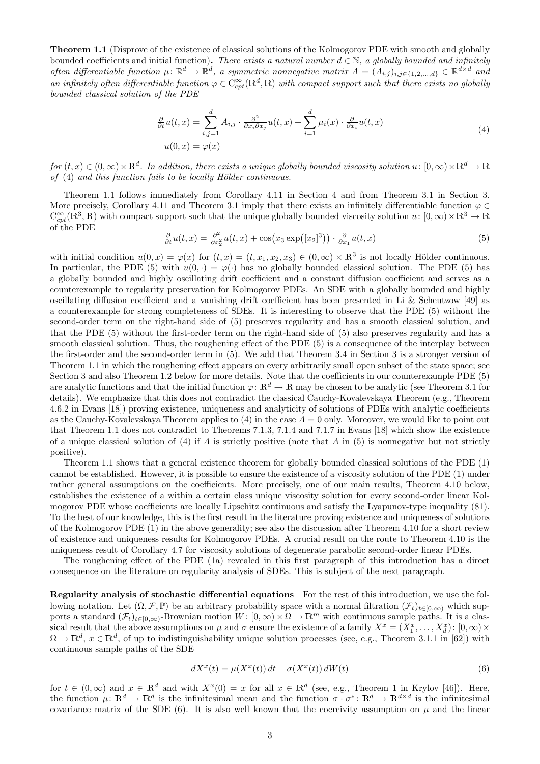Theorem 1.1 (Disprove of the existence of classical solutions of the Kolmogorov PDE with smooth and globally bounded coefficients and initial function). There exists a natural number  $d \in \mathbb{N}$ , a globally bounded and infinitely often differentiable function  $\mu: \mathbb{R}^d \to \mathbb{R}^d$ , a symmetric nonnegative matrix  $A = (A_{i,j})_{i,j \in \{1,2,\ldots,d\}} \in \mathbb{R}^{d \times d}$  and an infinitely often differentiable function  $\varphi \in C_{cpt}^{\infty}(\mathbb{R}^d,\mathbb{R})$  with compact support such that there exists no globally bounded classical solution of the PDE

$$
\frac{\partial}{\partial t}u(t,x) = \sum_{i,j=1}^d A_{i,j} \cdot \frac{\partial^2}{\partial x_i \partial x_j}u(t,x) + \sum_{i=1}^d \mu_i(x) \cdot \frac{\partial}{\partial x_i}u(t,x)
$$
\n
$$
u(0,x) = \varphi(x)
$$
\n(4)

 $for (t, x) \in (0, \infty) \times \mathbb{R}^d$ . In addition, there exists a unique globally bounded viscosity solution  $u: [0, \infty) \times \mathbb{R}^d \to \mathbb{R}$ of  $(4)$  and this function fails to be locally Hölder continuous.

Theorem 1.1 follows immediately from Corollary 4.11 in Section 4 and from Theorem 3.1 in Section 3. More precisely, Corollary 4.11 and Theorem 3.1 imply that there exists an infinitely differentiable function  $\varphi \in$  $C_{cpt}^\infty(\mathbb{R}^3,\mathbb{R})$  with compact support such that the unique globally bounded viscosity solution  $u\colon[0,\infty)\times\mathbb{R}^3\to\mathbb{R}$ of the PDE

$$
\frac{\partial}{\partial t}u(t,x) = \frac{\partial^2}{\partial x_2^2}u(t,x) + \cos\left(x_3 \exp\left([x_2]^3\right)\right) \cdot \frac{\partial}{\partial x_1}u(t,x) \tag{5}
$$

with initial condition  $u(0, x) = \varphi(x)$  for  $(t, x) = (t, x_1, x_2, x_3) \in (0, \infty) \times \mathbb{R}^3$  is not locally Hölder continuous. In particular, the PDE (5) with  $u(0, \cdot) = \varphi(\cdot)$  has no globally bounded classical solution. The PDE (5) has a globally bounded and highly oscillating drift coefficient and a constant diffusion coefficient and serves as a counterexample to regularity preservation for Kolmogorov PDEs. An SDE with a globally bounded and highly oscillating diffusion coefficient and a vanishing drift coefficient has been presented in Li & Scheutzow [49] as a counterexample for strong completeness of SDEs. It is interesting to observe that the PDE (5) without the second-order term on the right-hand side of (5) preserves regularity and has a smooth classical solution, and that the PDE (5) without the first-order term on the right-hand side of (5) also preserves regularity and has a smooth classical solution. Thus, the roughening effect of the PDE (5) is a consequence of the interplay between the first-order and the second-order term in (5). We add that Theorem 3.4 in Section 3 is a stronger version of Theorem 1.1 in which the roughening effect appears on every arbitrarily small open subset of the state space; see Section 3 and also Theorem 1.2 below for more details. Note that the coefficients in our counterexample PDE (5) are analytic functions and that the initial function  $\varphi: \mathbb{R}^d \to \mathbb{R}$  may be chosen to be analytic (see Theorem 3.1 for details). We emphasize that this does not contradict the classical Cauchy-Kovalevskaya Theorem (e.g., Theorem 4.6.2 in Evans [18]) proving existence, uniqueness and analyticity of solutions of PDEs with analytic coefficients as the Cauchy-Kovalevskaya Theorem applies to  $(4)$  in the case  $A = 0$  only. Moreover, we would like to point out that Theorem 1.1 does not contradict to Theorems 7.1.3, 7.1.4 and 7.1.7 in Evans [18] which show the existence of a unique classical solution of (4) if A is strictly positive (note that A in  $(5)$  is nonnegative but not strictly positive).

Theorem 1.1 shows that a general existence theorem for globally bounded classical solutions of the PDE (1) cannot be established. However, it is possible to ensure the existence of a viscosity solution of the PDE (1) under rather general assumptions on the coefficients. More precisely, one of our main results, Theorem 4.10 below, establishes the existence of a within a certain class unique viscosity solution for every second-order linear Kolmogorov PDE whose coefficients are locally Lipschitz continuous and satisfy the Lyapunov-type inequality (81). To the best of our knowledge, this is the first result in the literature proving existence and uniqueness of solutions of the Kolmogorov PDE (1) in the above generality; see also the discussion after Theorem 4.10 for a short review of existence and uniqueness results for Kolmogorov PDEs. A crucial result on the route to Theorem 4.10 is the uniqueness result of Corollary 4.7 for viscosity solutions of degenerate parabolic second-order linear PDEs.

The roughening effect of the PDE (1a) revealed in this first paragraph of this introduction has a direct consequence on the literature on regularity analysis of SDEs. This is subject of the next paragraph.

Regularity analysis of stochastic differential equations For the rest of this introduction, we use the following notation. Let  $(\Omega, \mathcal{F}, \mathbb{P})$  be an arbitrary probability space with a normal filtration  $(\mathcal{F}_t)_{t\in[0,\infty)}$  which supports a standard  $(\mathcal{F}_t)_{t\in[0,\infty)}$ -Brownian motion  $W: [0,\infty)\times\Omega\to\mathbb{R}^m$  with continuous sample paths. It is a classical result that the above assumptions on  $\mu$  and  $\sigma$  ensure the existence of a family  $X^x = (X_1^x, \ldots, X_d^x)$ :  $[0, \infty) \times$  $\Omega \to \mathbb{R}^d$ ,  $x \in \mathbb{R}^d$ , of up to indistinguishability unique solution processes (see, e.g., Theorem 3.1.1 in [62]) with continuous sample paths of the SDE

$$
dX^{x}(t) = \mu(X^{x}(t)) dt + \sigma(X^{x}(t)) dW(t)
$$
\n
$$
(6)
$$

for  $t \in (0,\infty)$  and  $x \in \mathbb{R}^d$  and with  $X^x(0) = x$  for all  $x \in \mathbb{R}^d$  (see, e.g., Theorem 1 in Krylov [46]). Here, the function  $\mu: \mathbb{R}^d \to \mathbb{R}^d$  is the infinitesimal mean and the function  $\sigma \cdot \sigma^* \colon \mathbb{R}^d \to \mathbb{R}^{d \times d}$  is the infinitesimal covariance matrix of the SDE (6). It is also well known that the coercivity assumption on  $\mu$  and the linear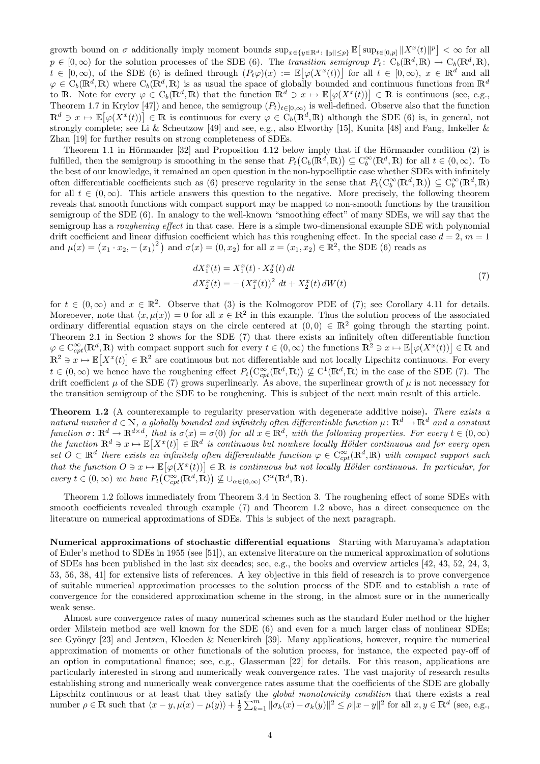growth bound on  $\sigma$  additionally imply moment bounds  $\sup_{x \in \{y \in \mathbb{R}^d : ||y|| \leq p\}} \mathbb{E} \big[ \sup_{t \in [0,p]} ||X^x(t)||^p \big] < \infty$  for all  $p \in [0, \infty)$  for the solution processes of the SDE (6). The transition semigroup  $P_t: C_b(\mathbb{R}^d, \mathbb{R}) \to C_b(\mathbb{R}^d, \mathbb{R}),$  $t \in [0,\infty)$ , of the SDE (6) is defined through  $(P_t\varphi)(x) := \mathbb{E}[\varphi(X^x(t))]$  for all  $t \in [0,\infty)$ ,  $x \in \mathbb{R}^d$  and all  $\varphi \in C_b(\mathbb{R}^d, \mathbb{R})$  where  $C_b(\mathbb{R}^d, \mathbb{R})$  is as usual the space of globally bounded and continuous functions from  $\mathbb{R}^d$ to R. Note for every  $\varphi \in C_b(\mathbb{R}^d, \mathbb{R})$  that the function  $\mathbb{R}^d \ni x \mapsto \mathbb{E}[\varphi(X^x(t))] \in \mathbb{R}$  is continuous (see, e.g., Theorem 1.7 in Krylov [47]) and hence, the semigroup  $(P_t)_{t\in[0,\infty)}$  is well-defined. Observe also that the function  $\mathbb{R}^d \ni x \mapsto \mathbb{E}[\varphi(X^x(t))] \in \mathbb{R}$  is continuous for every  $\varphi \in C_b(\mathbb{R}^d, \mathbb{R})$  although the SDE (6) is, in general, not strongly complete; see Li & Scheutzow [49] and see, e.g., also Elworthy [15], Kunita [48] and Fang, Imkeller & Zhan [19] for further results on strong completeness of SDEs.

Theorem 1.1 in Hörmander  $[32]$  and Proposition 4.12 below imply that if the Hörmander condition  $(2)$  is fulfilled, then the semigroup is smoothing in the sense that  $P_t(C_b(\mathbb{R}^d,\mathbb{R})) \subseteq C_b^{\infty}(\mathbb{R}^d,\mathbb{R})$  for all  $t \in (0,\infty)$ . To the best of our knowledge, it remained an open question in the non-hypoelliptic case whether SDEs with infinitely often differentiable coefficients such as (6) preserve regularity in the sense that  $P_t(C_b^{\infty}(\mathbb{R}^d,\mathbb{R})) \subseteq C_b^{\infty}(\mathbb{R}^d,\mathbb{R})$ for all  $t \in (0,\infty)$ . This article answers this question to the negative. More precisely, the following theorem reveals that smooth functions with compact support may be mapped to non-smooth functions by the transition semigroup of the SDE (6). In analogy to the well-known "smoothing effect" of many SDEs, we will say that the semigroup has a *roughening effect* in that case. Here is a simple two-dimensional example SDE with polynomial drift coefficient and linear diffusion coefficient which has this roughening effect. In the special case  $d = 2$ ,  $m = 1$ and  $\mu(x) = (x_1 \cdot x_2, -(x_1)^2)$  and  $\sigma(x) = (0, x_2)$  for all  $x = (x_1, x_2) \in \mathbb{R}^2$ , the SDE (6) reads as

$$
dX_1^x(t) = X_1^x(t) \cdot X_2^x(t) dt
$$
  
\n
$$
dX_2^x(t) = -(X_1^x(t))^2 dt + X_2^x(t) dW(t)
$$
\n(7)

for  $t \in (0,\infty)$  and  $x \in \mathbb{R}^2$ . Observe that (3) is the Kolmogorov PDE of (7); see Corollary 4.11 for details. Moreoever, note that  $\langle x, \mu(x) \rangle = 0$  for all  $x \in \mathbb{R}^2$  in this example. Thus the solution process of the associated ordinary differential equation stays on the circle centered at  $(0, 0) \in \mathbb{R}^2$  going through the starting point. Theorem 2.1 in Section 2 shows for the SDE (7) that there exists an infinitely often differentiable function  $\varphi \in C^{\infty}_{cpt}(\mathbb{R}^d,\mathbb{R})$  with compact support such for every  $t \in (0,\infty)$  the functions  $\mathbb{R}^2 \ni x \mapsto \mathbb{E}[\varphi(X^x(t))] \in \mathbb{R}$  and  $\mathbb{R}^2 \ni x \mapsto \mathbb{E}[X^x(t)] \in \mathbb{R}^2$  are continuous but not differentiable and not locally Lipschitz continuous. For every  $t \in (0,\infty)$  we hence have the roughening effect  $P_t(C_{cpt}^{\infty}(\mathbb{R}^d,\mathbb{R})) \not\subseteq C^1(\mathbb{R}^d,\mathbb{R})$  in the case of the SDE (7). The drift coefficient  $\mu$  of the SDE (7) grows superlinearly. As above, the superlinear growth of  $\mu$  is not necessary for the transition semigroup of the SDE to be roughening. This is subject of the next main result of this article.

**Theorem 1.2** (A counterexample to regularity preservation with degenerate additive noise). There exists a natural number  $d \in \mathbb{N}$ , a globally bounded and infinitely often differentiable function  $\mu: \mathbb{R}^d \to \mathbb{R}^d$  and a constant function  $\sigma: \mathbb{R}^d \to \mathbb{R}^{d \times d}$ , that is  $\sigma(x) = \sigma(0)$  for all  $x \in \mathbb{R}^d$ , with the following properties. For every  $t \in (0, \infty)$ the function  $\mathbb{R}^d \ni x \mapsto \mathbb{E}[X^x(t)] \in \mathbb{R}^d$  is continuous but nowhere locally Hölder continuous and for every open set  $O \subset \mathbb{R}^d$  there exists an infinitely often differentiable function  $\varphi \in C_{cpt}^{\infty}(\mathbb{R}^d, \mathbb{R})$  with compact support such that the function  $O \ni x \mapsto \mathbb{E}[\varphi(X^x(t))] \in \mathbb{R}$  is continuous but not locally Hölder continuous. In particular, for every  $t \in (0, \infty)$  we have  $P_t(C_{cpt}^{\infty}(\mathbb{R}^d, \mathbb{R})) \not\subseteq \cup_{\alpha \in (0, \infty)} C^{\alpha}(\mathbb{R}^d, \mathbb{R}).$ 

Theorem 1.2 follows immediately from Theorem 3.4 in Section 3. The roughening effect of some SDEs with smooth coefficients revealed through example (7) and Theorem 1.2 above, has a direct consequence on the literature on numerical approximations of SDEs. This is subject of the next paragraph.

Numerical approximations of stochastic differential equations Starting with Maruyama's adaptation of Euler's method to SDEs in 1955 (see [51]), an extensive literature on the numerical approximation of solutions of SDEs has been published in the last six decades; see, e.g., the books and overview articles [42, 43, 52, 24, 3, 53, 56, 38, 41] for extensive lists of references. A key objective in this field of research is to prove convergence of suitable numerical approximation processes to the solution process of the SDE and to establish a rate of convergence for the considered approximation scheme in the strong, in the almost sure or in the numerically weak sense.

Almost sure convergence rates of many numerical schemes such as the standard Euler method or the higher order Milstein method are well known for the SDE (6) and even for a much larger class of nonlinear SDEs; see Gyöngy [23] and Jentzen, Kloeden & Neuenkirch [39]. Many applications, however, require the numerical approximation of moments or other functionals of the solution process, for instance, the expected pay-off of an option in computational finance; see, e.g., Glasserman [22] for details. For this reason, applications are particularly interested in strong and numerically weak convergence rates. The vast majority of research results establishing strong and numerically weak convergence rates assume that the coefficients of the SDE are globally Lipschitz continuous or at least that they satisfy the *global monotonicity condition* that there exists a real number  $\rho \in \mathbb{R}$  such that  $\langle x - y, \mu(x) - \mu(y) \rangle + \frac{1}{2} \sum_{k=1}^{m} \|\sigma_k(x) - \sigma_k(y)\|^2 \leq \rho \|x - y\|^2$  for all  $x, y \in \mathbb{R}^d$  (see, e.g.,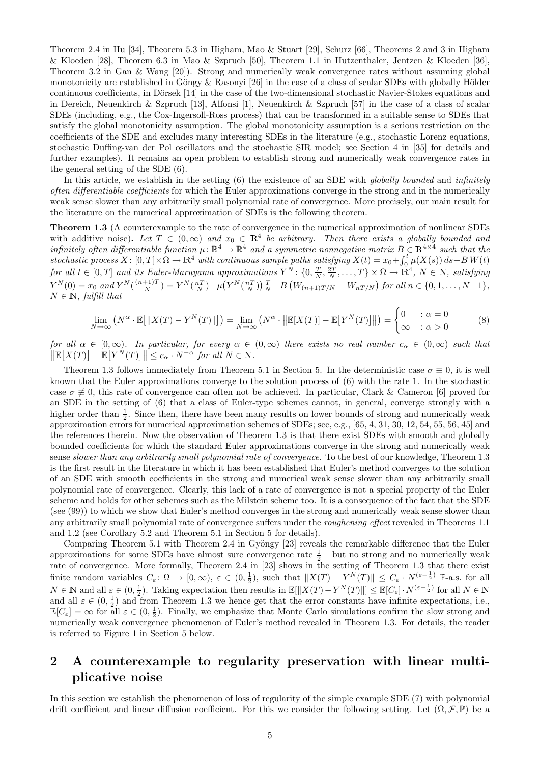Theorem 2.4 in Hu [34], Theorem 5.3 in Higham, Mao & Stuart [29], Schurz [66], Theorems 2 and 3 in Higham & Kloeden [28], Theorem 6.3 in Mao & Szpruch [50], Theorem 1.1 in Hutzenthaler, Jentzen & Kloeden [36], Theorem 3.2 in Gan & Wang [20]). Strong and numerically weak convergence rates without assuming global monotonicity are established in Göngy  $&$  Rasonyi [26] in the case of a class of scalar SDEs with globally Hölder continuous coefficients, in Dörsek [14] in the case of the two-dimensional stochastic Navier-Stokes equations and in Dereich, Neuenkirch & Szpruch [13], Alfonsi [1], Neuenkirch & Szpruch [57] in the case of a class of scalar SDEs (including, e.g., the Cox-Ingersoll-Ross process) that can be transformed in a suitable sense to SDEs that satisfy the global monotonicity assumption. The global monotonicity assumption is a serious restriction on the coefficients of the SDE and excludes many interesting SDEs in the literature (e.g., stochastic Lorenz equations, stochastic Duffing-van der Pol oscillators and the stochastic SIR model; see Section 4 in [35] for details and further examples). It remains an open problem to establish strong and numerically weak convergence rates in the general setting of the SDE (6).

In this article, we establish in the setting (6) the existence of an SDE with *globally bounded* and *infinitely* often differentiable coefficients for which the Euler approximations converge in the strong and in the numerically weak sense slower than any arbitrarily small polynomial rate of convergence. More precisely, our main result for the literature on the numerical approximation of SDEs is the following theorem.

Theorem 1.3 (A counterexample to the rate of convergence in the numerical approximation of nonlinear SDEs with additive noise). Let  $T \in (0,\infty)$  and  $x_0 \in \mathbb{R}^4$  be arbitrary. Then there exists a globally bounded and infinitely often differentiable function  $\mu \colon \mathbb{R}^4 \to \mathbb{R}^4$  and a symmetric nonnegative matrix  $B \in \mathbb{R}^{4 \times 4}$  such that the  $stochastic process X: [0, T] \times \Omega \to \mathbb{R}^4$  with continuous sample paths satisfying  $X(t) = x_0 + \int_0^t \mu(X(s)) ds + BW(t)$ for all  $t \in [0,T]$  and its Euler-Maruyama approximations  $Y^N$ :  $\{0,\frac{T}{N},\frac{2T}{N},\ldots,T\} \times \Omega \to \mathbb{R}^4$ ,  $N \in \mathbb{N}$ , satisfying  $Y^{N}(0) = x_0$  and  $Y^{N}(\frac{(n+1)T}{N})$  $\frac{(-1)^{N+1}}{N}$  =  $Y^{N}(\frac{nT}{N})+\mu(Y^{N}(\frac{nT}{N}))\frac{T}{N}+B\left(W_{(n+1)T/N}-W_{nT/N}\right)$  for all  $n \in \{0,1,\ldots,N-1\},$  $N \in \mathbb{N}$ , fulfill that

$$
\lim_{N \to \infty} \left( N^{\alpha} \cdot \mathbb{E} \left[ \|X(T) - Y^{N}(T)\| \right] \right) = \lim_{N \to \infty} \left( N^{\alpha} \cdot \left\| \mathbb{E} [X(T)] - \mathbb{E} \left[ Y^{N}(T) \right] \right\| \right) = \begin{cases} 0 & : \alpha = 0 \\ \infty & : \alpha > 0 \end{cases} \tag{8}
$$

for all  $\alpha \in [0,\infty)$ . In particular, for every  $\alpha \in (0,\infty)$  there exists no real number  $c_{\alpha} \in (0,\infty)$  such that  $\left\| \mathbb{E}\left[X(T)\right] - \mathbb{E}\left[Y^{N}(T)\right] \right\| \leq c_{\alpha} \cdot N^{-\alpha}$  for all  $N \in \mathbb{N}$ .

Theorem 1.3 follows immediately from Theorem 5.1 in Section 5. In the deterministic case  $\sigma \equiv 0$ , it is well known that the Euler approximations converge to the solution process of (6) with the rate 1. In the stochastic case  $\sigma \neq 0$ , this rate of convergence can often not be achieved. In particular, Clark & Cameron [6] proved for an SDE in the setting of (6) that a class of Euler-type schemes cannot, in general, converge strongly with a higher order than  $\frac{1}{2}$ . Since then, there have been many results on lower bounds of strong and numerically weak approximation errors for numerical approximation schemes of SDEs; see, e.g., [65, 4, 31, 30, 12, 54, 55, 56, 45] and the references therein. Now the observation of Theorem 1.3 is that there exist SDEs with smooth and globally bounded coefficients for which the standard Euler approximations converge in the strong and numerically weak sense slower than any arbitrarily small polynomial rate of convergence. To the best of our knowledge, Theorem 1.3 is the first result in the literature in which it has been established that Euler's method converges to the solution of an SDE with smooth coefficients in the strong and numerical weak sense slower than any arbitrarily small polynomial rate of convergence. Clearly, this lack of a rate of convergence is not a special property of the Euler scheme and holds for other schemes such as the Milstein scheme too. It is a consequence of the fact that the SDE (see (99)) to which we show that Euler's method converges in the strong and numerically weak sense slower than any arbitrarily small polynomial rate of convergence suffers under the *roughening effect* revealed in Theorems 1.1 and 1.2 (see Corollary 5.2 and Theorem 5.1 in Section 5 for details).

Comparing Theorem 5.1 with Theorem 2.4 in Gyöngy [23] reveals the remarkable difference that the Euler approximations for some SDEs have almost sure convergence rate  $\frac{1}{2}$  but no strong and no numerically weak rate of convergence. More formally, Theorem 2.4 in [23] shows in the setting of Theorem 1.3 that there exist finite random variables  $C_{\varepsilon} \colon \Omega \to [0, \infty)$ ,  $\varepsilon \in (0, \frac{1}{2})$ , such that  $||X(T) - Y^N(T)|| \le C_{\varepsilon} \cdot N^{(\varepsilon - \frac{1}{2})}$  P-a.s. for all  $N \in \mathbb{N}$  and all  $\varepsilon \in (0, \frac{1}{2})$ . Taking expectation then results in  $\mathbb{E}[\|X(T) - Y^N(T)\|] \leq \mathbb{E}[C_{\varepsilon}] \cdot N^{(\varepsilon - \frac{1}{2})}$  for all  $N \in \mathbb{N}$ and all  $\varepsilon \in (0, \frac{1}{2})$  and from Theorem 1.3 we hence get that the error constants have infinite expectations, i.e.,  $\mathbb{E}[C_{\varepsilon}] = \infty$  for all  $\varepsilon \in (0, \frac{1}{2})$ . Finally, we emphasize that Monte Carlo simulations confirm the slow strong and numerically weak convergence phenomenon of Euler's method revealed in Theorem 1.3. For details, the reader is referred to Figure 1 in Section 5 below.

## 2 A counterexample to regularity preservation with linear multiplicative noise

In this section we establish the phenomenon of loss of regularity of the simple example SDE (7) with polynomial drift coefficient and linear diffusion coefficient. For this we consider the following setting. Let  $(\Omega, \mathcal{F}, \mathbb{P})$  be a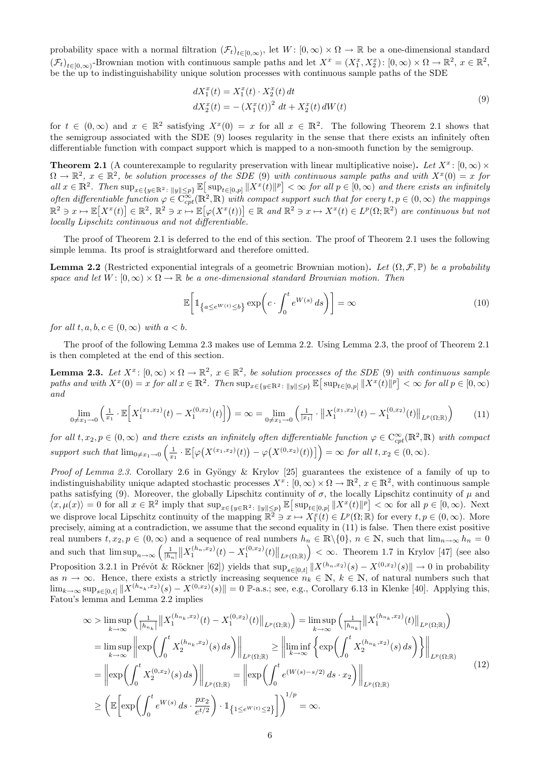probability space with a normal filtration  $(\mathcal{F}_t)_{t\in[0,\infty)}$ , let  $W: [0,\infty)\times\Omega\to\mathbb{R}$  be a one-dimensional standard  $(\mathcal{F}_t)_{t\in[0,\infty)}$ -Brownian motion with continuous sample paths and let  $X^x = (X_1^x, X_2^x)$ :  $[0,\infty) \times \Omega \to \mathbb{R}^2$ ,  $x \in \mathbb{R}^2$ , be the up to indistinguishability unique solution processes with continuous sample paths of the SDE

$$
dX_1^x(t) = X_1^x(t) \cdot X_2^x(t) dt
$$
  
\n
$$
dX_2^x(t) = -(X_1^x(t))^2 dt + X_2^x(t) dW(t)
$$
\n(9)

for  $t \in (0,\infty)$  and  $x \in \mathbb{R}^2$  satisfying  $X^x(0) = x$  for all  $x \in \mathbb{R}^2$ . The following Theorem 2.1 shows that the semigroup associated with the SDE (9) looses regularity in the sense that there exists an infinitely often differentiable function with compact support which is mapped to a non-smooth function by the semigroup.

**Theorem 2.1** (A counterexample to regularity preservation with linear multiplicative noise). Let  $X^x$ :  $[0, \infty) \times$  $\Omega \to \mathbb{R}^2$ ,  $x \in \mathbb{R}^2$ , be solution processes of the SDE (9) with continuous sample paths and with  $X^x(0) = x$  for all  $x \in \mathbb{R}^2$ . Then  $\sup_{x \in \{y \in \mathbb{R}^2 : \|y\| \leq p\}} \mathbb{E} \big[ \sup_{t \in [0,p]} \|X^x(t)\|^p \big] < \infty$  for all  $p \in [0,\infty)$  and there exists an infinitely often differentiable function  $\varphi \in \widetilde{\mathrm{C}_{cpt}^\infty}(\mathbb{R}^2, \mathbb{R})$  with compact support such that for every  $t, p \in (0, \infty)$  the mappings  $\mathbb{R}^2 \ni x \mapsto \mathbb{E}[X^x(t)] \in \mathbb{R}^2$ ,  $\mathbb{R}^2 \ni x \mapsto \mathbb{E}[\varphi(X^x(t))] \in \mathbb{R}$  and  $\mathbb{R}^2 \ni x \mapsto X^x(t) \in L^p(\Omega;\mathbb{R}^2)$  are continuous but not locally Lipschitz continuous and not differentiable.

The proof of Theorem 2.1 is deferred to the end of this section. The proof of Theorem 2.1 uses the following simple lemma. Its proof is straightforward and therefore omitted.

**Lemma 2.2** (Restricted exponential integrals of a geometric Brownian motion). Let  $(\Omega, \mathcal{F}, \mathbb{P})$  be a probability space and let  $W: [0, \infty) \times \Omega \to \mathbb{R}$  be a one-dimensional standard Brownian motion. Then

$$
\mathbb{E}\bigg[\mathbb{1}_{\left\{a\leq e^{W(t)}\leq b\right\}}\exp\bigg(c\cdot\int_0^t e^{W(s)}\,ds\bigg)\bigg]=\infty\tag{10}
$$

for all t, a, b,  $c \in (0,\infty)$  with  $a < b$ .

The proof of the following Lemma 2.3 makes use of Lemma 2.2. Using Lemma 2.3, the proof of Theorem 2.1 is then completed at the end of this section.

**Lemma 2.3.** Let  $X^x$ :  $[0,\infty) \times \Omega \to \mathbb{R}^2$ ,  $x \in \mathbb{R}^2$ , be solution processes of the SDE (9) with continuous sample paths and with  $X^x(0) = x$  for all  $x \in \mathbb{R}^2$ . Then  $\sup_{x \in \{y \in \mathbb{R}^2 : ||y|| \leq p\}} \mathbb{E} \big[ \sup_{t \in [0,p]} ||X^x(t)||^p \big] < \infty$  for all  $p \in [0,\infty)$ and

$$
\lim_{0 \neq x_1 \to 0} \left( \frac{1}{x_1} \cdot \mathbb{E} \Big[ X_1^{(x_1, x_2)}(t) - X_1^{(0, x_2)}(t) \Big] \right) = \infty = \lim_{0 \neq x_1 \to 0} \left( \frac{1}{|x_1|} \cdot \left\| X_1^{(x_1, x_2)}(t) - X_1^{(0, x_2)}(t) \right\|_{L^p(\Omega; \mathbb{R})} \right) \tag{11}
$$

for all  $t, x_2, p \in (0, \infty)$  and there exists an infinitely often differentiable function  $\varphi \in C_{cpt}^\infty(\mathbb{R}^2, \mathbb{R})$  with compact support such that  $\lim_{0 \neq x_1 \to 0} \left( \frac{1}{x_1} \cdot \mathbb{E} \big[ \varphi \big( X^{(x_1, x_2)}(t) \big) - \varphi \big( X^{(0, x_2)}(t) \big) \big] \right) = \infty$  for all  $t, x_2 \in (0, \infty)$ .

Proof of Lemma 2.3. Corollary 2.6 in Gyöngy & Krylov [25] guarantees the existence of a family of up to indistinguishability unique adapted stochastic processes  $X^x$ :  $[0,\infty) \times \Omega \to \mathbb{R}^2$ ,  $x \in \mathbb{R}^2$ , with continuous sample paths satisfying (9). Moreover, the globally Lipschitz continuity of  $\sigma$ , the locally Lipschitz continuity of  $\mu$  and  $\langle x, \mu(x) \rangle = 0$  for all  $x \in \mathbb{R}^2$  imply that  $\sup_{x \in \{y \in \mathbb{R}^2 : \|y\| \leq p\}} \mathbb{E} \big[ \sup_{t \in [0,p]} \|X^x(t)\|^p \big] < \infty$  for all  $p \in [0,\infty)$ . Next we disprove local Lipschitz continuity of the mapping  $\mathbb{R}^2 \ni x \mapsto X_1^x(t) \in L^p(\Omega;\mathbb{R})$  for every  $t, p \in (0,\infty)$ . More precisely, aiming at a contradiction, we assume that the second equality in (11) is false. Then there exist positive real numbers  $t, x_2, p \in (0, \infty)$  and a sequence of real numbers  $h_n \in \mathbb{R} \setminus \{0\}, n \in \mathbb{N}$ , such that  $\lim_{n \to \infty} h_n = 0$ and such that  $\limsup_{n\to\infty}\left(\frac{1}{|h_n|}\left\|X_1^{(h_n,x_2)}(t)-X_1^{(0,x_2)}(t)\right\|_{L^p(\Omega;\mathbb{R})}\right)<\infty$ . Theorem 1.7 in Krylov [47] (see also Proposition 3.2.1 in Prévôt & Röckner [62]) yields that  $\sup_{s\in[0,t]}||X^{(h_n,x_2)}(s)-X^{(0,x_2)}(s)||\to 0$  in probability as  $n \to \infty$ . Hence, there exists a strictly increasing sequence  $n_k \in \mathbb{N}$ ,  $k \in \mathbb{N}$ , of natural numbers such that  $\lim_{k\to\infty} \sup_{s\in[0,t]} \|X^{(h_{n_k},x_2)}(s) - X^{(0,x_2)}(s)\| = 0$  P-a.s.; see, e.g., Corollary 6.13 in Klenke [40]. Applying this, Fatou's lemma and Lemma 2.2 implies

$$
\infty > \limsup_{k \to \infty} \left( \frac{1}{|h_{n_k}|} \| X_1^{(h_{n_k}, x_2)}(t) - X_1^{(0, x_2)}(t) \|_{L^p(\Omega; \mathbb{R})} \right) = \limsup_{k \to \infty} \left( \frac{1}{|h_{n_k}|} \| X_1^{(h_{n_k}, x_2)}(t) \|_{L^p(\Omega; \mathbb{R})} \right)
$$
  
\n
$$
= \limsup_{k \to \infty} \left\| \exp \left( \int_0^t X_2^{(h_{n_k}, x_2)}(s) ds \right) \right\|_{L^p(\Omega; \mathbb{R})} \ge \left\| \liminf_{k \to \infty} \left\{ \exp \left( \int_0^t X_2^{(h_{n_k}, x_2)}(s) ds \right) \right\} \right\|_{L^p(\Omega; \mathbb{R})}
$$
  
\n
$$
= \left\| \exp \left( \int_0^t X_2^{(0, x_2)}(s) ds \right) \right\|_{L^p(\Omega; \mathbb{R})} = \left\| \exp \left( \int_0^t e^{(W(s) - s/2)} ds \cdot x_2 \right) \right\|_{L^p(\Omega; \mathbb{R})}
$$
  
\n
$$
\ge \left( \mathbb{E} \left[ \exp \left( \int_0^t e^{W(s)} ds \cdot \frac{px_2}{e^{t/2}} \right) \cdot \mathbb{1}_{\{1 \le e^{W(t)} \le 2\}} \right] \right)^{1/p} = \infty.
$$
\n(12)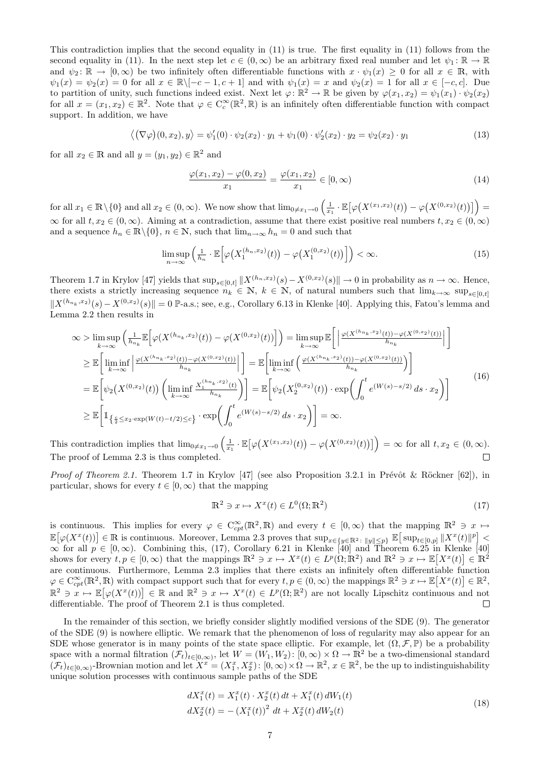This contradiction implies that the second equality in (11) is true. The first equality in (11) follows from the second equality in (11). In the next step let  $c \in (0,\infty)$  be an arbitrary fixed real number and let  $\psi_1 : \mathbb{R} \to \mathbb{R}$ and  $\psi_2: \mathbb{R} \to [0, \infty)$  be two infinitely often differentiable functions with  $x \cdot \psi_1(x) \geq 0$  for all  $x \in \mathbb{R}$ , with  $\psi_1(x) = \psi_2(x) = 0$  for all  $x \in \mathbb{R} \setminus [-c-1, c+1]$  and with  $\psi_1(x) = x$  and  $\psi_2(x) = 1$  for all  $x \in [-c, c]$ . Due to partition of unity, such functions indeed exist. Next let  $\varphi \colon \mathbb{R}^2 \to \mathbb{R}$  be given by  $\varphi(x_1, x_2) = \psi_1(x_1) \cdot \psi_2(x_2)$ for all  $x = (x_1, x_2) \in \mathbb{R}^2$ . Note that  $\varphi \in C_c^{\infty}(\mathbb{R}^2, \mathbb{R})$  is an infinitely often differentiable function with compact support. In addition, we have

$$
\langle (\nabla \varphi)(0, x_2), y \rangle = \psi'_1(0) \cdot \psi_2(x_2) \cdot y_1 + \psi_1(0) \cdot \psi'_2(x_2) \cdot y_2 = \psi_2(x_2) \cdot y_1 \tag{13}
$$

for all  $x_2 \in \mathbb{R}$  and all  $y = (y_1, y_2) \in \mathbb{R}^2$  and

$$
\frac{\varphi(x_1, x_2) - \varphi(0, x_2)}{x_1} = \frac{\varphi(x_1, x_2)}{x_1} \in [0, \infty)
$$
\n(14)

 $\text{for all } x_1 \in \mathbb{R} \setminus \{0\} \text{ and all } x_2 \in (0, \infty). \text{ We now show that } \lim_{0 \neq x_1 \to 0} \left( \frac{1}{x_1} \cdot \mathbb{E} \big[ \varphi \big( X^{(x_1, x_2)}(t) \big) - \varphi \big( X^{(0, x_2)}(t) \big) \big] \right) =$  $\infty$  for all  $t, x_2 \in (0, \infty)$ . Aiming at a contradiction, assume that there exist positive real numbers  $t, x_2 \in (0, \infty)$ and a sequence  $h_n \in \mathbb{R} \setminus \{0\}$ ,  $n \in \mathbb{N}$ , such that  $\lim_{n \to \infty} h_n = 0$  and such that

$$
\limsup_{n \to \infty} \left( \frac{1}{h_n} \cdot \mathbb{E} \left[ \varphi \big( X_1^{(h_n, x_2)}(t) \big) - \varphi \big( X_1^{(0, x_2)}(t) \big) \right] \right) < \infty. \tag{15}
$$

Theorem 1.7 in Krylov [47] yields that  $\sup_{s\in[0,t]}||X^{(h_n,x_2)}(s)-X^{(0,x_2)}(s)||\to 0$  in probability as  $n\to\infty$ . Hence, there exists a strictly increasing sequence  $n_k \in \mathbb{N}$ ,  $k \in \mathbb{N}$ , of natural numbers such that  $\lim_{k\to\infty} \sup_{s\in[0,t]}$  $||X^{(h_{n_k},x_2)}(s)-X^{(0,x_2)}(s)||=0$  P-a.s.; see, e.g., Corollary 6.13 in Klenke [40]. Applying this, Fatou's lemma and Lemma 2.2 then results in

$$
\infty > \limsup_{k \to \infty} \left( \frac{1}{h_{n_k}} \mathbb{E} \left[ \varphi(X^{(h_{n_k}, x_2)}(t)) - \varphi(X^{(0, x_2)}(t)) \right] \right) = \limsup_{k \to \infty} \mathbb{E} \left[ \left| \frac{\varphi(X^{(h_{n_k}, x_2)}(t)) - \varphi(X^{(0, x_2)}(t))}{h_{n_k}} \right| \right]
$$
  
\n
$$
\geq \mathbb{E} \left[ \liminf_{k \to \infty} \left| \frac{\varphi(X^{(h_{n_k}, x_2)}(t)) - \varphi(X^{(0, x_2)}(t))}{h_{n_k}} \right| \right] = \mathbb{E} \left[ \liminf_{k \to \infty} \left( \frac{\varphi(X^{(h_{n_k}, x_2)}(t)) - \varphi(X^{(0, x_2)}(t))}{h_{n_k}} \right) \right]
$$
  
\n
$$
= \mathbb{E} \left[ \psi_2(X^{(0, x_2)}(t)) \left( \liminf_{k \to \infty} \frac{X_1^{(h_{n_k}, x_2)}(t)}{h_{n_k}} \right) \right] = \mathbb{E} \left[ \psi_2(X_2^{(0, x_2)}(t)) \cdot \exp \left( \int_0^t e^{(W(s) - s/2)} ds \cdot x_2 \right) \right]
$$
  
\n
$$
\geq \mathbb{E} \left[ \mathbb{1}_{\left\{ \frac{c}{2} \leq x_2 \cdot \exp(W(t) - t/2) \leq c \right\}} \cdot \exp \left( \int_0^t e^{(W(s) - s/2)} ds \cdot x_2 \right) \right] = \infty.
$$
 (16)

This contradiction implies that  $\lim_{0\neq x_1\to 0} \left( \frac{1}{x_1} \cdot \mathbb{E} \big[ \varphi \big( X^{(x_1,x_2)}(t) \big) - \varphi \big( X^{(0,x_2)}(t) \big) \big] \right) = \infty$  for all  $t, x_2 \in (0, \infty)$ . The proof of Lemma 2.3 is thus completed.  $\Box$ 

*Proof of Theorem 2.1.* Theorem 1.7 in Krylov [47] (see also Proposition 3.2.1 in Prévôt & Röckner [62]), in particular, shows for every  $t \in [0, \infty)$  that the mapping

$$
\mathbb{R}^2 \ni x \mapsto X^x(t) \in L^0(\Omega; \mathbb{R}^2)
$$
\n<sup>(17)</sup>

is continuous. This implies for every  $\varphi \in C^{\infty}_{cpt}(\mathbb{R}^2,\mathbb{R})$  and every  $t \in [0,\infty)$  that the mapping  $\mathbb{R}^2 \ni x \mapsto$  $\mathbb{E}[\varphi(X^x(t))] \in \mathbb{R}$  is continuous. Moreover, Lemma 2.3 proves that  $\sup_{x \in \{y \in \mathbb{R}^2 : ||y|| \leq p\}} \mathbb{E}[\sup_{t \in [0,p]} ||X^x(t)||^p]$  $\infty$  for all  $p \in [0,\infty)$ . Combining this, (17), Corollary 6.21 in Klenke [40] and Theorem 6.25 in Klenke [40] shows for every  $t, p \in [0, \infty)$  that the mappings  $\mathbb{R}^2 \ni x \mapsto X^x(t) \in L^p(\Omega; \mathbb{R}^2)$  and  $\mathbb{R}^2 \ni x \mapsto \mathbb{E}[X^x(t)] \in \mathbb{R}^2$ are continuous. Furthermore, Lemma 2.3 implies that there exists an infinitely often differentiable function  $\varphi \in C_{cpt}^{\infty}(\mathbb{R}^2, \mathbb{R})$  with compact support such that for every  $t, p \in (0, \infty)$  the mappings  $\mathbb{R}^2 \ni x \mapsto \mathbb{E}[X^x(t)] \in \mathbb{R}^2$ ,  $\mathbb{R}^2 \ni x \mapsto \mathbb{E}[\varphi(X^x(t))] \in \mathbb{R}$  and  $\mathbb{R}^2 \ni x \mapsto X^x(t) \in L^p(\Omega;\mathbb{R}^2)$  are not locally Lipschitz continuous and not differentiable. The proof of Theorem 2.1 is thus completed.  $\Box$ 

In the remainder of this section, we briefly consider slightly modified versions of the SDE (9). The generator of the SDE (9) is nowhere elliptic. We remark that the phenomenon of loss of regularity may also appear for an SDE whose generator is in many points of the state space elliptic. For example, let  $(\Omega, \mathcal{F}, \mathbb{P})$  be a probability space with a normal filtration  $(\mathcal{F}_t)_{t\in[0,\infty)}$ , let  $W = (W_1, W_2)$ :  $[0,\infty) \times \Omega \to \mathbb{R}^2$  be a two-dimensional standard  $(\mathcal{F}_t)_{t\in[0,\infty)}$ -Brownian motion and let  $X^x=(X_1^x, X_2^x): [0,\infty)\times\Omega\to\mathbb{R}^2$ ,  $x\in\mathbb{R}^2$ , be the up to indistinguishability unique solution processes with continuous sample paths of the SDE

$$
dX_1^x(t) = X_1^x(t) \cdot X_2^x(t) dt + X_1^x(t) dW_1(t)
$$
  
\n
$$
dX_2^x(t) = -(X_1^x(t))^2 dt + X_2^x(t) dW_2(t)
$$
\n(18)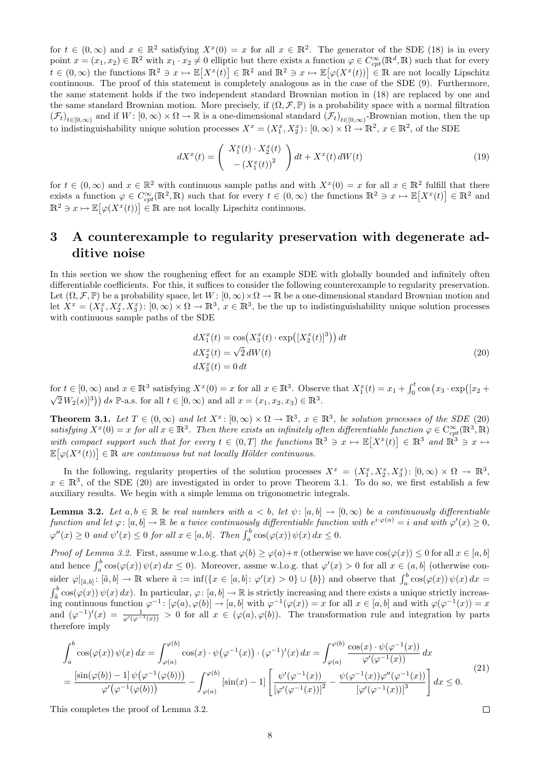for  $t \in (0,\infty)$  and  $x \in \mathbb{R}^2$  satisfying  $X^x(0) = x$  for all  $x \in \mathbb{R}^2$ . The generator of the SDE (18) is in every point  $x = (x_1, x_2) \in \mathbb{R}^2$  with  $x_1 \cdot x_2 \neq 0$  elliptic but there exists a function  $\varphi \in C_{cpt}^{\infty}(\mathbb{R}^d, \mathbb{R})$  such that for every  $t \in (0,\infty)$  the functions  $\mathbb{R}^2 \ni x \mapsto \mathbb{E}[X^x(t)] \in \mathbb{R}^2$  and  $\mathbb{R}^2 \ni x \mapsto \mathbb{E}[\varphi(X^x(t))] \in \mathbb{R}$  are not locally Lipschitz continuous. The proof of this statement is completely analogous as in the case of the SDE (9). Furthermore, the same statement holds if the two independent standard Brownian motion in (18) are replaced by one and the same standard Brownian motion. More precisely, if  $(\Omega, \mathcal{F}, \mathbb{P})$  is a probability space with a normal filtration  $(\mathcal{F}_t)_{t\in[0,\infty)}$  and if  $W: [0,\infty) \times \Omega \to \mathbb{R}$  is a one-dimensional standard  $(\mathcal{F}_t)_{t\in[0,\infty)}$ -Brownian motion, then the up to indistinguishability unique solution processes  $X^x = (X_1^x, X_2^x)$ :  $[0, \infty) \times \Omega \to \mathbb{R}^2$ ,  $x \in \mathbb{R}^2$ , of the SDE

$$
dX^{x}(t) = \begin{pmatrix} X_{1}^{x}(t) \cdot X_{2}^{x}(t) \\ -(X_{1}^{x}(t))^{2} \end{pmatrix} dt + X^{x}(t) dW(t)
$$
\n(19)

for  $t \in (0,\infty)$  and  $x \in \mathbb{R}^2$  with continuous sample paths and with  $X^x(0) = x$  for all  $x \in \mathbb{R}^2$  fulfill that there exists a function  $\varphi \in C^{\infty}_{cpt}(\mathbb{R}^2, \mathbb{R})$  such that for every  $t \in (0, \infty)$  the functions  $\mathbb{R}^2 \ni x \mapsto \mathbb{E}[X^x(t)] \in \mathbb{R}^2$  and  $\mathbb{R}^2 \ni x \mapsto \mathbb{E}[\varphi(X^x(t))] \in \mathbb{R}$  are not locally Lipschitz continuous.

# 3 A counterexample to regularity preservation with degenerate additive noise

In this section we show the roughening effect for an example SDE with globally bounded and infinitely often differentiable coefficients. For this, it suffices to consider the following counterexample to regularity preservation. Let  $(\Omega, \mathcal{F}, \mathbb{P})$  be a probability space, let  $W : [0, \infty) \times \Omega \to \mathbb{R}$  be a one-dimensional standard Brownian motion and let  $X^x = (X_1^x, X_2^x, X_3^x)$ :  $[0, \infty) \times \Omega \to \mathbb{R}^3$ ,  $x \in \mathbb{R}^3$ , be the up to indistinguishability unique solution processes with continuous sample paths of the SDE

$$
dX_1^x(t) = \cos(X_3^x(t) \cdot \exp([X_2^x(t)]^3)) dt
$$
  
\n
$$
dX_2^x(t) = \sqrt{2} dW(t)
$$
  
\n
$$
dX_3^x(t) = 0 dt
$$
\n(20)

for  $t \in [0, \infty)$  and  $x \in \mathbb{R}^3$  satisfying  $X^x(0) = x$  for all  $x \in \mathbb{R}^3$ . Observe that  $X_1^x(t) = x_1 + \int_0^t \cos(x_3 \cdot \exp([x_2 + \sqrt{2}W_2(s)]^3)) ds \mathbb{P}$ -a.s. for all  $t \in [0, \infty)$  and all  $x = (x_1, x_2, x_3) \in \mathbb{R}^3$ .

**Theorem 3.1.** Let  $T \in (0,\infty)$  and let  $X^x$ :  $[0,\infty) \times \Omega \to \mathbb{R}^3$ ,  $x \in \mathbb{R}^3$ , be solution processes of the SDE (20) satisfying  $X^x(0) = x$  for all  $x \in \mathbb{R}^3$ . Then there exists an infinitely often differentiable function  $\varphi \in C_{cpt}^\infty(\mathbb{R}^3, \mathbb{R})$ with compact support such that for every  $t \in (0,T]$  the functions  $\mathbb{R}^3 \ni x \mapsto \mathbb{E}[X^x(t)] \in \mathbb{R}^3$  and  $\mathbb{R}^3 \ni x \mapsto$  $\mathbb{E}[\varphi(X^x(t))] \in \mathbb{R}$  are continuous but not locally Hölder continuous.

In the following, regularity properties of the solution processes  $X^x = (X_1^x, X_2^x, X_3^x)$ :  $[0, \infty) \times \Omega \to \mathbb{R}^3$ ,  $x \in \mathbb{R}^3$ , of the SDE (20) are investigated in order to prove Theorem 3.1. To do so, we first establish a few auxiliary results. We begin with a simple lemma on trigonometric integrals.

**Lemma 3.2.** Let  $a, b \in \mathbb{R}$  be real numbers with  $a < b$ , let  $\psi$ :  $[a, b] \to [0, \infty)$  be a continuously differentiable function and let  $\varphi: [a, b] \to \mathbb{R}$  be a twice continuously differentiable function with  $e^{i \cdot \varphi(a)} = i$  and with  $\varphi'(x) \ge 0$ ,  $\varphi''(x) \geq 0$  and  $\psi'(x) \leq 0$  for all  $x \in [a, b]$ . Then  $\int_a^b \cos(\varphi(x)) \psi(x) dx \leq 0$ .

Proof of Lemma 3.2. First, assume w.l.o.g. that  $\varphi(b) \geq \varphi(a) + \pi$  (otherwise we have  $\cos(\varphi(x)) \leq 0$  for all  $x \in [a, b]$ and hence  $\int_a^b \cos(\varphi(x)) \psi(x) dx \leq 0$ . Moreover, assme w.l.o.g. that  $\varphi'(x) > 0$  for all  $x \in (a, b]$  (otherwise consider  $\varphi|_{[\tilde{a},b]} : [\tilde{a},b] \to \mathbb{R}$  where  $\tilde{a} := \inf(\{x \in [a,b]: \varphi'(x) > 0\} \cup \{b\})$  and observe that  $\int_a^b \cos(\varphi(x)) \psi(x) dx =$  $\int_{\tilde{a}}^{b} \cos(\varphi(x)) \psi(x) dx$ ). In particular,  $\varphi: [a, b] \to \mathbb{R}$  is strictly increasing and there exists a unique strictly increasing continuous function  $\varphi^{-1} : [\varphi(a), \varphi(b)] \to [a, b]$  with  $\varphi^{-1}(\varphi(x)) = x$  for all  $x \in [a, b]$  and with  $\varphi(\varphi^{-1}(x)) = x$ and  $(\varphi^{-1})'(x) = \frac{1}{\varphi'(\varphi^{-1}(x))} > 0$  for all  $x \in (\varphi(a), \varphi(b))$ . The transformation rule and integration by parts therefore imply

$$
\int_{a}^{b} \cos(\varphi(x)) \psi(x) dx = \int_{\varphi(a)}^{\varphi(b)} \cos(x) \cdot \psi(\varphi^{-1}(x)) \cdot (\varphi^{-1})'(x) dx = \int_{\varphi(a)}^{\varphi(b)} \frac{\cos(x) \cdot \psi(\varphi^{-1}(x))}{\varphi'(\varphi^{-1}(x))} dx
$$
  
= 
$$
\frac{[\sin(\varphi(b)) - 1] \psi(\varphi^{-1}(\varphi(b)))}{\varphi'(\varphi^{-1}(\varphi(b)))} - \int_{\varphi(a)}^{\varphi(b)} [\sin(x) - 1] \left[ \frac{\psi'(\varphi^{-1}(x))}{[\varphi'(\varphi^{-1}(x))]^2} - \frac{\psi(\varphi^{-1}(x)) \varphi''(\varphi^{-1}(x))}{[\varphi'(\varphi^{-1}(x))]^3} \right] dx \le 0.
$$
 (21)

This completes the proof of Lemma 3.2.

 $\Box$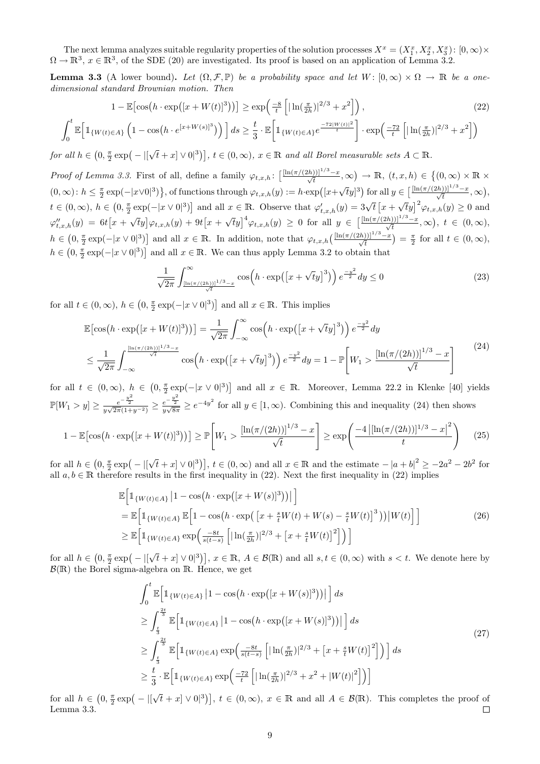The next lemma analyzes suitable regularity properties of the solution processes  $X^x = (X_1^x, X_2^x, X_3^x)$ :  $[0, \infty) \times$  $\Omega \to \mathbb{R}^3$ ,  $x \in \mathbb{R}^3$ , of the SDE (20) are investigated. Its proof is based on an application of Lemma 3.2.

**Lemma 3.3** (A lower bound). Let  $(\Omega, \mathcal{F}, \mathbb{P})$  be a probability space and let  $W: [0, \infty) \times \Omega \to \mathbb{R}$  be a onedimensional standard Brownian motion. Then

$$
1 - \mathbb{E}\left[\cos\left(h \cdot \exp\left(\left[x + W(t)\right]^3\right)\right)\right] \ge \exp\left(\frac{-8}{t} \left[\left|\ln\left(\frac{\pi}{2h}\right)\right|^{2/3} + x^2\right]\right),\tag{22}
$$

$$
\int_0^t \mathbb{E}\Big[\mathbb{1}_{\{W(t)\in A\}}\left(1-\cos\big(h\cdot e^{[x+W(s)]^3}\big)\right)\Big]ds \ge \frac{t}{3}\cdot \mathbb{E}\Big[\mathbb{1}_{\{W(t)\in A\}}e^{\frac{-72|W(t)|^2}{t}}\Big]\cdot \exp\Big(\frac{-72}{t}\Big[|\ln(\frac{\pi}{2h})|^{2/3}+x^2\Big]\Big)
$$

for all  $h \in \left(0, \frac{\pi}{2} \exp\right) - |\right[ \cdot]$  $\{t+ x|\vee 0|^3\}, t\in (0,\infty), x\in \mathbb{R}$  and all Borel measurable sets  $A\subset \mathbb{R}$ .

Proof of Lemma 3.3. First of all, define a family  $\varphi_{t,x,h}$ :  $\left[\frac{[\ln(\pi/(2h))]^{1/3}-x}{\sqrt{t}},\infty\right) \to \mathbb{R}, (t,x,h) \in \left\{(0,\infty) \times \mathbb{R} \times \mathbb{R} \times \mathbb{R} \right\}$  $(0, \infty)$ :  $h \leq \frac{\pi}{2} \exp(-|x \vee 0|^3)$ , of functions through  $\varphi_{t,x,h}(y) := h \cdot \exp(|x + y|)$ √  $[ty]$ <sup>3</sup>) for all  $y \in \left[\frac{\left[\ln(\pi/(2h))\right]^{1/3}-x}{\sqrt{t}}, \infty\right)$ ,  $t \in (0,\infty)$ ,  $h \in (0, \frac{\pi}{2} \exp(-|x \vee 0|^3)]$  and all  $x \in \mathbb{R}$ . Observe that  $\varphi'_{t,x,h}(y) = 3\sqrt{t} [x + \sqrt{t}y]^2 \varphi_{t,x,h}(y) \ge 0$  and √  $\varphi''_{t,x,h}(y) = 6t\big[x +$  $\sqrt{t}y\big|\varphi_{t,x,h}(y)+9t\big[x+$  $(\sqrt{t}y)^4 \varphi_{t,x,h}(y) \geq 0$  for all  $y \in \left[\frac{\left[\ln(\pi/(2h))\right]^{1/3}-x}{\sqrt{t}}, \infty\right), t \in (0,\infty),$  $h \in (0, \frac{\pi}{2} \exp(-|x \vee 0|^3)]$  and all  $x \in \mathbb{R}$ . In addition, note that  $\varphi_{t,x,h}\left(\frac{[\ln(\pi/(2h))]^{1/3}-x}{\sqrt{t}}\right) = \frac{\pi}{2}$  for all  $t \in (0, \infty)$ ,  $h \in (0, \frac{\pi}{2} \exp(-|x \vee 0|^3)]$  and all  $x \in \mathbb{R}$ . We can thus apply Lemma 3.2 to obtain that

$$
\frac{1}{\sqrt{2\pi}} \int_{\frac{\left[\ln\left(\pi/(2h)\right)\right]^{1/3}-x}{\sqrt{t}}}^{\infty} \cos\left(h \cdot \exp\left(\left[x+\sqrt{t}y\right]^{3}\right)\right) e^{\frac{-y^{2}}{2}} dy \le 0
$$
\n(23)

for all  $t \in (0, \infty)$ ,  $h \in (0, \frac{\pi}{2} \exp(-|x \vee 0|^3)]$  and all  $x \in \mathbb{R}$ . This implies

$$
\mathbb{E}[\cos(h \cdot \exp([x + W(t)]^3))] = \frac{1}{\sqrt{2\pi}} \int_{-\infty}^{\infty} \cos\left(h \cdot \exp([x + \sqrt{t}y]^3)\right) e^{\frac{-y^2}{2}} dy
$$
  

$$
\leq \frac{1}{\sqrt{2\pi}} \int_{-\infty}^{\frac{\ln(\pi/(2h))1^{1/3} - x}{\sqrt{t}}} \cos\left(h \cdot \exp([x + \sqrt{t}y]^3)\right) e^{\frac{-y^2}{2}} dy = 1 - \mathbb{P}\left[W_1 > \frac{\left[\ln(\pi/(2h))\right]^{1/3} - x}{\sqrt{t}}\right]
$$
(24)

for all  $t \in (0,\infty)$ ,  $h \in (0,\frac{\pi}{2}\exp(-|x\vee 0|^3)]$  and all  $x \in \mathbb{R}$ . Moreover, Lemma 22.2 in Klenke [40] yields  $\mathbb{P}[W_1 > y] \ge \frac{e^{-\frac{y^2}{2}}}{y\sqrt{2\pi}(1+y^{-2})} \ge \frac{e^{-\frac{y^2}{2}}}{y\sqrt{8\pi}} \ge e^{-4y^2}$  for all  $y \in [1, \infty)$ . Combining this and inequality (24) then shows

$$
1 - \mathbb{E}\left[\cos\left(h \cdot \exp\left([x + W(t)]^3\right)\right)\right] \ge \mathbb{P}\left[W_1 > \frac{\left[\ln(\pi/(2h))\right]^{1/3} - x}{\sqrt{t}}\right] \ge \exp\left(\frac{-4\left|\left[\ln(\pi/(2h))\right]^{1/3} - x\right|^2}{t}\right) \tag{25}
$$

for all  $h \in \left(0, \frac{\pi}{2} \exp\right) - |\right[$  $\{\bar{t}+x\} \vee 0^3\}, t \in (0,\infty)$  and all  $x \in \mathbb{R}$  and the estimate  $-|a+b|^2 \ge -2a^2 - 2b^2$  for all  $a, b \in \mathbb{R}$  therefore results in the first inequality in (22). Next the first inequality in (22) implies

$$
\mathbb{E}\left[\mathbb{1}_{\{W(t)\in A\}}\left|1-\cos\left(h\cdot\exp\left([x+W(s)]^3\right)\right)\right|\right]
$$
\n
$$
=\mathbb{E}\left[\mathbb{1}_{\{W(t)\in A\}}\mathbb{E}\left[1-\cos\left(h\cdot\exp\left(\left[x+\frac{s}{t}W(t)+W(s)-\frac{s}{t}W(t)\right]^3\right)\right)|W(t)\right]\right]
$$
\n
$$
\geq \mathbb{E}\left[\mathbb{1}_{\{W(t)\in A\}}\exp\left(\frac{-8t}{s(t-s)}\left[\left|\ln\left(\frac{\pi}{2h}\right)\right|^{2/3}+\left[x+\frac{s}{t}W(t)\right]^2\right]\right)\right]
$$
\n
$$
(26)
$$

for all  $h \in \left(0, \frac{\pi}{2} \exp\right) - |\right]$  $\{t+1\} \vee 0^3\}$ ,  $x \in \mathbb{R}$ ,  $A \in \mathcal{B}(\mathbb{R})$  and all  $s, t \in (0, \infty)$  with  $s < t$ . We denote here by  $\mathcal{B}(\mathbb{R})$  the Borel sigma-algebra on  $\mathbb{R}$ . Hence, we get

$$
\int_{0}^{t} \mathbb{E} \Big[ \mathbb{1}_{\{W(t) \in A\}} |1 - \cos(h \cdot \exp([x + W(s)]^{3}))| \Big] ds
$$
\n
$$
\geq \int_{\frac{t}{3}}^{\frac{2t}{3}} \mathbb{E} \Big[ \mathbb{1}_{\{W(t) \in A\}} |1 - \cos(h \cdot \exp([x + W(s)]^{3}))| \Big] ds
$$
\n
$$
\geq \int_{\frac{t}{3}}^{\frac{2t}{3}} \mathbb{E} \Big[ \mathbb{1}_{\{W(t) \in A\}} \exp \Big( \frac{-8t}{s(t-s)} \Big[ | \ln(\frac{\pi}{2h})|^{2/3} + [x + \frac{s}{t}W(t)]^{2} \Big] \Big) \Big] ds
$$
\n
$$
\geq \frac{t}{3} \cdot \mathbb{E} \Big[ \mathbb{1}_{\{W(t) \in A\}} \exp \Big( \frac{-72}{t} \Big[ | \ln(\frac{\pi}{2h})|^{2/3} + x^{2} + |W(t)|^{2} \Big] \Big) \Big]
$$
\n(27)

√ for all  $h \in \left(0, \frac{\pi}{2} \exp\right) - |\cdot|$  $\{t + x \mid \vee 0^3\}$ ,  $t \in (0, \infty)$ ,  $x \in \mathbb{R}$  and all  $A \in \mathcal{B}(\mathbb{R})$ . This completes the proof of Lemma 3.3.  $\Box$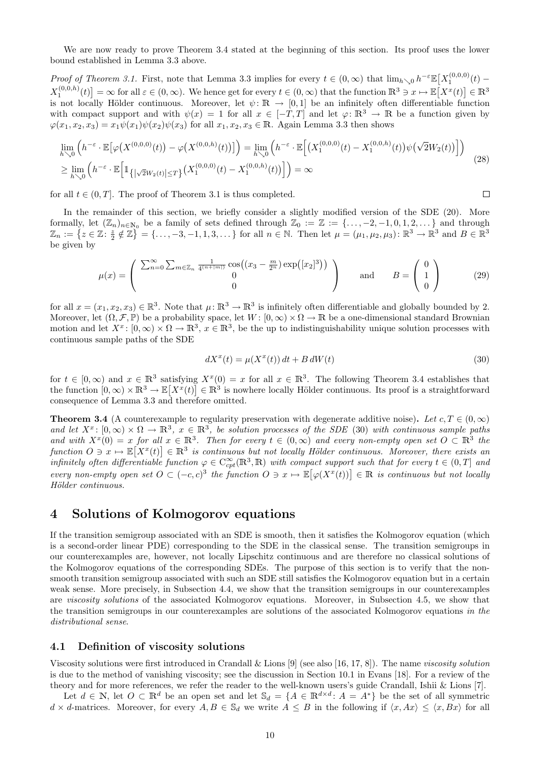We are now ready to prove Theorem 3.4 stated at the beginning of this section. Its proof uses the lower bound established in Lemma 3.3 above.

Proof of Theorem 3.1. First, note that Lemma 3.3 implies for every  $t \in (0,\infty)$  that  $\lim_{h\searrow 0} h^{-\varepsilon} \mathbb{E}[X_1^{(0,0,0)}(t) X_1^{(0,0,h)}(t)$  =  $\infty$  for all  $\varepsilon \in (0,\infty)$ . We hence get for every  $t \in (0,\infty)$  that the function  $\mathbb{R}^3 \ni x \mapsto \mathbb{E}[X^x(t)] \in \mathbb{R}^3$ is not locally Hölder continuous. Moreover, let  $\psi: \mathbb{R} \to [0,1]$  be an infinitely often differentiable function with compact support and with  $\psi(x) = 1$  for all  $x \in [-T, T]$  and let  $\varphi: \mathbb{R}^3 \to \mathbb{R}$  be a function given by  $\varphi(x_1, x_2, x_3) = x_1 \psi(x_1) \psi(x_2) \psi(x_3)$  for all  $x_1, x_2, x_3 \in \mathbb{R}$ . Again Lemma 3.3 then shows

$$
\lim_{h \searrow 0} \left( h^{-\varepsilon} \cdot \mathbb{E} \left[ \varphi \left( X^{(0,0,0)}(t) \right) - \varphi \left( X^{(0,0,h)}(t) \right) \right] \right) = \lim_{h \searrow 0} \left( h^{-\varepsilon} \cdot \mathbb{E} \left[ \left( X_1^{(0,0,0)}(t) - X_1^{(0,0,h)}(t) \right) \psi \left( \sqrt{2} W_2(t) \right) \right] \right)
$$
\n
$$
\geq \lim_{h \searrow 0} \left( h^{-\varepsilon} \cdot \mathbb{E} \left[ \mathbb{1}_{\{ |\sqrt{2} W_2(t)| \leq T \}} \left( X_1^{(0,0,0)}(t) - X_1^{(0,0,h)}(t) \right) \right] \right) = \infty
$$
\n(28)

for all  $t \in (0, T]$ . The proof of Theorem 3.1 is thus completed.

In the remainder of this section, we briefly consider a slightly modified version of the SDE (20). More formally, let  $(\mathbb{Z}_n)_{n\in\mathbb{N}_0}$  be a family of sets defined through  $\mathbb{Z}_0 := \mathbb{Z} := \{\ldots, -2, -1, 0, 1, 2, \ldots\}$  and through  $\mathbb{Z}_n := \{z \in \mathbb{Z} \colon \frac{z}{2} \notin \mathbb{Z}\} = \{\ldots, -3, -1, 1, 3, \ldots\}$  for all  $n \in \mathbb{N}$ . Then let  $\mu = (\mu_1, \mu_2, \mu_3) \colon \mathbb{R}^3 \to \mathbb{R}^3$  and  $B \in \mathbb{R}^3$ be given by

$$
\mu(x) = \begin{pmatrix} \sum_{n=0}^{\infty} \sum_{m \in \mathbb{Z}_n} \frac{1}{4^{(n+|m|)}} \cos((x_3 - \frac{m}{2^n}) \exp([x_2]^3)) \\ 0 & 0 \end{pmatrix} \quad \text{and} \quad B = \begin{pmatrix} 0 \\ 1 \\ 0 \end{pmatrix} \tag{29}
$$

for all  $x = (x_1, x_2, x_3) \in \mathbb{R}^3$ . Note that  $\mu \colon \mathbb{R}^3 \to \mathbb{R}^3$  is infinitely often differentiable and globally bounded by 2. Moreover, let  $(\Omega, \mathcal{F}, \mathbb{P})$  be a probability space, let  $W : [0, \infty) \times \Omega \to \mathbb{R}$  be a one-dimensional standard Brownian motion and let  $X^x$ :  $[0,\infty) \times \Omega \to \mathbb{R}^3$ ,  $x \in \mathbb{R}^3$ , be the up to indistinguishability unique solution processes with continuous sample paths of the SDE

$$
dX^{x}(t) = \mu(X^{x}(t))dt + B dW(t)
$$
\n(30)

 $\Box$ 

for  $t \in [0,\infty)$  and  $x \in \mathbb{R}^3$  satisfying  $X^x(0) = x$  for all  $x \in \mathbb{R}^3$ . The following Theorem 3.4 establishes that the function  $[0,\infty)\times\mathbb{R}^3\to\mathbb{E}[X^x(t)]\in\mathbb{R}^3$  is nowhere locally Hölder continuous. Its proof is a straightforward consequence of Lemma 3.3 and therefore omitted.

**Theorem 3.4** (A counterexample to regularity preservation with degenerate additive noise). Let  $c, T \in (0, \infty)$ and let  $X^x$ :  $[0,\infty) \times \Omega \to \mathbb{R}^3$ ,  $x \in \mathbb{R}^3$ , be solution processes of the SDE (30) with continuous sample paths and with  $X^x(0) = x$  for all  $x \in \mathbb{R}^3$ . Then for every  $t \in (0, \infty)$  and every non-empty open set  $O \subset \mathbb{R}^3$  the function  $O \ni x \mapsto \mathbb{E}[X^x(t)] \in \mathbb{R}^3$  is continuous but not locally Hölder continuous. Moreover, there exists an infinitely often differentiable function  $\varphi \in C^\infty_{cpt}(\mathbb{R}^3,\mathbb{R})$  with compact support such that for every  $t \in (0,T]$  and every non-empty open set  $O \subset (-c,c)^3$  the function  $O \ni x \mapsto \mathbb{E}[\varphi(X^x(t))] \in \mathbb{R}$  is continuous but not locally Hölder continuous.

### 4 Solutions of Kolmogorov equations

If the transition semigroup associated with an SDE is smooth, then it satisfies the Kolmogorov equation (which is a second-order linear PDE) corresponding to the SDE in the classical sense. The transition semigroups in our counterexamples are, however, not locally Lipschitz continuous and are therefore no classical solutions of the Kolmogorov equations of the corresponding SDEs. The purpose of this section is to verify that the nonsmooth transition semigroup associated with such an SDE still satisfies the Kolmogorov equation but in a certain weak sense. More precisely, in Subsection 4.4, we show that the transition semigroups in our counterexamples are *viscosity solutions* of the associated Kolmogorov equations. Moreover, in Subsection 4.5, we show that the transition semigroups in our counterexamples are solutions of the associated Kolmogorov equations in the distributional sense.

#### 4.1 Definition of viscosity solutions

Viscosity solutions were first introduced in Crandall & Lions [9] (see also [16, 17, 8]). The name viscosity solution is due to the method of vanishing viscosity; see the discussion in Section 10.1 in Evans [18]. For a review of the theory and for more references, we refer the reader to the well-known users's guide Crandall, Ishii & Lions [7].

Let  $d \in \mathbb{N}$ , let  $O \subset \mathbb{R}^d$  be an open set and let  $\mathbb{S}_d = \{A \in \mathbb{R}^{d \times d} : A = A^*\}$  be the set of all symmetric  $d \times d$ -matrices. Moreover, for every  $A, B \in \mathbb{S}_d$  we write  $A \leq B$  in the following if  $\langle x, Ax \rangle \leq \langle x, Bx \rangle$  for all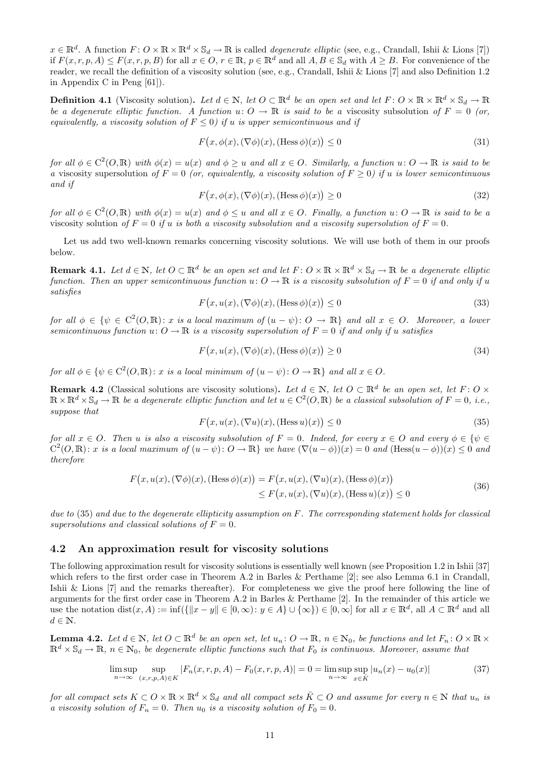$x \in \mathbb{R}^d$ . A function  $F: O \times \mathbb{R} \times \mathbb{R}^d \times \mathbb{S}_d \to \mathbb{R}$  is called *degenerate elliptic* (see, e.g., Crandall, Ishii & Lions [7]) if  $F(x, r, p, A) \leq F(x, r, p, B)$  for all  $x \in O, r \in \mathbb{R}, p \in \mathbb{R}^d$  and all  $A, B \in \mathbb{S}_d$  with  $A \geq B$ . For convenience of the reader, we recall the definition of a viscosity solution (see, e.g., Crandall, Ishii & Lions [7] and also Definition 1.2 in Appendix C in Peng [61]).

**Definition 4.1** (Viscosity solution). Let  $d \in \mathbb{N}$ , let  $O \subset \mathbb{R}^d$  be an open set and let  $F: O \times \mathbb{R} \times \mathbb{R}^d \times \mathbb{S}_d \to \mathbb{R}$ be a degenerate elliptic function. A function  $u: O \to \mathbb{R}$  is said to be a viscosity subsolution of  $F = 0$  (or, equivalently, a viscosity solution of  $F \leq 0$ ) if u is upper semicontinuous and if

$$
F(x, \phi(x), (\nabla \phi)(x), (\text{Hess}\,\phi)(x)) \le 0\tag{31}
$$

for all  $\phi \in C^2(O, \mathbb{R})$  with  $\phi(x) = u(x)$  and  $\phi \geq u$  and all  $x \in O$ . Similarly, a function  $u: O \to \mathbb{R}$  is said to be a viscosity supersolution of  $F = 0$  (or, equivalently, a viscosity solution of  $F \ge 0$ ) if u is lower semicontinuous and if

$$
F(x, \phi(x), (\nabla \phi)(x), (\text{Hess}\,\phi)(x)) \ge 0\tag{32}
$$

for all  $\phi \in C^2(O, \mathbb{R})$  with  $\phi(x) = u(x)$  and  $\phi \leq u$  and all  $x \in O$ . Finally, a function  $u: O \to \mathbb{R}$  is said to be a viscosity solution of  $F = 0$  if u is both a viscosity subsolution and a viscosity supersolution of  $F = 0$ .

Let us add two well-known remarks concerning viscosity solutions. We will use both of them in our proofs below.

**Remark 4.1.** Let  $d \in \mathbb{N}$ , let  $O \subset \mathbb{R}^d$  be an open set and let  $F: O \times \mathbb{R} \times \mathbb{R}^d \times \mathbb{S}_d \to \mathbb{R}$  be a degenerate elliptic function. Then an upper semicontinuous function  $u: O \to \mathbb{R}$  is a viscosity subsolution of  $F = 0$  if and only if u satisfies

$$
F(x, u(x), (\nabla \phi)(x), (\text{Hess}\,\phi)(x)) \le 0\tag{33}
$$

for all  $\phi \in {\phi \in C^2(O, \mathbb{R}) : x \text{ is a local maximum of } (u - \psi) : O \to \mathbb{R}}$  and all  $x \in O$ . Moreover, a lower semicontinuous function  $u: O \to \mathbb{R}$  is a viscosity supersolution of  $F = 0$  if and only if u satisfies

$$
F(x, u(x), (\nabla \phi)(x), (\text{Hess}\,\phi)(x)) \ge 0\tag{34}
$$

for all  $\phi \in {\mathbb C}^2(0, \mathbb{R})$ : x is a local minimum of  $(u - \psi)$ :  $O \to \mathbb{R}$  and all  $x \in O$ .

**Remark 4.2** (Classical solutions are viscosity solutions). Let  $d \in \mathbb{N}$ , let  $O \subset \mathbb{R}^d$  be an open set, let  $F: O \times$  $\mathbb{R}\times\mathbb{R}^d\times\mathbb{S}_d\to\mathbb{R}$  be a degenerate elliptic function and let  $u\in\text{C}^2(O,\mathbb{R})$  be a classical subsolution of  $F=0$ , i.e., suppose that

$$
F(x, u(x), (\nabla u)(x), (Hess u)(x)) \le 0
$$
\n(35)

for all  $x \in O$ . Then u is also a viscosity subsolution of  $F = 0$ . Indeed, for every  $x \in O$  and every  $\phi \in {\psi \in \mathbb{R}^d}$  $C^2(O,\mathbb{R})$ : x is a local maximum of  $(u - \psi)$ :  $O \to \mathbb{R}$  we have  $(\nabla(u - \phi))(x) = 0$  and  $(\text{Hess}(u - \phi))(x) \leq 0$  and therefore

$$
F(x, u(x), (\nabla \phi)(x), (\text{Hess}\,\phi)(x)) = F(x, u(x), (\nabla u)(x), (\text{Hess}\,\phi)(x))
$$
  

$$
\leq F(x, u(x), (\nabla u)(x), (\text{Hess}\,u)(x)) \leq 0
$$
 (36)

due to  $(35)$  and due to the degenerate ellipticity assumption on F. The corresponding statement holds for classical supersolutions and classical solutions of  $F = 0$ .

#### 4.2 An approximation result for viscosity solutions

The following approximation result for viscosity solutions is essentially well known (see Proposition 1.2 in Ishii [37] which refers to the first order case in Theorem A.2 in Barles & Perthame [2]; see also Lemma 6.1 in Crandall, Ishii & Lions [7] and the remarks thereafter). For completeness we give the proof here following the line of arguments for the first order case in Theorem A.2 in Barles & Perthame [2]. In the remainder of this article we use the notation  $dist(x, A) := inf(\{\|x - y\| \in [0, \infty): y \in A\} \cup \{\infty\}) \in [0, \infty]$  for all  $x \in \mathbb{R}^d$ , all  $A \subset \mathbb{R}^d$  and all  $d \in \mathbb{N}$ .

**Lemma 4.2.** Let  $d \in \mathbb{N}$ , let  $O \subset \mathbb{R}^d$  be an open set, let  $u_n: O \to \mathbb{R}$ ,  $n \in \mathbb{N}_0$ , be functions and let  $F_n: O \times \mathbb{R} \times$  $\mathbb{R}^d \times \mathbb{S}_d \to \mathbb{R}, n \in \mathbb{N}_0$ , be degenerate elliptic functions such that  $F_0$  is continuous. Moreover, assume that

$$
\limsup_{n \to \infty} \sup_{(x,r,p,A) \in K} |F_n(x,r,p,A) - F_0(x,r,p,A)| = 0 = \limsup_{n \to \infty} \sup_{x \in \bar{K}} |u_n(x) - u_0(x)| \tag{37}
$$

for all compact sets  $K \subset O \times \mathbb{R} \times \mathbb{R}^d \times \mathbb{S}_d$  and all compact sets  $\overline{K} \subset O$  and assume for every  $n \in \mathbb{N}$  that  $u_n$  is a viscosity solution of  $F_n = 0$ . Then  $u_0$  is a viscosity solution of  $F_0 = 0$ .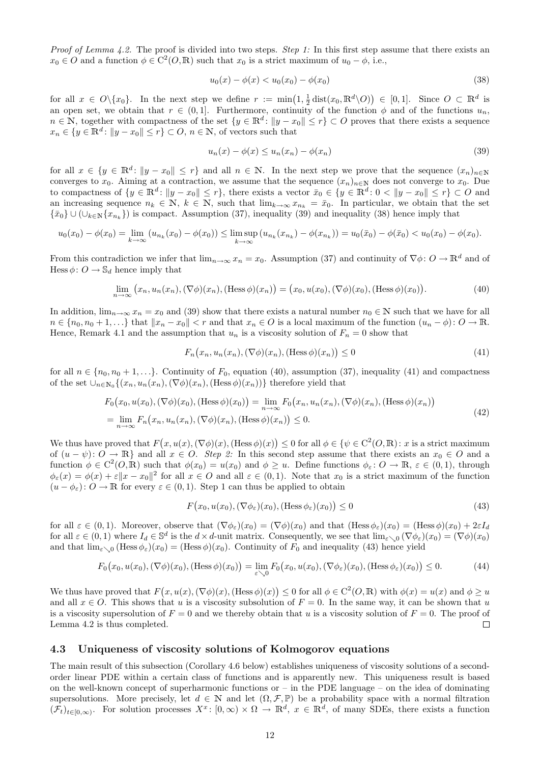*Proof of Lemma 4.2.* The proof is divided into two steps. *Step 1:* In this first step assume that there exists an  $x_0 \in O$  and a function  $\phi \in C^2(O, \mathbb{R})$  such that  $x_0$  is a strict maximum of  $u_0 - \phi$ , i.e.,

$$
u_0(x) - \phi(x) < u_0(x_0) - \phi(x_0) \tag{38}
$$

for all  $x \in O \setminus \{x_0\}$ . In the next step we define  $r := \min(1, \frac{1}{2} \text{dist}(x_0, \mathbb{R}^d \setminus O)) \in [0, 1]$ . Since  $O \subset \mathbb{R}^d$  is an open set, we obtain that  $r \in (0,1]$ . Furthermore, continuity of the function  $\phi$  and of the functions  $u_n$ ,  $n \in \mathbb{N}$ , together with compactness of the set  $\{y \in \mathbb{R}^d : ||y - x_0|| \le r\} \subset O$  proves that there exists a sequence  $x_n \in \{y \in \mathbb{R}^d : ||y - x_0|| \le r\} \subset O, n \in \mathbb{N}$ , of vectors such that

$$
u_n(x) - \phi(x) \le u_n(x_n) - \phi(x_n) \tag{39}
$$

for all  $x \in \{y \in \mathbb{R}^d : ||y - x_0|| \leq r\}$  and all  $n \in \mathbb{N}$ . In the next step we prove that the sequence  $(x_n)_{n \in \mathbb{N}}$ converges to  $x_0$ . Aiming at a contraction, we assume that the sequence  $(x_n)_{n\in\mathbb{N}}$  does not converge to  $x_0$ . Due to compactness of  $\{y \in \mathbb{R}^d : ||y - x_0|| \leq r\}$ , there exists a vector  $\bar{x}_0 \in \{y \in \mathbb{R}^d : 0 < ||y - x_0|| \leq r\} \subset O$  and an increasing sequence  $n_k \in \mathbb{N}$ ,  $k \in \mathbb{N}$ , such that  $\lim_{k\to\infty} x_{n_k} = \bar{x}_0$ . In particular, we obtain that the set  $\{\bar{x}_0\} \cup (\cup_{k \in \mathbb{N}} \{x_{n_k}\})$  is compact. Assumption (37), inequality (39) and inequality (38) hence imply that

$$
u_0(x_0) - \phi(x_0) = \lim_{k \to \infty} (u_{n_k}(x_0) - \phi(x_0)) \le \limsup_{k \to \infty} (u_{n_k}(x_{n_k}) - \phi(x_{n_k})) = u_0(\bar{x}_0) - \phi(\bar{x}_0) < u_0(x_0) - \phi(x_0).
$$

From this contradiction we infer that  $\lim_{n\to\infty} x_n = x_0$ . Assumption (37) and continuity of  $\nabla \phi: O \to \mathbb{R}^d$  and of Hess  $\phi: O \to \mathbb{S}_d$  hence imply that

$$
\lim_{n \to \infty} (x_n, u_n(x_n), (\nabla \phi)(x_n), (\text{Hess}\,\phi)(x_n)) = (x_0, u(x_0), (\nabla \phi)(x_0), (\text{Hess}\,\phi)(x_0)). \tag{40}
$$

In addition,  $\lim_{n\to\infty} x_n = x_0$  and (39) show that there exists a natural number  $n_0 \in \mathbb{N}$  such that we have for all  $n \in \{n_0, n_0 + 1, \ldots\}$  that  $||x_n - x_0|| < r$  and that  $x_n \in O$  is a local maximum of the function  $(u_n - \phi) \colon O \to \mathbb{R}$ . Hence, Remark 4.1 and the assumption that  $u_n$  is a viscosity solution of  $F_n = 0$  show that

$$
F_n(x_n, u_n(x_n), (\nabla \phi)(x_n), (\text{Hess}\,\phi)(x_n)) \le 0\tag{41}
$$

for all  $n \in \{n_0, n_0 + 1, ...\}$ . Continuity of  $F_0$ , equation (40), assumption (37), inequality (41) and compactness of the set  $\cup_{n\in\mathbb{N}_0}\{(x_n,u_n(x_n),(\nabla\phi)(x_n),(\text{Hess}\,\phi)(x_n))\}$  therefore yield that

$$
F_0(x_0, u(x_0), (\nabla \phi)(x_0), (\text{Hess}\phi)(x_0)) = \lim_{n \to \infty} F_0(x_n, u_n(x_n), (\nabla \phi)(x_n), (\text{Hess}\phi)(x_n))
$$
  
= 
$$
\lim_{n \to \infty} F_n(x_n, u_n(x_n), (\nabla \phi)(x_n), (\text{Hess}\phi)(x_n)) \le 0.
$$
 (42)

We thus have proved that  $F(x, u(x), (\nabla \phi)(x), (\text{Hess }\phi)(x)) \leq 0$  for all  $\phi \in {\phi^2(\mathcal{O}, \mathbb{R}) : x$  is a strict maximum of  $(u - \psi)$ :  $O \to \mathbb{R}$  and all  $x \in O$ . Step 2: In this second step assume that there exists an  $x_0 \in O$  and a function  $\phi \in C^2(0, \mathbb{R})$  such that  $\phi(x_0) = u(x_0)$  and  $\phi \geq u$ . Define functions  $\phi_{\varepsilon} \colon O \to \mathbb{R}, \, \varepsilon \in (0, 1)$ , through  $\phi_{\varepsilon}(x) = \phi(x) + \varepsilon \|x - x_0\|^2$  for all  $x \in O$  and all  $\varepsilon \in (0,1)$ . Note that  $x_0$  is a strict maximum of the function  $(u - \phi_{\varepsilon})$ :  $O \to \mathbb{R}$  for every  $\varepsilon \in (0,1)$ . Step 1 can thus be applied to obtain

$$
F(x_0, u(x_0), (\nabla \phi_{\varepsilon})(x_0), (\text{Hess}\,\phi_{\varepsilon})(x_0)) \le 0 \tag{43}
$$

for all  $\varepsilon \in (0,1)$ . Moreover, observe that  $(\nabla \phi_{\varepsilon})(x_0) = (\nabla \phi)(x_0)$  and that  $(Hess \phi_{\varepsilon})(x_0) = (Hess \phi)(x_0) + 2\varepsilon I_d$ for all  $\varepsilon \in (0,1)$  where  $I_d \in \mathbb{S}^d$  is the  $d \times d$ -unit matrix. Consequently, we see that  $\lim_{\varepsilon \searrow 0} (\nabla \phi_{\varepsilon})(x_0) = (\nabla \phi)(x_0)$ and that  $\lim_{\varepsilon \to 0} (\text{Hess } \phi_{\varepsilon})(x_0) = (\text{Hess } \phi)(x_0)$ . Continuity of  $F_0$  and inequality (43) hence yield

$$
F_0(x_0, u(x_0), (\nabla \phi)(x_0), (\text{Hess}\,\phi)(x_0)) = \lim_{\varepsilon \searrow 0} F_0(x_0, u(x_0), (\nabla \phi_{\varepsilon})(x_0), (\text{Hess}\,\phi_{\varepsilon})(x_0)) \le 0. \tag{44}
$$

We thus have proved that  $F(x, u(x), (\nabla \phi)(x), (\text{Hess }\phi)(x)) \leq 0$  for all  $\phi \in C^2(O,\mathbb{R})$  with  $\phi(x) = u(x)$  and  $\phi \geq u(x)$ and all  $x \in O$ . This shows that u is a viscosity subsolution of  $F = 0$ . In the same way, it can be shown that u is a viscosity supersolution of  $F = 0$  and we thereby obtain that u is a viscosity solution of  $F = 0$ . The proof of Lemma 4.2 is thus completed.  $\Box$ 

### 4.3 Uniqueness of viscosity solutions of Kolmogorov equations

The main result of this subsection (Corollary 4.6 below) establishes uniqueness of viscosity solutions of a secondorder linear PDE within a certain class of functions and is apparently new. This uniqueness result is based on the well-known concept of superharmonic functions or  $-$  in the PDE language  $-$  on the idea of dominating supersolutions. More precisely, let  $d \in \mathbb{N}$  and let  $(\Omega, \mathcal{F}, \mathbb{P})$  be a probability space with a normal filtration  $(\mathcal{F}_t)_{t\in[0,\infty)}$ . For solution processes  $X^x$ :  $[0,\infty)\times\Omega\to\mathbb{R}^d$ ,  $x\in\mathbb{R}^d$ , of many SDEs, there exists a function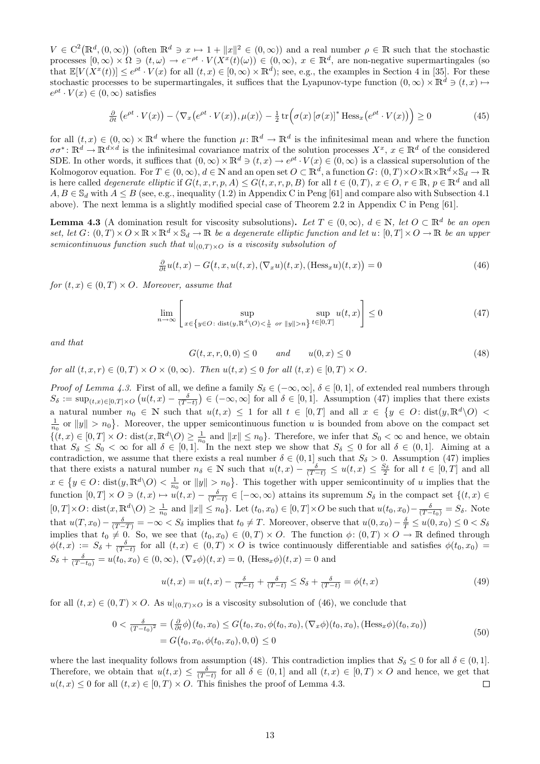$V \in C^2(\mathbb{R}^d, (0,\infty))$  (often  $\mathbb{R}^d \ni x \mapsto 1 + ||x||^2 \in (0,\infty)$ ) and a real number  $\rho \in \mathbb{R}$  such that the stochastic processes  $[0,\infty) \times \Omega \ni (t,\omega) \to e^{-\rho t} \cdot V(X^x(t)(\omega)) \in (0,\infty), x \in \mathbb{R}^d$ , are non-negative supermartingales (so that  $\mathbb{E}[V(X^x(t))] \leq e^{\rho t} \cdot V(x)$  for all  $(t, x) \in [0, \infty) \times \mathbb{R}^d$ ; see, e.g., the examples in Section 4 in [35]. For these stochastic processes to be supermartingales, it suffices that the Lyapunov-type function  $(0, \infty) \times \mathbb{R}^d \ni (t, x) \mapsto$  $e^{\rho t} \cdot V(x) \in (0,\infty)$  satisfies

$$
\frac{\partial}{\partial t} \left( e^{\rho t} \cdot V(x) \right) - \left\langle \nabla_x \left( e^{\rho t} \cdot V(x) \right), \mu(x) \right\rangle - \frac{1}{2} \operatorname{tr} \left( \sigma(x) \left[ \sigma(x) \right]^* \operatorname{Hess}_x \left( e^{\rho t} \cdot V(x) \right) \right) \ge 0 \tag{45}
$$

for all  $(t, x) \in (0, \infty) \times \mathbb{R}^d$  where the function  $\mu: \mathbb{R}^d \to \mathbb{R}^d$  is the infinitesimal mean and where the function  $\sigma\sigma^*: \mathbb{R}^d \to \mathbb{R}^{d \times d}$  is the infinitesimal covariance matrix of the solution processes  $X^x$ ,  $x \in \mathbb{R}^d$  of the considered SDE. In other words, it suffices that  $(0, \infty) \times \mathbb{R}^d \ni (t, x) \to e^{\rho t} \cdot V(x) \in (0, \infty)$  is a classical supersolution of the Kolmogorov equation. For  $T\in (0,\infty),$   $d\in \mathbb{N}$  and an open set  $O\subset \mathbb{R}^d,$  a function  $G\colon (0,T)\times O\times \mathbb{R}\times \mathbb{R}^d\times \mathbb{S}_d\to \mathbb{R}$ is here called *degenerate elliptic* if  $G(t, x, r, p, A) \leq G(t, x, r, p, B)$  for all  $t \in (0, T), x \in O, r \in \mathbb{R}, p \in \mathbb{R}^d$  and all  $A, B \in \mathbb{S}_d$  with  $A \leq B$  (see, e.g., inequality (1.2) in Appendix C in Peng [61] and compare also with Subsection 4.1 above). The next lemma is a slightly modified special case of Theorem 2.2 in Appendix C in Peng [61].

**Lemma 4.3** (A domination result for viscosity subsolutions). Let  $T \in (0, \infty)$ ,  $d \in \mathbb{N}$ , let  $O \subset \mathbb{R}^d$  be an open set, let  $G: (0,T) \times O \times \mathbb{R} \times \mathbb{R}^d \times \mathbb{S}_d \to \mathbb{R}$  be a degenerate elliptic function and let  $u: [0,T] \times O \to \mathbb{R}$  be an upper semicontinuous function such that  $u|_{(0,T)\times O}$  is a viscosity subsolution of

$$
\frac{\partial}{\partial t}u(t,x) - G\big(t,x,u(t,x),(\nabla_x u)(t,x),(\text{Hess}_x u)(t,x)\big) = 0\tag{46}
$$

for  $(t, x) \in (0, T) \times O$ . Moreover, assume that

$$
\lim_{n \to \infty} \left[ \sup_{x \in \{y \in O : \text{ dist}(y, \mathbb{R}^d \setminus O) < \frac{1}{n} \text{ or } \|y\| > n\}} \sup_{t \in [0, T]} u(t, x) \right] \le 0 \tag{47}
$$

and that

$$
G(t, x, r, 0, 0) \le 0 \qquad and \qquad u(0, x) \le 0 \tag{48}
$$

for all  $(t, x, r) \in (0, T) \times O \times (0, \infty)$ . Then  $u(t, x) \leq 0$  for all  $(t, x) \in [0, T) \times O$ .

Proof of Lemma 4.3. First of all, we define a family  $S_\delta \in (-\infty, \infty]$ ,  $\delta \in [0, 1]$ , of extended real numbers through  $S_{\delta} := \sup_{(t,x)\in[0,T]\times O} \left( u(t,x) - \frac{\delta}{(T-t)} \right) \in (-\infty,\infty]$  for all  $\delta \in [0,1]$ . Assumption (47) implies that there exists a natural number  $n_0 \in \mathbb{N}$  such that  $u(t,x) \leq 1$  for all  $t \in [0,T]$  and all  $x \in \{y \in O : \text{dist}(y,\mathbb{R}^d \setminus O)$  $\frac{1}{n_0}$  or  $||y|| > n_0$ . Moreover, the upper semicontinuous function u is bounded from above on the compact set  ${(t, x) \in [0, T] \times O: \text{dist}(x, \mathbb{R}^d \setminus O) \geq \frac{1}{n_0}}$  and  $||x|| \leq n_0$ . Therefore, we infer that  $S_0 < \infty$  and hence, we obtain that  $S_{\delta} \leq S_0 < \infty$  for all  $\delta \in [0,1]$ . In the next step we show that  $S_{\delta} \leq 0$  for all  $\delta \in (0,1]$ . Aiming at a contradiction, we assume that there exists a real number  $\delta \in (0,1]$  such that  $S_{\delta} > 0$ . Assumption (47) implies that there exists a natural number  $n_{\delta} \in \mathbb{N}$  such that  $u(t,x) - \frac{\delta}{(T-t)} \leq u(t,x) \leq \frac{S_{\delta}}{2}$  for all  $t \in [0,T]$  and all  $x \in \{y \in O: \text{dist}(y, \mathbb{R}^d \setminus O) < \frac{1}{n_0} \text{ or } ||y|| > n_0\}$ . This together with upper semicontinuity of u implies that the function  $[0,T] \times O \ni (t,x) \mapsto u(t,x) - \frac{\delta}{(T-t)} \in [-\infty,\infty)$  attains its supremum  $S_{\delta}$  in the compact set  $\{(t,x) \in$  $[0,T] \times O: \text{dist}(x, \mathbb{R}^d \setminus O) \ge \frac{1}{n_0}$  and  $||x|| \le n_0$ . Let  $(t_0, x_0) \in [0, T] \times O$  be such that  $u(t_0, x_0) - \frac{\delta}{(T-t_0)} = S_\delta$ . Note that  $u(T, x_0) - \frac{\delta}{(T-T)} = -\infty < S_\delta$  implies that  $t_0 \neq T$ . Moreover, observe that  $u(0, x_0) - \frac{\delta}{T} \leq u(0, x_0) \leq 0 < S_\delta$ implies that  $t_0 \neq 0$ . So, we see that  $(t_0, x_0) \in (0, T) \times O$ . The function  $\phi: (0, T) \times O \to \mathbb{R}$  defined through  $\phi(t,x) := S_{\delta} + \frac{\delta}{(T-t)}$  for all  $(t,x) \in (0,T) \times O$  is twice continuously differentiable and satisfies  $\phi(t_0, x_0)$  $S_{\delta} + \frac{\delta}{(T-t_0)} = u(t_0, x_0) \in (0, \infty), (\nabla_x \phi)(t, x) = 0$ ,  $(\text{Hess}_x \phi)(t, x) = 0$  and

$$
u(t,x) = u(t,x) - \frac{\delta}{(T-t)} + \frac{\delta}{(T-t)} \leq S_{\delta} + \frac{\delta}{(T-t)} = \phi(t,x)
$$
\n(49)

for all  $(t, x) \in (0, T) \times O$ . As  $u|_{(0,T) \times O}$  is a viscosity subsolution of (46), we conclude that

$$
0 < \frac{\delta}{(T-t_0)^2} = \left(\frac{\partial}{\partial t}\phi\right)(t_0, x_0) \le G\big(t_0, x_0, \phi(t_0, x_0), (\nabla_x \phi)(t_0, x_0), (\text{Hess}_x \phi)(t_0, x_0)\big) = G\big(t_0, x_0, \phi(t_0, x_0), 0, 0\big) \le 0
$$
\n<sup>(50)</sup>

where the last inequality follows from assumption (48). This contradiction implies that  $S_\delta \leq 0$  for all  $\delta \in (0,1]$ . Therefore, we obtain that  $u(t,x) \leq \frac{\delta}{(T-t)}$  for all  $\delta \in (0,1]$  and all  $(t,x) \in [0,T) \times O$  and hence, we get that  $u(t, x) \leq 0$  for all  $(t, x) \in [0, T] \times O$ . This finishes the proof of Lemma 4.3.  $\Box$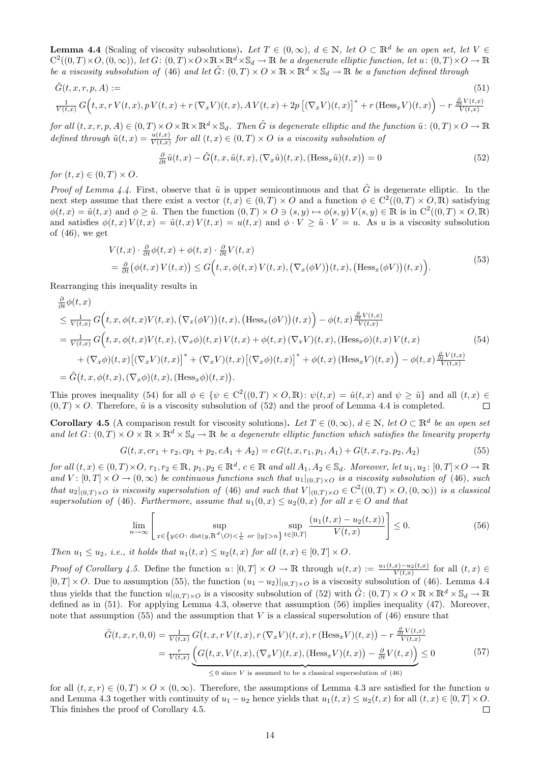**Lemma 4.4** (Scaling of viscosity subsolutions). Let  $T \in (0, \infty)$ ,  $d \in \mathbb{N}$ , let  $O \subset \mathbb{R}^d$  be an open set, let  $V \in$  $C^2((0,T)\times O,(0,\infty))$ , let  $G: (0,T)\times O\times\mathbb{R}\times\mathbb{R}^d\times\mathbb{S}_d\to\mathbb{R}$  be a degenerate elliptic function, let  $u\colon (0,T)\times O\to\mathbb{R}$ be a viscosity subsolution of (46) and let  $\tilde{G}$ :  $(0,T) \times O \times \mathbb{R} \times \mathbb{R}^d \times \mathbb{S}_d \to \mathbb{R}$  be a function defined through

$$
\tilde{G}(t, x, r, p, A) :=
$$
\n
$$
\frac{1}{V(t, x)} G\Big(t, x, r V(t, x), p V(t, x) + r (\nabla_x V)(t, x), A V(t, x) + 2p \left[ (\nabla_x V)(t, x) \right]^* + r (Hess_x V)(t, x) \Big) - r \frac{\frac{\partial}{\partial t} V(t, x)}{V(t, x)}
$$
\n
$$
(51)
$$

for all  $(t, x, r, p, A) \in (0, T) \times O \times \mathbb{R} \times \mathbb{R}^d \times \mathbb{S}_d$ . Then  $\tilde{G}$  is degenerate elliptic and the function  $\tilde{u}: (0, T) \times O \to \mathbb{R}$ defined through  $\tilde{u}(t,x) = \frac{u(t,x)}{V(t,x)}$  for all  $(t,x) \in (0,T) \times O$  is a viscosity subsolution of

$$
\frac{\partial}{\partial t}\tilde{u}(t,x) - \tilde{G}(t,x,\tilde{u}(t,x),(\nabla_x \tilde{u})(t,x),(\text{Hess}_x \tilde{u})(t,x)) = 0
$$
\n(52)

for  $(t, x) \in (0, T) \times O$ .

*Proof of Lemma 4.4.* First, observe that  $\tilde{u}$  is upper semicontinuous and that  $\tilde{G}$  is degenerate elliptic. In the next step assume that there exist a vector  $(t, x) \in (0, T) \times O$  and a function  $\phi \in C^2((0, T) \times O, \mathbb{R})$  satisfying  $\phi(t,x) = \tilde{u}(t,x)$  and  $\phi \geq \tilde{u}$ . Then the function  $(0,T) \times O \ni (s,y) \mapsto \phi(s,y) V(s,y) \in \mathbb{R}$  is in  $C^2((0,T) \times O, \mathbb{R})$ and satisfies  $\phi(t, x) V(t, x) = \tilde{u}(t, x) V(t, x) = u(t, x)$  and  $\phi \cdot V \geq \tilde{u} \cdot V = u$ . As u is a viscosity subsolution of  $(46)$ , we get

$$
V(t,x) \cdot \frac{\partial}{\partial t} \phi(t,x) + \phi(t,x) \cdot \frac{\partial}{\partial t} V(t,x)
$$
  
= 
$$
\frac{\partial}{\partial t} (\phi(t,x) V(t,x)) \le G\Big(t, x, \phi(t,x) V(t,x), (\nabla_x (\phi V))(t,x), (\text{Hess}_x (\phi V))(t,x)\Big).
$$
 (53)

Rearranging this inequality results in

$$
\frac{\partial}{\partial t}\phi(t,x) \leq \frac{1}{V(t,x)} G(t,x,\phi(t,x)V(t,x),(\nabla_x(\phi V))(t,x),(\text{Hess}_x(\phi V))(t,x)) - \phi(t,x)\frac{\partial}{\partial t}V(t,x) \n= \frac{1}{V(t,x)} G(t,x,\phi(t,x)V(t,x),(\nabla_x\phi)(t,x)V(t,x) + \phi(t,x)(\nabla_x V)(t,x),(\text{Hess}_x\phi)(t,x)V(t,x) \n+ (\nabla_x\phi)(t,x) [(\nabla_x V)(t,x)]^* + (\nabla_x V)(t,x) [(\nabla_x\phi)(t,x)]^* + \phi(t,x) (\text{Hess}_x V)(t,x) - \phi(t,x)\frac{\partial}{\partial t}V(t,x) \n= \tilde{G}(t,x,\phi(t,x),(\nabla_x\phi)(t,x),(\text{Hess}_x\phi)(t,x)).
$$
\n(13)

This proves inequality (54) for all  $\phi \in {\mathbb C}^2((0,T) \times O, \mathbb{R})$ :  $\psi(t,x) = \tilde{u}(t,x)$  and  $\psi \geq \tilde{u}$  and all  $(t,x) \in$  $(0, T) \times O$ . Therefore,  $\tilde{u}$  is a viscosity subsolution of (52) and the proof of Lemma 4.4 is completed.  $\Box$ 

**Corollary 4.5** (A comparison result for viscosity solutions). Let  $T \in (0, \infty)$ ,  $d \in \mathbb{N}$ , let  $O \subset \mathbb{R}^d$  be an open set and let  $G: (0,T) \times O \times \mathbb{R} \times \mathbb{R}^d \times \mathbb{S}_d \to \mathbb{R}$  be a degenerate elliptic function which satisfies the linearity property

$$
G(t, x, cr_1 + r_2, cp_1 + p_2, cA_1 + A_2) = cG(t, x, r_1, p_1, A_1) + G(t, x, r_2, p_2, A_2)
$$
\n
$$
(55)
$$

 $for\ all\ (t, x) \in (0, T) \times O,\ r_1, r_2 \in \mathbb{R},\ p_1, p_2 \in \mathbb{R}^d,\ c \in \mathbb{R}\ and\ all\ A_1, A_2 \in \mathbb{S}_d.$  Moreover, let  $u_1, u_2 \colon [0, T] \times O \to \mathbb{R}$ and  $V: [0,T] \times O \to (0,\infty)$  be continuous functions such that  $u_1|_{(0,T) \times O}$  is a viscosity subsolution of (46), such that  $u_2|_{(0,T)\times O}$  is viscosity supersolution of (46) and such that  $V|_{(0,T)\times O} \in C^2((0,T)\times O, (0,\infty))$  is a classical supersolution of (46). Furthermore, assume that  $u_1(0, x) \le u_2(0, x)$  for all  $x \in O$  and that

$$
\lim_{n \to \infty} \left[ \sup_{x \in \{y \in O : \text{ dist}(y, \mathbb{R}^d \setminus O) < \frac{1}{n} \text{ or } ||y|| > n\}} \sup_{t \in [0, T]} \frac{(u_1(t, x) - u_2(t, x))}{V(t, x)} \right] \le 0. \tag{56}
$$

Then  $u_1 \leq u_2$ , i.e., it holds that  $u_1(t,x) \leq u_2(t,x)$  for all  $(t,x) \in [0,T] \times O$ .

Proof of Corollary 4.5. Define the function  $u: [0,T] \times O \to \mathbb{R}$  through  $u(t,x) := \frac{u_1(t,x)-u_2(t,x)}{V(t,x)}$  for all  $(t,x) \in$  $[0, T] \times O$ . Due to assumption (55), the function  $(u_1 - u_2)|_{(0,T) \times O}$  is a viscosity subsolution of (46). Lemma 4.4 thus yields that the function  $u|_{(0,T)\times O}$  is a viscosity subsolution of (52) with  $\tilde{G}$ :  $(0,T)\times O\times\mathbb{R}\times\mathbb{R}^d\times\mathbb{S}_d\to\mathbb{R}$ defined as in (51). For applying Lemma 4.3, observe that assumption (56) implies inequality (47). Moreover, note that assumption (55) and the assumption that  $V$  is a classical supersolution of (46) ensure that

$$
\tilde{G}(t, x, r, 0, 0) = \frac{1}{V(t, x)} G(t, x, r V(t, x), r (\nabla_x V)(t, x), r (\text{Hess}_x V)(t, x)) - r \frac{\frac{\partial}{\partial t} V(t, x)}{V(t, x)}
$$
\n
$$
= \frac{r}{V(t, x)} \underbrace{\left( G(t, x, V(t, x), (\nabla_x V)(t, x), (\text{Hess}_x V)(t, x)) - \frac{\partial}{\partial t} V(t, x) \right)}_{\leq 0 \text{ since } V \text{ is assumed to be a classical supersolution of (46)} \tag{57}
$$

for all  $(t, x, r) \in (0, T) \times O \times (0, \infty)$ . Therefore, the assumptions of Lemma 4.3 are satisfied for the function u and Lemma 4.3 together with continuity of  $u_1 - u_2$  hence yields that  $u_1(t, x) \le u_2(t, x)$  for all  $(t, x) \in [0, T] \times O$ . This finishes the proof of Corollary 4.5.  $\Box$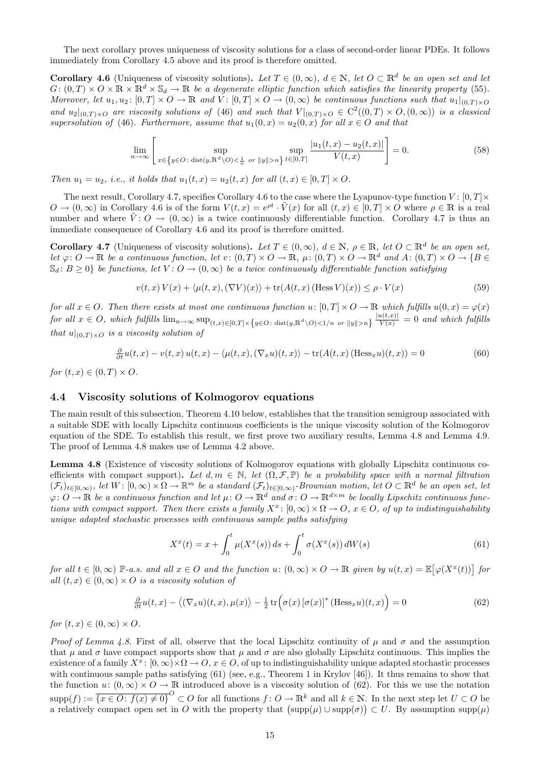The next corollary proves uniqueness of viscosity solutions for a class of second-order linear PDEs. It follows immediately from Corollary 4.5 above and its proof is therefore omitted.

**Corollary 4.6** (Uniqueness of viscosity solutions). Let  $T \in (0,\infty)$ ,  $d \in \mathbb{N}$ , let  $O \subset \mathbb{R}^d$  be an open set and let  $G: (0, T) \times O \times \mathbb{R} \times \mathbb{R}^d \times \mathbb{S}_d \to \mathbb{R}$  be a degenerate elliptic function which satisfies the linearity property (55). Moreover, let  $u_1, u_2$ :  $[0, T] \times O \to \mathbb{R}$  and  $V: [0, T] \times O \to (0, \infty)$  be continuous functions such that  $u_1|_{(0, T) \times O}$ and  $u_2|_{(0,T)\times O}$  are viscosity solutions of (46) and such that  $V|_{(0,T)\times O} \in C^2((0,T)\times O,(0,\infty))$  is a classical supersolution of (46). Furthermore, assume that  $u_1(0, x) = u_2(0, x)$  for all  $x \in O$  and that

$$
\lim_{n \to \infty} \left[ \sup_{x \in \{y \in O : \text{ dist}(y, \mathbb{R}^d \setminus O) < \frac{1}{n} \text{ or } ||y|| > n\}} \sup_{t \in [0, T]} \frac{|u_1(t, x) - u_2(t, x)|}{V(t, x)} \right] = 0. \tag{58}
$$

Then  $u_1 = u_2$ , i.e., it holds that  $u_1(t, x) = u_2(t, x)$  for all  $(t, x) \in [0, T] \times O$ .

The next result, Corollary 4.7, specifies Corollary 4.6 to the case where the Lyapunov-type function  $V : [0, T] \times$  $O \to (0,\infty)$  in Corollary 4.6 is of the form  $V(t,x) = e^{\rho t} \cdot \tilde{V}(x)$  for all  $(t,x) \in [0,T] \times O$  where  $\rho \in \mathbb{R}$  is a real number and where  $V: O \to (0, \infty)$  is a twice continuously differentiable function. Corollary 4.7 is thus an immediate consequence of Corollary 4.6 and its proof is therefore omitted.

**Corollary 4.7** (Uniqueness of viscosity solutions). Let  $T \in (0, \infty)$ ,  $d \in \mathbb{N}$ ,  $\rho \in \mathbb{R}$ , let  $O \subset \mathbb{R}^d$  be an open set, let  $\varphi: O \to \mathbb{R}$  be a continuous function, let  $v: (0,T) \times O \to \mathbb{R}$ ,  $\mu: (0,T) \times O \to \mathbb{R}^d$  and  $A: (0,T) \times O \to \{B \in$  $\mathbb{S}_d$ :  $B \geq 0$  be functions, let  $V: O \to (0, \infty)$  be a twice continuously differentiable function satisfying

$$
v(t,x)V(x) + \langle \mu(t,x), (\nabla V)(x) \rangle + \text{tr}(A(t,x)(\text{Hess }V)(x)) \le \rho \cdot V(x)
$$
\n(59)

for all  $x \in O$ . Then there exists at most one continuous function  $u: [0, T] \times O \to \mathbb{R}$  which fulfills  $u(0, x) = \varphi(x)$  $for \ all \ x \in O, \ which \ fulfills \ \lim_{n \to \infty} \sup_{(t,x) \in [0,T] \times \{y \in O : \ \text{dist}(y, \mathbb{R}^d \setminus O) < 1/n \ \ or \ \|y\| > n\}} \frac{|u(t,x)|}{V(x)} = 0 \ \ and \ which \ fulfills \ \ \text{dist}(y, \mathbb{R}^d \setminus O) < 1/n \ \ or \ \ \text{dist}(y, \mathbb{R}^d \setminus O) < 1/n \ \ or \ \ \text{dist}(y, \mathbb{R}^d \setminus O) < 1/n \ \ or \ \ \text{dist}(y, \mathbb{R}^d$ that  $u|_{(0,T)\times O}$  is a viscosity solution of

$$
\frac{\partial}{\partial t}u(t,x) - v(t,x)u(t,x) - \langle \mu(t,x), (\nabla_x u)(t,x) \rangle - \text{tr}(A(t,x))(\text{Hess}_x u)(t,x)) = 0
$$
\n(60)

for  $(t, x) \in (0, T) \times O$ .

### 4.4 Viscosity solutions of Kolmogorov equations

The main result of this subsection, Theorem 4.10 below, establishes that the transition semigroup associated with a suitable SDE with locally Lipschitz continuous coefficients is the unique viscosity solution of the Kolmogorov equation of the SDE. To establish this result, we first prove two auxiliary results, Lemma 4.8 and Lemma 4.9. The proof of Lemma 4.8 makes use of Lemma 4.2 above.

Lemma 4.8 (Existence of viscosity solutions of Kolmogorov equations with globally Lipschitz continuous coefficients with compact support). Let  $d, m \in \mathbb{N}$ , let  $(\Omega, \mathcal{F}, \mathbb{P})$  be a probability space with a normal filtration  $(\mathcal{F}_t)_{t\in[0,\infty)}$ , let  $W: [0,\infty)\times\Omega \to \mathbb{R}^m$  be a standard  $(\mathcal{F}_t)_{t\in[0,\infty)}$ -Brownian motion, let  $O\subset\mathbb{R}^d$  be an open set, let  $\varphi: O \to \mathbb{R}$  be a continuous function and let  $\mu: O \to \mathbb{R}^d$  and  $\sigma: O \to \mathbb{R}^{d \times m}$  be locally Lipschitz continuous functions with compact support. Then there exists a family  $X^x$ :  $[0,\infty) \times \Omega \to O$ ,  $x \in O$ , of up to indistinguishability unique adapted stochastic processes with continuous sample paths satisfying

$$
X^{x}(t) = x + \int_{0}^{t} \mu(X^{x}(s)) ds + \int_{0}^{t} \sigma(X^{x}(s)) dW(s)
$$
\n(61)

for all  $t \in [0,\infty)$  P-a.s. and all  $x \in O$  and the function  $u: (0,\infty) \times O \to \mathbb{R}$  given by  $u(t,x) = \mathbb{E}[\varphi(X^x(t))]$  for all  $(t, x) \in (0, \infty) \times O$  is a viscosity solution of

$$
\frac{\partial}{\partial t}u(t,x) - \langle (\nabla_x u)(t,x), \mu(x) \rangle - \frac{1}{2} \operatorname{tr} \Big( \sigma(x) \left[ \sigma(x) \right]^* (\text{Hess}_x u)(t,x) \Big) = 0 \tag{62}
$$

for  $(t, x) \in (0, \infty) \times O$ .

*Proof of Lemma 4.8.* First of all, observe that the local Lipschitz continuity of  $\mu$  and  $\sigma$  and the assumption that  $\mu$  and  $\sigma$  have compact supports show that  $\mu$  and  $\sigma$  are also globally Lipschitz continuous. This implies the existence of a family  $X^x$ :  $[0,\infty)\times\Omega\to\overline{O}$ ,  $x\in\overline{O}$ , of up to indistinguishability unique adapted stochastic processes with continuous sample paths satisfying (61) (see, e.g., Theorem 1 in Krylov [46]). It thus remains to show that the function  $u: (0, \infty) \times O \to \mathbb{R}$  introduced above is a viscosity solution of (62). For this we use the notation  $\text{supp}(f) := \overline{\{x \in O : f(x) \neq 0\}}^O \subset O$  for all functions  $f: O \to \mathbb{R}^k$  and all  $k \in \mathbb{N}$ . In the next step let  $U \subset O$  be a relatively compact open set in O with the property that  $(\text{supp}(\mu) \cup \text{supp}(\sigma)) \subset U$ . By assumption supp $(\mu)$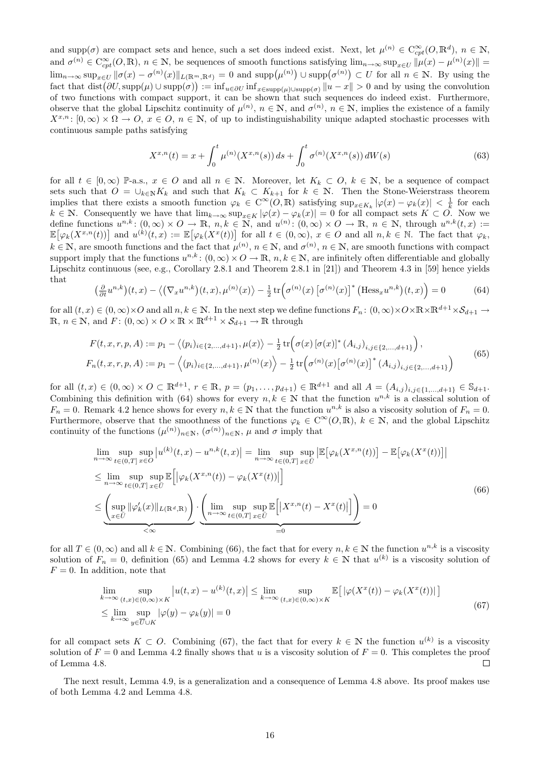and supp $(\sigma)$  are compact sets and hence, such a set does indeed exist. Next, let  $\mu^{(n)} \in C^{\infty}_{cpt}(O, \mathbb{R}^d)$ ,  $n \in \mathbb{N}$ , and  $\sigma^{(n)} \in \mathcal{C}_{cpt}^{\infty}(O,\mathbb{R})$ ,  $n \in \mathbb{N}$ , be sequences of smooth functions satisfying  $\lim_{n\to\infty} \sup_{x\in U} \|\mu(x)-\mu^{(n)}(x)\|$  $\lim_{n\to\infty} \sup_{x\in U} \|\sigma(x)-\sigma^{(n)}(x)\|_{L(\mathbb{R}^m,\mathbb{R}^d)} = 0$  and  $\text{supp}(\mu^{(n)}) \cup \text{supp}(\sigma^{(n)}) \subset U$  for all  $n \in \mathbb{N}$ . By using the fact that  $dist(\partial U, supp(\mu) \cup supp(\sigma)) := inf_{u \in \partial U} inf_{x \in supp(\mu) \cup supp(\sigma)} ||u - x|| > 0$  and by using the convolution of two functions with compact support, it can be shown that such sequences do indeed exist. Furthermore, observe that the global Lipschitz continuity of  $\mu^{(n)}$ ,  $n \in \mathbb{N}$ , and  $\sigma^{(n)}$ ,  $n \in \mathbb{N}$ , implies the existence of a family  $X^{x,n}$ :  $[0,\infty) \times \Omega \to O, x \in O, n \in \mathbb{N}$ , of up to indistinguishability unique adapted stochastic processes with continuous sample paths satisfying

$$
X^{x,n}(t) = x + \int_0^t \mu^{(n)}(X^{x,n}(s)) ds + \int_0^t \sigma^{(n)}(X^{x,n}(s)) dW(s)
$$
\n(63)

for all  $t \in [0,\infty)$  P-a.s.,  $x \in O$  and all  $n \in \mathbb{N}$ . Moreover, let  $K_k \subset O$ ,  $k \in \mathbb{N}$ , be a sequence of compact sets such that  $O = \bigcup_{k \in \mathbb{N}} K_k$  and such that  $K_k \subset K_{k+1}$  for  $k \in \mathbb{N}$ . Then the Stone-Weierstrass theorem implies that there exists a smooth function  $\varphi_k \in C^{\infty}(O, \mathbb{R})$  satisfying  $\sup_{x \in K_k} |\varphi(x) - \varphi_k(x)| < \frac{1}{k}$  for each  $k \in \mathbb{N}$ . Consequently we have that  $\lim_{k\to\infty} \sup_{x\in K} |\varphi(x) - \varphi_k(x)| = 0$  for all compact sets  $K \subset O$ . Now we define functions  $u^{n,k}$ :  $(0,\infty) \times O \to \mathbb{R}$ ,  $n,k \in \mathbb{N}$ , and  $u^{(n)}$ :  $(0,\infty) \times O \to \mathbb{R}$ ,  $n \in \mathbb{N}$ , through  $u^{n,k}(t,x)$ :  $\mathbb{E}[\varphi_k(X^{x,n}(t))]$  and  $u^{(k)}(t,x) := \mathbb{E}[\varphi_k(X^x(t))]$  for all  $t \in (0,\infty), x \in O$  and all  $n,k \in \mathbb{N}$ . The fact that  $\varphi_k$ ,  $k \in \mathbb{N}$ , are smooth functions and the fact that  $\mu^{(n)}$ ,  $n \in \mathbb{N}$ , and  $\sigma^{(n)}$ ,  $n \in \mathbb{N}$ , are smooth functions with compact support imply that the functions  $u^{n,k}$ :  $(0,\infty) \times O \to \mathbb{R}$ ,  $n,k \in \mathbb{N}$ , are infinitely often differentiable and globally Lipschitz continuous (see, e.g., Corollary 2.8.1 and Theorem 2.8.1 in [21]) and Theorem 4.3 in [59] hence yields that

$$
\left(\frac{\partial}{\partial t}u^{n,k}\right)(t,x) - \left\langle \left(\nabla_x u^{n,k}\right)(t,x),\mu^{(n)}(x)\right\rangle - \frac{1}{2}\operatorname{tr}\left(\sigma^{(n)}(x)\left[\sigma^{(n)}(x)\right]^*\left(\text{Hess}_x u^{n,k}\right)(t,x)\right) = 0\tag{64}
$$

for all  $(t, x) \in (0, \infty) \times O$  and all  $n, k \in \mathbb{N}$ . In the next step we define functions  $F_n: (0, \infty) \times O \times \mathbb{R} \times \mathbb{R}^{d+1} \times S_{d+1} \to$  $\mathbb{R}, n \in \mathbb{N}$ , and  $F: (0, \infty) \times O \times \mathbb{R} \times \mathbb{R}^{d+1} \times \mathcal{S}_{d+1} \to \mathbb{R}$  through

$$
F(t, x, r, p, A) := p_1 - \langle (p_i)_{i \in \{2, ..., d+1\}}, \mu(x) \rangle - \frac{1}{2} \operatorname{tr} \left( \sigma(x) \left[ \sigma(x) \right]^* (A_{i,j})_{i,j \in \{2, ..., d+1\}} \right),
$$
  
\n
$$
F_n(t, x, r, p, A) := p_1 - \langle (p_i)_{i \in \{2, ..., d+1\}}, \mu^{(n)}(x) \rangle - \frac{1}{2} \operatorname{tr} \left( \sigma^{(n)}(x) \left[ \sigma^{(n)}(x) \right]^* (A_{i,j})_{i,j \in \{2, ..., d+1\}} \right)
$$
\n(65)

for all  $(t, x) \in (0, \infty) \times O \subset \mathbb{R}^{d+1}$ ,  $r \in \mathbb{R}$ ,  $p = (p_1, \ldots, p_{d+1}) \in \mathbb{R}^{d+1}$  and all  $A = (A_{i,j})_{i,j \in \{1, \ldots, d+1\}} \in \mathbb{S}_{d+1}$ . Combining this definition with (64) shows for every  $n, k \in \mathbb{N}$  that the function  $u^{n,k}$  is a classical solution of  $F_n = 0$ . Remark 4.2 hence shows for every  $n, k \in \mathbb{N}$  that the function  $u^{n,k}$  is also a viscosity solution of  $F_n = 0$ . Furthermore, observe that the smoothness of the functions  $\varphi_k \in C^{\infty}(O, \mathbb{R})$ ,  $k \in \mathbb{N}$ , and the global Lipschitz continuity of the functions  $(\mu^{(n)})_{n\in\mathbb{N}}$ ,  $(\sigma^{(n)})_{n\in\mathbb{N}}$ ,  $\mu$  and  $\sigma$  imply that

$$
\lim_{n \to \infty} \sup_{t \in (0,T]} \sup_{x \in O} |u^{(k)}(t,x) - u^{n,k}(t,x)| = \lim_{n \to \infty} \sup_{t \in (0,T]} \sup_{x \in \overline{U}} \left| \mathbb{E} \left[ \varphi_k(X^{x,n}(t)) \right] - \mathbb{E} \left[ \varphi_k(X^x(t)) \right] \right|
$$
\n
$$
\leq \lim_{n \to \infty} \sup_{t \in (0,T]} \sup_{x \in \overline{U}} \mathbb{E} \left[ \left| \varphi_k(X^{x,n}(t)) - \varphi_k(X^x(t)) \right| \right]
$$
\n
$$
\leq \underbrace{\left( \sup_{x \in \overline{U}} \|\varphi_k'(x)\|_{L(\mathbb{R}^d,\mathbb{R})} \right)}_{\leq \infty} \cdot \underbrace{\left( \lim_{n \to \infty} \sup_{t \in (0,T]} \sup_{x \in \overline{U}} \mathbb{E} \left[ \left| X^{x,n}(t) - X^x(t) \right| \right] \right)}_{=0} = 0
$$
\n(66)

for all  $T \in (0, \infty)$  and all  $k \in \mathbb{N}$ . Combining (66), the fact that for every  $n, k \in \mathbb{N}$  the function  $u^{n,k}$  is a viscosity solution of  $F_n = 0$ , definition (65) and Lemma 4.2 shows for every  $k \in \mathbb{N}$  that  $u^{(k)}$  is a viscosity solution of  $F = 0$ . In addition, note that

$$
\lim_{k \to \infty} \sup_{(t,x) \in (0,\infty) \times K} |u(t,x) - u^{(k)}(t,x)| \le \lim_{k \to \infty} \sup_{(t,x) \in (0,\infty) \times K} \mathbb{E}\big[|\varphi(X^x(t)) - \varphi_k(X^x(t))|\big]
$$
\n
$$
\le \lim_{k \to \infty} \sup_{y \in \overline{U} \cup K} |\varphi(y) - \varphi_k(y)| = 0
$$
\n(67)

for all compact sets  $K \subset O$ . Combining (67), the fact that for every  $k \in \mathbb{N}$  the function  $u^{(k)}$  is a viscosity solution of  $F = 0$  and Lemma 4.2 finally shows that u is a viscosity solution of  $F = 0$ . This completes the proof of Lemma 4.8.  $\Box$ 

The next result, Lemma 4.9, is a generalization and a consequence of Lemma 4.8 above. Its proof makes use of both Lemma 4.2 and Lemma 4.8.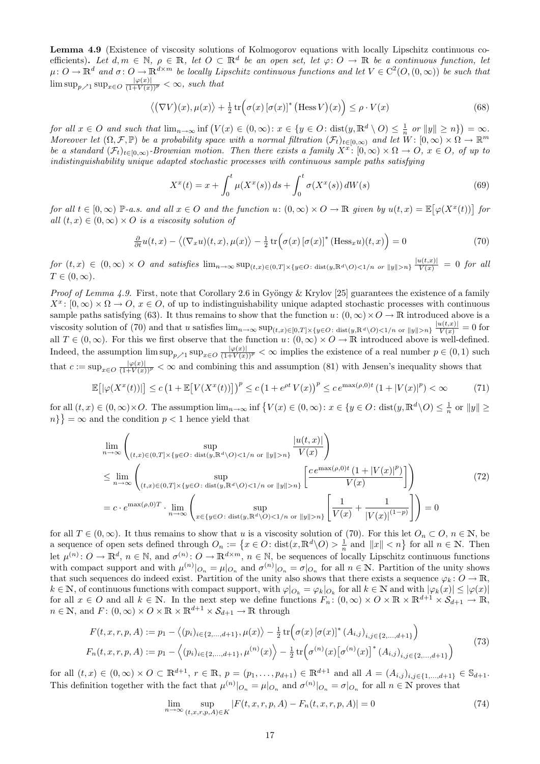Lemma 4.9 (Existence of viscosity solutions of Kolmogorov equations with locally Lipschitz continuous coefficients). Let  $d, m \in \mathbb{N}$ ,  $\rho \in \mathbb{R}$ , let  $O \subset \mathbb{R}^d$  be an open set, let  $\varphi: O \to \mathbb{R}$  be a continuous function, let  $\mu: O \to \mathbb{R}^d$  and  $\sigma: O \to \mathbb{R}^{d \times m}$  be locally Lipschitz continuous functions and let  $V \in C^2(O, (0, \infty))$  be such that  $\limsup_{p \nearrow 1} \sup_{x \in O} \frac{|\varphi(x)|}{(1+V(x))^p} < \infty$ , such that

$$
\langle (\nabla V)(x), \mu(x) \rangle + \frac{1}{2} \operatorname{tr} \Big( \sigma(x) \left[ \sigma(x) \right]^* \big( \operatorname{Hess} V \big)(x) \Big) \le \rho \cdot V(x) \tag{68}
$$

for all  $x \in O$  and such that  $\lim_{n \to \infty} \inf (V(x) \in (0, \infty) : x \in \{y \in O : \text{dist}(y, \mathbb{R}^d \setminus O) \leq \frac{1}{n} \text{ or } ||y|| \geq n\}) = \infty$ . Moreover let  $(\Omega, \mathcal{F}, \mathbb{P})$  be a probability space with a normal filtration  $(\mathcal{F}_t)_{t\in [0,\infty)}$  and let  $W: [0,\infty)\times \Omega \to \mathbb{R}^m$ be a standard  $(\mathcal{F}_t)_{t\in[0,\infty)}$ -Brownian motion. Then there exists a family  $X^x$ :  $[0,\infty)\times\Omega\to\Omega$ ,  $x\in\Omega$ , of up to indistinguishability unique adapted stochastic processes with continuous sample paths satisfying

$$
X^{x}(t) = x + \int_{0}^{t} \mu(X^{x}(s)) ds + \int_{0}^{t} \sigma(X^{x}(s)) dW(s)
$$
\n(69)

for all  $t \in [0,\infty)$  P-a.s. and all  $x \in O$  and the function  $u: (0,\infty) \times O \to \mathbb{R}$  given by  $u(t,x) = \mathbb{E}[\varphi(X^x(t))]$  for all  $(t, x) \in (0, \infty) \times O$  is a viscosity solution of

$$
\frac{\partial}{\partial t}u(t,x) - \langle (\nabla_x u)(t,x), \mu(x) \rangle - \frac{1}{2} \operatorname{tr} \Big( \sigma(x) \left[ \sigma(x) \right]^* (\text{Hess}_x u)(t,x) \Big) = 0 \tag{70}
$$

 $for (t, x) \in (0, \infty) \times O$  and satisfies  $\lim_{n\to\infty} \sup_{(t,x)\in(0,T]\times\{y\in O:\text{dist}(y,\mathbb{R}^d\setminus O)\leq 1/n \text{ or } \|y\|>n\}} \frac{|u(t,x)|}{V(x)} = 0$  for all  $T \in (0, \infty).$ 

*Proof of Lemma 4.9.* First, note that Corollary 2.6 in Gyöngy & Krylov [25] guarantees the existence of a family  $X^x$ :  $[0,\infty) \times \Omega \to O$ ,  $x \in O$ , of up to indistinguishability unique adapted stochastic processes with continuous sample paths satisfying (63). It thus remains to show that the function  $u: (0, \infty) \times O \to \mathbb{R}$  introduced above is a viscosity solution of (70) and that u satisfies  $\lim_{n\to\infty} \sup_{(t,x)\in[0,T]\times\{y\in O:\text{dist}(y,\mathbb{R}^d\setminus O)\leq 1/n\text{ or }\|y\|>n\}}\frac{|u(t,x)|}{V(x)}=0$  for all  $T \in (0,\infty)$ . For this we first observe that the function  $u: (0,\infty) \times O \to \mathbb{R}$  introduced above is well-defined. Indeed, the assumption  $\limsup_{p\geq 1} \sup_{x\in O} \frac{|\varphi(x)|}{(1+V(x))^p} < \infty$  implies the existence of a real number  $p \in (0,1)$  such that  $c := \sup_{x \in O} \frac{|\varphi(x)|}{(1+V(x))^p} < \infty$  and combining this and assumption (81) with Jensen's inequality shows that

$$
\mathbb{E}\big[\big|\varphi(X^x(t))\big|\big] \le c\left(1 + \mathbb{E}\big[V(X^x(t))\big]\right)^p \le c\left(1 + e^{\rho t}V(x)\right)^p \le c\,e^{\max(\rho,0)t}\left(1 + |V(x)|^p\right) < \infty\tag{71}
$$

for all  $(t, x) \in (0, \infty) \times O$ . The assumption  $\lim_{n \to \infty} \inf \{ V(x) \in (0, \infty) : x \in \{y \in O : \text{dist}(y, \mathbb{R}^d \setminus O) \leq \frac{1}{n} \text{ or } ||y|| \geq \frac{1}{n} \}$  $n\}$  =  $\infty$  and the condition  $p < 1$  hence yield that

$$
\lim_{n \to \infty} \left( \sup_{(t,x) \in (0,T] \times \{y \in O : \text{dist}(y,\mathbb{R}^d \setminus O) < 1/n \text{ or } ||y|| > n\}} \frac{|u(t,x)|}{V(x)} \right)
$$
\n
$$
\leq \lim_{n \to \infty} \left( \sup_{(t,x) \in (0,T] \times \{y \in O : \text{dist}(y,\mathbb{R}^d \setminus O) < 1/n \text{ or } ||y|| > n\}} \left[ \frac{c e^{\max(\rho,0)t} \left(1 + |V(x)|^p\right)}{V(x)}\right] \right)
$$
\n
$$
= c \cdot e^{\max(\rho,0)T} \cdot \lim_{n \to \infty} \left( \sup_{x \in \{y \in O : \text{dist}(y,\mathbb{R}^d \setminus O) < 1/n \text{ or } ||y|| > n\}} \left[ \frac{1}{V(x)} + \frac{1}{|V(x)|^{(1-p)}} \right] \right) = 0
$$
\n
$$
(72)
$$

for all  $T \in (0,\infty)$ . It thus remains to show that u is a viscosity solution of (70). For this let  $O_n \subset O, n \in \mathbb{N}$ , be a sequence of open sets defined through  $O_n := \{x \in O : \text{dist}(x, \mathbb{R}^d \setminus O) > \frac{1}{n} \text{ and } ||x|| < n\}$  for all  $n \in \mathbb{N}$ . Then let  $\mu^{(n)}: O \to \mathbb{R}^d$ ,  $n \in \mathbb{N}$ , and  $\sigma^{(n)}: O \to \mathbb{R}^{d \times m}$ ,  $n \in \mathbb{N}$ , be sequences of locally Lipschitz continuous functions with compact support and with  $\mu^{(n)}|_{O_n} = \mu|_{O_n}$  and  $\sigma^{(n)}|_{O_n} = \sigma|_{O_n}$  for all  $n \in \mathbb{N}$ . Partition of the unity shows that such sequences do indeed exist. Partition of the unity also shows that there exists a sequence  $\varphi_k: O \to \mathbb{R}$ ,  $k \in \mathbb{N}$ , of continuous functions with compact support, with  $\varphi|_{O_k} = \varphi_k|_{O_k}$  for all  $k \in \mathbb{N}$  and with  $|\varphi_k(x)| \leq |\varphi(x)|$ for all  $x \in O$  and all  $k \in \mathbb{N}$ . In the next step we define functions  $F_n: (0, \infty) \times O \times \mathbb{R} \times \mathbb{R}^{d+1} \times \mathcal{S}_{d+1} \to \mathbb{R}$ ,  $n \in \mathbb{N}$ , and  $F: (0, \infty) \times O \times \mathbb{R} \times \mathbb{R}^{d+1} \times \mathcal{S}_{d+1} \to \mathbb{R}$  through

$$
F(t, x, r, p, A) := p_1 - \langle (p_i)_{i \in \{2, ..., d+1\}}, \mu(x) \rangle - \frac{1}{2} \operatorname{tr} \left( \sigma(x) \left[ \sigma(x) \right]^* (A_{i,j})_{i,j \in \{2, ..., d+1\}} \right)
$$
  
\n
$$
F_n(t, x, r, p, A) := p_1 - \langle (p_i)_{i \in \{2, ..., d+1\}}, \mu^{(n)}(x) \rangle - \frac{1}{2} \operatorname{tr} \left( \sigma^{(n)}(x) \left[ \sigma^{(n)}(x) \right]^* (A_{i,j})_{i,j \in \{2, ..., d+1\}} \right)
$$
\n
$$
(73)
$$

for all  $(t, x) \in (0, \infty) \times O \subset \mathbb{R}^{d+1}$ ,  $r \in \mathbb{R}$ ,  $p = (p_1, \ldots, p_{d+1}) \in \mathbb{R}^{d+1}$  and all  $A = (A_{i,j})_{i,j \in \{1, \ldots, d+1\}} \in \mathbb{S}_{d+1}$ . This definition together with the fact that  $\mu^{(n)}|_{O_n} = \mu|_{O_n}$  and  $\sigma^{(n)}|_{O_n} = \sigma|_{O_n}$  for all  $n \in \mathbb{N}$  proves that

$$
\lim_{n \to \infty} \sup_{(t,x,r,p,A) \in K} |F(t,x,r,p,A) - F_n(t,x,r,p,A)| = 0
$$
\n(74)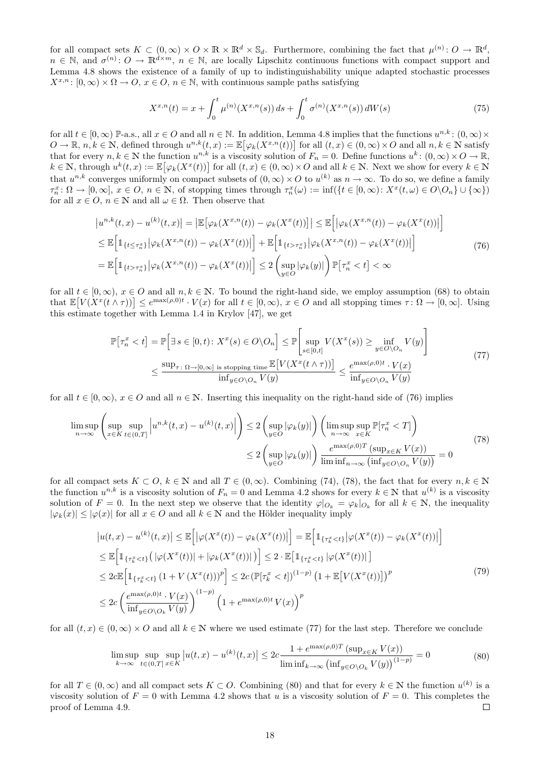for all compact sets  $K \subset (0,\infty) \times O \times \mathbb{R} \times \mathbb{R}^d \times \mathbb{S}_d$ . Furthermore, combining the fact that  $\mu^{(n)}: O \to \mathbb{R}^d$ ,  $n \in \mathbb{N}$ , and  $\sigma^{(n)}: O \to \mathbb{R}^{d \times m}$ ,  $n \in \mathbb{N}$ , are locally Lipschitz continuous functions with compact support and Lemma 4.8 shows the existence of a family of up to indistinguishability unique adapted stochastic processes  $X^{x,n}$ :  $[0,\infty) \times \Omega \to \Omega$ ,  $x \in \Omega$ ,  $n \in \mathbb{N}$ , with continuous sample paths satisfying

$$
X^{x,n}(t) = x + \int_0^t \mu^{(n)}(X^{x,n}(s)) ds + \int_0^t \sigma^{(n)}(X^{x,n}(s)) dW(s)
$$
\n(75)

for all  $t \in [0, \infty)$  P-a.s., all  $x \in O$  and all  $n \in \mathbb{N}$ . In addition, Lemma 4.8 implies that the functions  $u^{n,k}$ :  $(0, \infty) \times$  $O \to \mathbb{R}, n, k \in \mathbb{N}$ , defined through  $u^{n,k}(t, x) := \mathbb{E}[\varphi_k(X^{x,n}(t))]$  for all  $(t, x) \in (0, \infty) \times O$  and all  $n, k \in \mathbb{N}$  satisfy that for every  $n, k \in \mathbb{N}$  the function  $u^{n,k}$  is a viscosity solution of  $F_n = 0$ . Define functions  $u^k: (0, \infty) \times O \to \mathbb{R}$ ,  $k \in \mathbb{N}$ , through  $u^k(t, x) := \mathbb{E} [\varphi_k(X^x(t))]$  for all  $(t, x) \in (0, \infty) \times O$  and all  $k \in \mathbb{N}$ . Next we show for every  $k \in \mathbb{N}$ that  $u^{n,k}$  converges uniformly on compact subsets of  $(0,\infty) \times O$  to  $u^{(k)}$  as  $n \to \infty$ . To do so, we define a family  $\tau_n^x \colon \Omega \to [0, \infty], x \in \Omega, n \in \mathbb{N}, \text{ of stopping times through } \tau_n^x(\omega) := \inf(\{t \in [0, \infty): X^x(t, \omega) \in O\setminus O_n\} \cup \{\infty\})$ for all  $x \in O, n \in \mathbb{N}$  and all  $\omega \in \Omega$ . Then observe that

$$
\left|u^{n,k}(t,x) - u^{(k)}(t,x)\right| = \left|\mathbb{E}\left[\varphi_k(X^{x,n}(t)) - \varphi_k(X^x(t))\right]\right| \leq \mathbb{E}\left[\left|\varphi_k(X^{x,n}(t)) - \varphi_k(X^x(t))\right|\right]
$$
  
\n
$$
\leq \mathbb{E}\left[\mathbb{1}_{\{t \leq \tau_n^x\}}\left|\varphi_k(X^{x,n}(t)) - \varphi_k(X^x(t))\right|\right] + \mathbb{E}\left[\mathbb{1}_{\{t > \tau_n^x\}}\left|\varphi_k(X^{x,n}(t)) - \varphi_k(X^x(t))\right|\right]
$$
  
\n
$$
= \mathbb{E}\left[\mathbb{1}_{\{t > \tau_n^x\}}\left|\varphi_k(X^{x,n}(t)) - \varphi_k(X^x(t))\right|\right] \leq 2\left(\sup_{y \in O}|\varphi_k(y)|\right)\mathbb{P}\left[\tau_n^x < t\right] < \infty
$$
\n(76)

for all  $t \in [0, \infty)$ ,  $x \in O$  and all  $n, k \in \mathbb{N}$ . To bound the right-hand side, we employ assumption (68) to obtain that  $\mathbb{E}[V(X^x(t \wedge \tau))] \leq e^{\max(\rho,0)t} \cdot V(x)$  for all  $t \in [0,\infty)$ ,  $x \in O$  and all stopping times  $\tau \colon \Omega \to [0,\infty]$ . Using this estimate together with Lemma 1.4 in Krylov [47], we get

$$
\mathbb{P}[\tau_n^x < t] = \mathbb{P}\Big[\exists s \in [0, t): X^x(s) \in O \setminus O_n\Big] \le \mathbb{P}\Big[\sup_{s \in [0, t]} V(X^x(s)) \ge \inf_{y \in O \setminus O_n} V(y)\Big]
$$
\n
$$
\le \frac{\sup_{\tau : \ \Omega \to [0, \infty] \text{ is stopping time}} \mathbb{E}\big[V(X^x(t \wedge \tau))\big]}{\inf_{y \in O \setminus O_n} V(y)} \le \frac{e^{\max(\rho, 0)t} \cdot V(x)}{\inf_{y \in O \setminus O_n} V(y)}\tag{77}
$$

for all  $t \in [0, \infty)$ ,  $x \in O$  and all  $n \in \mathbb{N}$ . Inserting this inequality on the right-hand side of (76) implies

$$
\limsup_{n \to \infty} \left( \sup_{x \in K} \sup_{t \in (0,T]} \left| u^{n,k}(t,x) - u^{(k)}(t,x) \right| \right) \le 2 \left( \sup_{y \in O} |\varphi_k(y)| \right) \left( \limsup_{n \to \infty} \sup_{x \in K} \mathbb{P}[\tau_n^x < T] \right)
$$
\n
$$
\le 2 \left( \sup_{y \in O} |\varphi_k(y)| \right) \frac{e^{\max(\rho,0)T} (\sup_{x \in K} V(x))}{\liminf_{n \to \infty} \left( \inf_{y \in O \setminus O_n} V(y) \right)} = 0
$$
\n
$$
(78)
$$

for all compact sets  $K \subset O, k \in \mathbb{N}$  and all  $T \in (0, \infty)$ . Combining (74), (78), the fact that for every  $n, k \in \mathbb{N}$ the function  $u^{n,k}$  is a viscosity solution of  $F_n = 0$  and Lemma 4.2 shows for every  $k \in \mathbb{N}$  that  $u^{(k)}$  is a viscosity solution of  $F = 0$ . In the next step we observe that the identity  $\varphi|_{O_k} = \varphi_k|_{O_k}$  for all  $k \in \mathbb{N}$ , the inequality  $|\varphi_k(x)| \leq |\varphi(x)|$  for all  $x \in O$  and all  $k \in \mathbb{N}$  and the Hölder inequality imply

$$
\begin{split}\n\left|u(t,x) - u^{(k)}(t,x)\right| &\leq \mathbb{E}\left[\left|\varphi(X^x(t)) - \varphi_k(X^x(t))\right|\right] = \mathbb{E}\left[\mathbbm{1}_{\{\tau_k^x < t\}}\left|\varphi(X^x(t)) - \varphi_k(X^x(t))\right|\right] \\
&\leq \mathbb{E}\left[\mathbbm{1}_{\{\tau_k^x < t\}}\left(\left|\varphi(X^x(t))\right| + \left|\varphi_k(X^x(t))\right|\right)\right] \leq 2 \cdot \mathbb{E}\left[\mathbbm{1}_{\{\tau_k^x < t\}}\left|\varphi(X^x(t))\right|\right] \\
&\leq 2c \mathbb{E}\left[\mathbbm{1}_{\{\tau_k^x < t\}}\left(1 + V\left(X^x(t)\right)\right)^p\right] \leq 2c \left(\mathbb{P}[\tau_k^x < t]\right)^{(1-p)} \left(1 + \mathbb{E}\left[V(X^x(t))\right]\right)^p \\
&\leq 2c \left(\frac{e^{\max(\rho,0)t} \cdot V(x)}{\inf_{y \in O\setminus O_k} V(y)}\right)^{(1-p)} \left(1 + e^{\max(\rho,0)t} V(x)\right)^p\n\end{split} \tag{79}
$$

for all  $(t, x) \in (0, \infty) \times O$  and all  $k \in \mathbb{N}$  where we used estimate (77) for the last step. Therefore we conclude

$$
\limsup_{k \to \infty} \sup_{t \in (0,T]} \sup_{x \in K} |u(t,x) - u^{(k)}(t,x)| \le 2c \frac{1 + e^{\max(\rho,0)T} (\sup_{x \in K} V(x))}{\liminf_{k \to \infty} (\inf_{y \in O \setminus O_k} V(y))^{(1-p)}} = 0
$$
\n(80)

for all  $T \in (0, \infty)$  and all compact sets  $K \subset O$ . Combining (80) and that for every  $k \in \mathbb{N}$  the function  $u^{(k)}$  is a viscosity solution of  $F = 0$  with Lemma 4.2 shows that u is a viscosity solution of  $F = 0$ . This completes the proof of Lemma 4.9.  $\Box$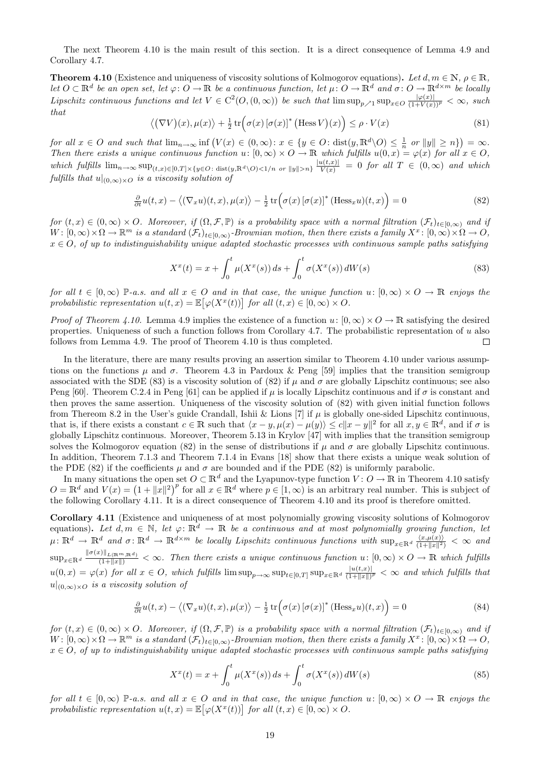The next Theorem 4.10 is the main result of this section. It is a direct consequence of Lemma 4.9 and Corollary 4.7.

**Theorem 4.10** (Existence and uniqueness of viscosity solutions of Kolmogorov equations). Let  $d, m \in \mathbb{N}$ ,  $\rho \in \mathbb{R}$ , let  $O \subset \mathbb{R}^d$  be an open set, let  $\varphi: O \to \mathbb{R}$  be a continuous function, let  $\mu: O \to \mathbb{R}^d$  and  $\sigma: O \to \mathbb{R}^{d \times m}$  be locally Lipschitz continuous functions and let  $V \in C^2(0, (0, \infty))$  be such that  $\limsup_{p \nearrow 1} \sup_{x \in O} \frac{|\varphi(x)|}{(1+V(x))^p} < \infty$ , such that

$$
\langle (\nabla V)(x), \mu(x) \rangle + \frac{1}{2} \operatorname{tr} \Big( \sigma(x) \left[ \sigma(x) \right]^* \big( \operatorname{Hess} V \big)(x) \Big) \le \rho \cdot V(x) \tag{81}
$$

for all  $x \in O$  and such that  $\lim_{n \to \infty} \inf (V(x) \in (0, \infty) : x \in \{y \in O : \text{dist}(y, \mathbb{R}^d \setminus O) \leq \frac{1}{n} \text{ or } ||y|| \geq n\}) = \infty$ . Then there exists a unique continuous function  $u: [0, \infty) \times O \to \mathbb{R}$  which fulfills  $u(0, x) = \varphi(x)$  for all  $x \in O$ , which fulfills  $\lim_{n\to\infty} \sup_{(t,x)\in[0,T]\times\{y\in O:\text{dist}(y,\mathbb{R}^d\setminus O)\leq 1/n \text{ or } ||y||>n\}} \frac{|u(t,x)|}{V(x)} = 0$  for all  $T \in (0,\infty)$  and which fulfills that  $u|_{(0,\infty)\times O}$  is a viscosity solution of

$$
\frac{\partial}{\partial t}u(t,x) - \langle (\nabla_x u)(t,x), \mu(x) \rangle - \frac{1}{2} \operatorname{tr} \Big( \sigma(x) \left[ \sigma(x) \right]^* (\text{Hess}_x u)(t,x) \Big) = 0 \tag{82}
$$

for  $(t, x) \in (0, \infty) \times O$ . Moreover, if  $(\Omega, \mathcal{F}, \mathbb{P})$  is a probability space with a normal filtration  $(\mathcal{F}_t)_{t \in [0,\infty)}$  and if  $W \colon [0,\infty) \times \Omega \to \mathbb{R}^m$  is a standard  $(\mathcal{F}_t)_{t \in [0,\infty)}$ -Brownian motion, then there exists a family  $X^x \colon [0,\infty) \times \Omega \to O$ ,  $x \in O$ , of up to indistinguishability unique adapted stochastic processes with continuous sample paths satisfying

$$
X^{x}(t) = x + \int_{0}^{t} \mu(X^{x}(s)) ds + \int_{0}^{t} \sigma(X^{x}(s)) dW(s)
$$
\n(83)

for all  $t \in [0,\infty)$  P-a.s. and all  $x \in O$  and in that case, the unique function  $u: [0,\infty) \times O \to \mathbb{R}$  enjoys the probabilistic representation  $u(t,x) = \mathbb{E}[\varphi(X^x(t))]$  for all  $(t,x) \in [0,\infty) \times O$ .

*Proof of Theorem 4.10.* Lemma 4.9 implies the existence of a function  $u: [0, \infty) \times O \to \mathbb{R}$  satisfying the desired properties. Uniqueness of such a function follows from Corollary 4.7. The probabilistic representation of  $u$  also follows from Lemma 4.9. The proof of Theorem 4.10 is thus completed.  $\Box$ 

In the literature, there are many results proving an assertion similar to Theorem 4.10 under various assumptions on the functions  $\mu$  and  $\sigma$ . Theorem 4.3 in Pardoux & Peng [59] implies that the transition semigroup associated with the SDE (83) is a viscosity solution of (82) if  $\mu$  and  $\sigma$  are globally Lipschitz continuous; see also Peng [60]. Theorem C.2.4 in Peng [61] can be applied if  $\mu$  is locally Lipschitz continuous and if  $\sigma$  is constant and then proves the same assertion. Uniqueness of the viscosity solution of (82) with given initial function follows from Thereom 8.2 in the User's guide Crandall, Ishii & Lions [7] if  $\mu$  is globally one-sided Lipschitz continuous, that is, if there exists a constant  $c \in \mathbb{R}$  such that  $\langle x - y, \mu(x) - \mu(y) \rangle \le c ||x - y||^2$  for all  $x, y \in \mathbb{R}^d$ , and if  $\sigma$  is globally Lipschitz continuous. Moreover, Theorem 5.13 in Krylov [47] with implies that the transition semigroup solves the Kolmogorov equation (82) in the sense of distributions if  $\mu$  and  $\sigma$  are globally Lipschitz continuous. In addition, Theorem 7.1.3 and Theorem 7.1.4 in Evans [18] show that there exists a unique weak solution of the PDE (82) if the coefficients  $\mu$  and  $\sigma$  are bounded and if the PDE (82) is uniformly parabolic.

In many situations the open set  $O \subset \mathbb{R}^d$  and the Lyapunov-type function  $V: O \to \mathbb{R}$  in Theorem 4.10 satisfy  $O = \mathbb{R}^d$  and  $V(x) = (1 + ||x||^2)^p$  for all  $x \in \mathbb{R}^d$  where  $p \in [1, \infty)$  is an arbitrary real number. This is subject of the following Corollary 4.11. It is a direct consequence of Theorem 4.10 and its proof is therefore omitted.

Corollary 4.11 (Existence and uniqueness of at most polynomially growing viscosity solutions of Kolmogorov equations). Let  $d, m \in \mathbb{N}$ , let  $\varphi \colon \mathbb{R}^d \to \mathbb{R}$  be a continuous and at most polynomially growing function, let  $\mu\colon\mathbb{R}^d\to\mathbb{R}^d$  and  $\sigma\colon\mathbb{R}^d\to\mathbb{R}^{d\times m}$  be locally Lipschitz continuous functions with  $\sup_{x\in\mathbb{R}^d}\frac{\langle x,\mu(x)\rangle}{(1+\|x\|^2)}<\infty$  and  $\sup_{x \in \mathbb{R}^d} \frac{\|\sigma(x)\|_{L(\mathbb{R}^m, \mathbb{R}^d)}}{(1 + \|x\|)} < \infty$ . Then there exists a unique continuous function  $u: [0, \infty) \times O \to \mathbb{R}$  which fulfills  $u(0,x) = \varphi(x)$  for all  $x \in O$ , which fulfills  $\limsup_{p \to \infty} \sup_{t \in [0,T]} \sup_{x \in \mathbb{R}^d} \frac{|u(t,x)|}{(1+||x||)}$  $\frac{|u(t,x)|}{(1+||x||)^p} < \infty$  and which fulfills that  $u|_{(0,\infty)\times O}$  is a viscosity solution of

$$
\frac{\partial}{\partial t}u(t,x) - \langle (\nabla_x u)(t,x), \mu(x) \rangle - \frac{1}{2} \operatorname{tr} \Big( \sigma(x) \left[ \sigma(x) \right]^* (\text{Hess}_x u)(t,x) \Big) = 0 \tag{84}
$$

for  $(t, x) \in (0, \infty) \times O$ . Moreover, if  $(\Omega, \mathcal{F}, \mathbb{P})$  is a probability space with a normal filtration  $(\mathcal{F}_t)_{t \in [0,\infty)}$  and if  $W: [0,\infty)\times \Omega \to \mathbb{R}^m$  is a standard  $(\mathcal{F}_t)_{t\in [0,\infty)}$ -Brownian motion, then there exists a family  $X^x: [0,\infty)\times \Omega \to O$ ,  $x \in O$ , of up to indistinguishability unique adapted stochastic processes with continuous sample paths satisfying

$$
X^{x}(t) = x + \int_{0}^{t} \mu(X^{x}(s)) ds + \int_{0}^{t} \sigma(X^{x}(s)) dW(s)
$$
\n(85)

for all  $t \in [0,\infty)$  P-a.s. and all  $x \in O$  and in that case, the unique function  $u: [0,\infty) \times O \to \mathbb{R}$  enjoys the probabilistic representation  $u(t,x) = \mathbb{E}[\varphi(X^x(t))]$  for all  $(t,x) \in [0,\infty) \times O$ .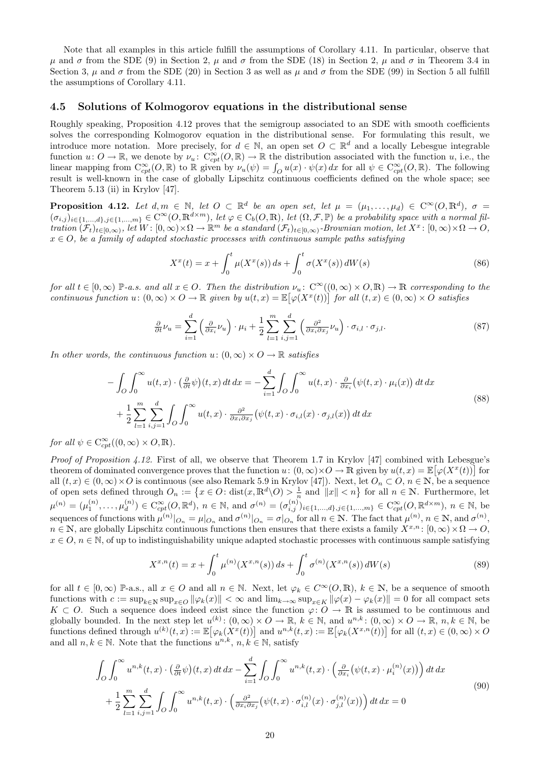Note that all examples in this article fulfill the assumptions of Corollary 4.11. In particular, observe that  $\mu$  and  $\sigma$  from the SDE (9) in Section 2,  $\mu$  and  $\sigma$  from the SDE (18) in Section 2,  $\mu$  and  $\sigma$  in Theorem 3.4 in Section 3,  $\mu$  and  $\sigma$  from the SDE (20) in Section 3 as well as  $\mu$  and  $\sigma$  from the SDE (99) in Section 5 all fulfill the assumptions of Corollary 4.11.

### 4.5 Solutions of Kolmogorov equations in the distributional sense

Roughly speaking, Proposition 4.12 proves that the semigroup associated to an SDE with smooth coefficients solves the corresponding Kolmogorov equation in the distributional sense. For formulating this result, we introduce more notation. More precisely, for  $d \in \mathbb{N}$ , an open set  $O \subset \mathbb{R}^d$  and a locally Lebesgue integrable function  $u: O \to \mathbb{R}$ , we denote by  $\nu_u: C^{\infty}_{cpt}(O, \mathbb{R}) \to \mathbb{R}$  the distribution associated with the function  $u$ , i.e., the linear mapping from  $C_{cpt}^{\infty}(O, \mathbb{R})$  to  $\mathbb R$  given by  $\nu_u(\psi) = \int_O u(x) \cdot \psi(x) dx$  for all  $\psi \in C_{cpt}^{\infty}(O, \mathbb{R})$ . The following result is well-known in the case of globally Lipschitz continuous coefficients defined on the whole space; see Theorem 5.13 (ii) in Krylov [47].

**Proposition 4.12.** Let  $d, m \in \mathbb{N}$ , let  $O \subset \mathbb{R}^d$  be an open set, let  $\mu = (\mu_1, \ldots, \mu_d) \in C^{\infty}(O, \mathbb{R}^d)$ ,  $\sigma =$  $(\sigma_{i,j})_{i\in\{1,\ldots,d\},j\in\{1,\ldots,m\}}\in\mathrm{C}^{\infty}(O,\mathbb{R}^{d\times m})$ , let  $\varphi\in\mathrm{C}_b(O,\mathbb{R})$ , let  $(\Omega,\mathcal{F},\mathbb{P})$  be a probability space with a normal fil- $\begin{aligned} \textit{tration}\ (\mathcal{F}_t)_{t\in[0,\infty)}, \textit{let}\ W \colon [0,\infty)\times\Omega \to \mathbb{R}^m \textit{ be a standard $(\mathcal{F}_t)_{t\in[0,\infty)}$-Brownian motion, let $X^x \colon [0,\infty)\times\Omega \to O$,} \end{aligned}$  $x \in O$ , be a family of adapted stochastic processes with continuous sample paths satisfying

$$
X^{x}(t) = x + \int_{0}^{t} \mu(X^{x}(s)) ds + \int_{0}^{t} \sigma(X^{x}(s)) dW(s)
$$
\n(86)

for all  $t \in [0,\infty)$  P-a.s. and all  $x \in O$ . Then the distribution  $\nu_n$ :  $C^{\infty}((0,\infty) \times O, \mathbb{R}) \to \mathbb{R}$  corresponding to the continuous function  $u: (0, \infty) \times O \to \mathbb{R}$  given by  $u(t, x) = \mathbb{E}[\varphi(X^x(t))]$  for all  $(t, x) \in (0, \infty) \times O$  satisfies

$$
\frac{\partial}{\partial t}\nu_u = \sum_{i=1}^d \left(\frac{\partial}{\partial x_i}\nu_u\right) \cdot \mu_i + \frac{1}{2} \sum_{l=1}^m \sum_{i,j=1}^d \left(\frac{\partial^2}{\partial x_i \partial x_j}\nu_u\right) \cdot \sigma_{i,l} \cdot \sigma_{j,l}.\tag{87}
$$

In other words, the continuous function  $u: (0, \infty) \times O \to \mathbb{R}$  satisfies

$$
-\int_{O} \int_{0}^{\infty} u(t,x) \cdot \left(\frac{\partial}{\partial t} \psi\right)(t,x) dt dx = -\sum_{i=1}^{d} \int_{O} \int_{0}^{\infty} u(t,x) \cdot \frac{\partial}{\partial x_{i}} (\psi(t,x) \cdot \mu_{i}(x)) dt dx + \frac{1}{2} \sum_{l=1}^{m} \sum_{i,j=1}^{d} \int_{O} \int_{0}^{\infty} u(t,x) \cdot \frac{\partial^{2}}{\partial x_{i} \partial x_{j}} (\psi(t,x) \cdot \sigma_{i,l}(x) \cdot \sigma_{j,l}(x)) dt dx
$$
\n(88)

for all  $\psi \in C_{cpt}^{\infty}((0,\infty) \times O, \mathbb{R})$ .

Proof of Proposition 4.12. First of all, we observe that Theorem 1.7 in Krylov [47] combined with Lebesgue's theorem of dominated convergence proves that the function  $u: (0, \infty) \times O \to \mathbb{R}$  given by  $u(t, x) = \mathbb{E}[\varphi(X^x(t))]$  for all  $(t, x) \in (0, \infty) \times O$  is continuous (see also Remark 5.9 in Krylov [47]). Next, let  $O_n \subset O, n \in \mathbb{N}$ , be a sequence of open sets defined through  $O_n := \{x \in O : \text{dist}(x, \mathbb{R}^d \setminus O) > \frac{1}{n} \text{ and } ||x|| < n\}$  for all  $n \in \mathbb{N}$ . Furthermore, let  $\mu^{(n)} = (\mu_1^{(n)}, \dots, \mu_d^{(n)})$  $\mathcal{L}_{\text{cpt}}^{(n)} \in \mathcal{C}_{\text{cpt}}^{\infty}(O, \mathbb{R}^d), n \in \mathbb{N}$ , and  $\sigma^{(n)} = (\sigma_{i,j}^{(n)})_{i \in \{1,...,d\}, j \in \{1,...,m\}} \in \mathcal{C}_{\text{cpt}}^{\infty}(O, \mathbb{R}^{d \times m}), n \in \mathbb{N}$ , be sequences of functions with  $\mu^{(n)}|_{O_n} = \mu|_{O_n}$  and  $\sigma^{(n)}|_{O_n} = \sigma|_{O_n}$  for all  $n \in \mathbb{N}$ . The fact that  $\mu^{(n)}$ ,  $n \in \mathbb{N}$ , and  $\sigma^{(n)}$ ,  $n \in \mathbb{N}$ , are globally Lipschitz continuous functions then ensures that there exists a family  $X^{x,n}$ :  $[0,\infty) \times \Omega \to \Omega$ ,  $x \in O, n \in \mathbb{N}$ , of up to indistinguishability unique adapted stochastic processes with continuous sample satisfying

$$
X^{x,n}(t) = x + \int_0^t \mu^{(n)}(X^{x,n}(s)) ds + \int_0^t \sigma^{(n)}(X^{x,n}(s)) dW(s)
$$
\n(89)

for all  $t \in [0,\infty)$  P-a.s., all  $x \in O$  and all  $n \in \mathbb{N}$ . Next, let  $\varphi_k \in C^{\infty}(O,\mathbb{R})$ ,  $k \in \mathbb{N}$ , be a sequence of smooth functions with  $c := \sup_{k \in \mathbb{N}} \sup_{x \in O} ||\varphi_k(x)|| < \infty$  and  $\lim_{k \to \infty} \sup_{x \in K} ||\varphi(x) - \varphi_k(x)|| = 0$  for all compact sets  $K \subset O$ . Such a sequence does indeed exist since the function  $\varphi: O \to \mathbb{R}$  is assumed to be continuous and globally bounded. In the next step let  $u^{(k)}$ :  $(0,\infty) \times O \to \mathbb{R}$ ,  $k \in \mathbb{N}$ , and  $u^{n,k}$ :  $(0,\infty) \times O \to \mathbb{R}$ ,  $n,k \in \mathbb{N}$ , be functions defined through  $u^{(k)}(t,x) := \mathbb{E} [\varphi_k(X^x(t))]$  and  $u^{n,k}(t,x) := \mathbb{E} [\varphi_k(X^{x,n}(t))]$  for all  $(t,x) \in (0,\infty) \times O$ and all  $n, k \in \mathbb{N}$ . Note that the functions  $u^{n,k}, n, k \in \mathbb{N}$ , satisfy

$$
\int_{O} \int_{0}^{\infty} u^{n,k}(t,x) \cdot \left(\frac{\partial}{\partial t} \psi\right)(t,x) dt dx - \sum_{i=1}^{d} \int_{O} \int_{0}^{\infty} u^{n,k}(t,x) \cdot \left(\frac{\partial}{\partial x_{i}} (\psi(t,x) \cdot \mu_{i}^{(n)}(x))\right) dt dx
$$
  
+ 
$$
\frac{1}{2} \sum_{l=1}^{m} \sum_{i,j=1}^{d} \int_{O} \int_{0}^{\infty} u^{n,k}(t,x) \cdot \left(\frac{\partial^{2}}{\partial x_{i} \partial x_{j}} (\psi(t,x) \cdot \sigma_{i,l}^{(n)}(x) \cdot \sigma_{j,l}^{(n)}(x))\right) dt dx = 0
$$
\n(90)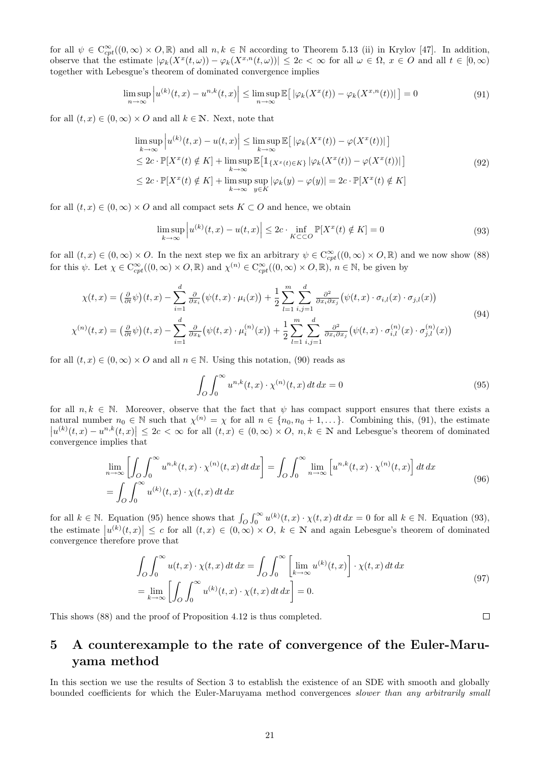for all  $\psi \in C_{cpt}^{\infty}((0,\infty) \times O,\mathbb{R})$  and all  $n,k \in \mathbb{N}$  according to Theorem 5.13 (ii) in Krylov [47]. In addition, observe that the estimate  $|\varphi_k(X^x(t,\omega)) - \varphi_k(X^{x,n}(t,\omega))| \leq 2c < \infty$  for all  $\omega \in \Omega$ ,  $x \in O$  and all  $t \in [0,\infty)$ together with Lebesgue's theorem of dominated convergence implies

$$
\limsup_{n \to \infty} \left| u^{(k)}(t, x) - u^{n,k}(t, x) \right| \leq \limsup_{n \to \infty} \mathbb{E} \left[ \left| \varphi_k(X^x(t)) - \varphi_k(X^{x,n}(t)) \right| \right] = 0 \tag{91}
$$

for all  $(t, x) \in (0, \infty) \times O$  and all  $k \in \mathbb{N}$ . Next, note that

$$
\limsup_{k \to \infty} \left| u^{(k)}(t, x) - u(t, x) \right| \leq \limsup_{k \to \infty} \mathbb{E} \left[ \left| \varphi_k(X^x(t)) - \varphi(X^x(t)) \right| \right]
$$
\n
$$
\leq 2c \cdot \mathbb{P}[X^x(t) \notin K] + \limsup_{k \to \infty} \mathbb{E} \left[ \mathbb{1}_{\{X^x(t) \in K\}} \left| \varphi_k(X^x(t)) - \varphi(X^x(t)) \right| \right]
$$
\n
$$
\leq 2c \cdot \mathbb{P}[X^x(t) \notin K] + \limsup_{k \to \infty} \sup_{y \in K} |\varphi_k(y) - \varphi(y)| = 2c \cdot \mathbb{P}[X^x(t) \notin K]
$$
\n(92)

for all  $(t, x) \in (0, \infty) \times O$  and all compact sets  $K \subset O$  and hence, we obtain

$$
\limsup_{k \to \infty} \left| u^{(k)}(t, x) - u(t, x) \right| \le 2c \cdot \inf_{K \subset \subset O} \mathbb{P}[X^x(t) \notin K] = 0 \tag{93}
$$

for all  $(t, x) \in (0, \infty) \times O$ . In the next step we fix an arbitrary  $\psi \in C^{\infty}_{cpt}((0, \infty) \times O, \mathbb{R})$  and we now show  $(88)$ for this  $\psi$ . Let  $\chi \in C_{cpt}^{\infty}((0,\infty) \times O, \mathbb{R})$  and  $\chi^{(n)} \in C_{cpt}^{\infty}((0,\infty) \times O, \mathbb{R})$ ,  $n \in \mathbb{N}$ , be given by

$$
\chi(t,x) = \left(\frac{\partial}{\partial t}\psi\right)(t,x) - \sum_{i=1}^d \frac{\partial}{\partial x_i} \left(\psi(t,x) \cdot \mu_i(x)\right) + \frac{1}{2} \sum_{l=1}^m \sum_{i,j=1}^d \frac{\partial^2}{\partial x_i \partial x_j} \left(\psi(t,x) \cdot \sigma_{i,l}(x) \cdot \sigma_{j,l}(x)\right)
$$
\n
$$
\chi^{(n)}(t,x) = \left(\frac{\partial}{\partial t}\psi\right)(t,x) - \sum_{i=1}^d \frac{\partial}{\partial x_k} \left(\psi(t,x) \cdot \mu_i^{(n)}(x)\right) + \frac{1}{2} \sum_{l=1}^m \sum_{i,j=1}^d \frac{\partial^2}{\partial x_i \partial x_j} \left(\psi(t,x) \cdot \sigma_{i,l}^{(n)}(x) \cdot \sigma_{j,l}^{(n)}(x)\right)
$$
\n(94)

for all  $(t, x) \in (0, \infty) \times O$  and all  $n \in \mathbb{N}$ . Using this notation, (90) reads as

$$
\int_{O} \int_{0}^{\infty} u^{n,k}(t,x) \cdot \chi^{(n)}(t,x) dt dx = 0
$$
\n(95)

for all  $n, k \in \mathbb{N}$ . Moreover, observe that the fact that  $\psi$  has compact support ensures that there exists a natural number  $n_0 \in \mathbb{N}$  such that  $\chi^{(n)} = \chi$  for all  $n \in \{n_0, n_0 + 1, \dots\}$ . Combining this, (91), the estimate  $|u^{(k)}(t,x) - u^{n,k}(t,x)| \leq 2c < \infty$  for all  $(t,x) \in (0,\infty) \times O$ ,  $n,k \in \mathbb{N}$  and Lebesgue's theorem of dominated convergence implies that

$$
\lim_{n \to \infty} \left[ \int_{O} \int_{0}^{\infty} u^{n,k}(t,x) \cdot \chi^{(n)}(t,x) dt dx \right] = \int_{O} \int_{0}^{\infty} \lim_{n \to \infty} \left[ u^{n,k}(t,x) \cdot \chi^{(n)}(t,x) \right] dt dx
$$
\n
$$
= \int_{O} \int_{0}^{\infty} u^{(k)}(t,x) \cdot \chi(t,x) dt dx \tag{96}
$$

for all  $k \in \mathbb{N}$ . Equation (95) hence shows that  $\int_{O} \int_{0}^{\infty} u^{(k)}(t,x) \cdot \chi(t,x) dt dx = 0$  for all  $k \in \mathbb{N}$ . Equation (93), the estimate  $|u^{(k)}(t,x)| \leq c$  for all  $(t,x) \in (0,\infty) \times O, k \in \mathbb{N}$  and again Lebesgue's theorem of dominated convergence therefore prove that

$$
\int_{O} \int_{0}^{\infty} u(t, x) \cdot \chi(t, x) dt dx = \int_{O} \int_{0}^{\infty} \left[ \lim_{k \to \infty} u^{(k)}(t, x) \right] \cdot \chi(t, x) dt dx
$$
  
= 
$$
\lim_{k \to \infty} \left[ \int_{O} \int_{0}^{\infty} u^{(k)}(t, x) \cdot \chi(t, x) dt dx \right] = 0.
$$
 (97)

This shows (88) and the proof of Proposition 4.12 is thus completed.

# 5 A counterexample to the rate of convergence of the Euler-Maruyama method

In this section we use the results of Section 3 to establish the existence of an SDE with smooth and globally bounded coefficients for which the Euler-Maruyama method convergences slower than any arbitrarily small

 $\Box$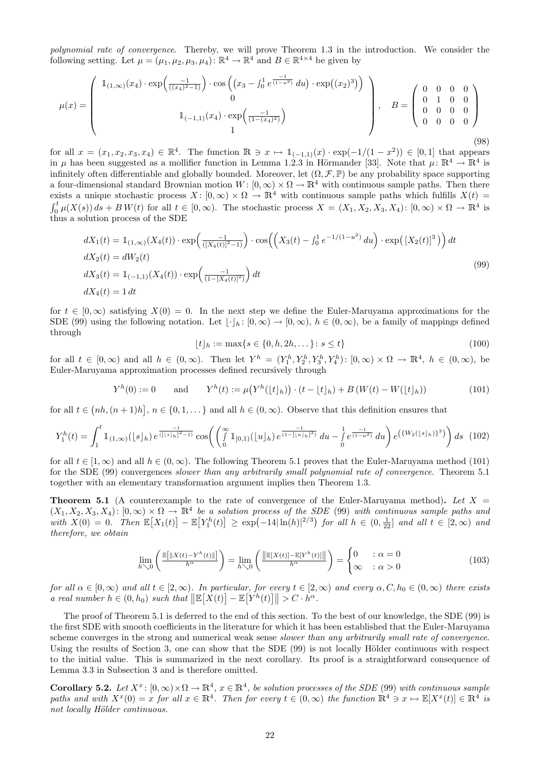polynomial rate of convergence. Thereby, we will prove Theorem 1.3 in the introduction. We consider the following setting. Let  $\mu = (\mu_1, \mu_2, \mu_3, \mu_4)$ :  $\mathbb{R}^4 \to \mathbb{R}^4$  and  $B \in \mathbb{R}^{4 \times 4}$  be given by

$$
\mu(x) = \begin{pmatrix} 1_{(1,\infty)}(x_4) \cdot \exp\left(\frac{-1}{((x_4)^2 - 1)}\right) \cdot \cos\left((x_3 - \int_0^1 e^{\frac{-1}{(1 - u^2)}} du\right) \cdot \exp((x_2)^3)\right) \\ 0 \\ 1 \\ 1 \end{pmatrix}, \quad B = \begin{pmatrix} 0 & 0 & 0 & 0 \\ 0 & 1 & 0 & 0 \\ 0 & 0 & 0 & 0 \\ 0 & 0 & 0 & 0 \end{pmatrix}
$$
\n(98)

for all  $x = (x_1, x_2, x_3, x_4) \in \mathbb{R}^4$ . The function  $\mathbb{R} \ni x \mapsto \mathbb{1}_{(-1,1)}(x) \cdot \exp(-1/(1-x^2)) \in [0,1]$  that appears in  $\mu$  has been suggested as a mollifier function in Lemma 1.2.3 in Hörmander [33]. Note that  $\mu: \mathbb{R}^4 \to \mathbb{R}^4$  is infinitely often differentiable and globally bounded. Moreover, let  $(\Omega, \mathcal{F}, \mathbb{P})$  be any probability space supporting a four-dimensional standard Brownian motion  $W: [0, \infty) \times \Omega \to \mathbb{R}^4$  with continuous sample paths. Then there exists a unique stochastic process  $X: [0, \infty) \times \Omega \to \mathbb{R}^4$  with continuous sample paths which fulfills  $X(t)$  $\int_0^t \mu(X(s)) ds + BW(t)$  for all  $t \in [0, \infty)$ . The stochastic process  $X = (X_1, X_2, X_3, X_4)$ :  $[0, \infty) \times \Omega \to \mathbb{R}^4$  is thus a solution process of the SDE

$$
dX_1(t) = 1_{(1,\infty)}(X_4(t)) \cdot \exp\left(\frac{-1}{([X_4(t)]^2 - 1)}\right) \cdot \cos\left(\left(X_3(t) - \int_0^1 e^{-1/(1-u^2)} du\right) \cdot \exp\left([X_2(t)]^3\right)\right) dt
$$
  
\n
$$
dX_2(t) = dW_2(t)
$$
  
\n
$$
dX_3(t) = 1_{(-1,1)}(X_4(t)) \cdot \exp\left(\frac{-1}{(1 - [X_4(t)]^2)}\right) dt
$$
  
\n
$$
dX_4(t) = 1 dt
$$
\n(99)

for  $t \in [0,\infty)$  satisfying  $X(0) = 0$ . In the next step we define the Euler-Maruyama approximations for the SDE (99) using the following notation. Let  $|\cdot|_h : [0, \infty) \to [0, \infty), h \in (0, \infty)$ , be a family of mappings defined through

$$
\lfloor t \rfloor_h := \max\{s \in \{0, h, 2h, \dots\} \colon s \le t\} \tag{100}
$$

for all  $t \in [0,\infty)$  and all  $h \in (0,\infty)$ . Then let  $Y^h = (Y_1^h, Y_2^h, Y_3^h, Y_4^h)$ :  $[0,\infty) \times \Omega \to \mathbb{R}^4$ ,  $h \in (0,\infty)$ , be Euler-Maruyama approximation processes defined recursively through

$$
Y^{h}(0) := 0 \quad \text{and} \quad Y^{h}(t) := \mu(Y^{h}(\lfloor t \rfloor_{h})) \cdot (t - \lfloor t \rfloor_{h}) + B(W(t) - W(\lfloor t \rfloor_{h})) \tag{101}
$$

for all  $t \in (nh,(n+1)h], n \in \{0,1,\dots\}$  and all  $h \in (0,\infty)$ . Observe that this definition ensures that

$$
Y_1^h(t) = \int_1^t \mathbb{1}_{(1,\infty)}(\lfloor s \rfloor_h) e^{\frac{-1}{(\lfloor s \rfloor_h)^2 - 1)}} \cos \left( \left( \int_0^\infty \mathbb{1}_{[0,1)}(\lfloor u \rfloor_h) e^{\frac{-1}{(1 - \lfloor u \rfloor_h)^2}} du - \int_0^1 e^{\frac{-1}{(1 - u^2)}} du \right) e^{\left( \{ W_2(\lfloor s \rfloor_h) \}^3 \right)} \right) ds
$$
(102)

for all  $t \in [1,\infty)$  and all  $h \in (0,\infty)$ . The following Theorem 5.1 proves that the Euler-Maruyama method (101) for the SDE (99) convergences slower than any arbitrarily small polynomial rate of convergence. Theorem 5.1 together with an elementary transformation argument implies then Theorem 1.3.

**Theorem 5.1** (A counterexample to the rate of convergence of the Euler-Maruyama method). Let  $X =$  $(X_1, X_2, X_3, X_4)$ :  $[0, \infty) \times \Omega \to \mathbb{R}^4$  be a solution process of the SDE (99) with continuous sample paths and with  $X(0) = 0$ . Then  $\mathbb{E}[X_1(t)] - \mathbb{E}[Y_1^h(t)] \ge \exp(-14|\ln(h)|^{2/3})$  for all  $h \in (0, \frac{1}{2^2}]$  and all  $t \in [2, \infty)$  and therefore, we obtain

$$
\lim_{h \searrow 0} \left( \frac{\mathbb{E}[\|X(t) - Y^h(t)\|]}{h^{\alpha}} \right) = \lim_{h \searrow 0} \left( \frac{\|\mathbb{E}[X(t)] - \mathbb{E}[Y^h(t)]\|}{h^{\alpha}} \right) = \begin{cases} 0 & : \alpha = 0 \\ \infty & : \alpha > 0 \end{cases} \tag{103}
$$

for all  $\alpha \in [0,\infty)$  and all  $t \in [2,\infty)$ . In particular, for every  $t \in [2,\infty)$  and every  $\alpha, C, h_0 \in (0,\infty)$  there exists a real number  $h \in (0, h_0)$  such that  $\|\mathbb{E}[X(t)] - \mathbb{E}[Y^h(t)]\| > C \cdot h^{\alpha}$ .

The proof of Theorem 5.1 is deferred to the end of this section. To the best of our knowledge, the SDE (99) is the first SDE with smooth coefficients in the literature for which it has been established that the Euler-Maruyama scheme converges in the strong and numerical weak sense slower than any arbitrarily small rate of convergence. Using the results of Section 3, one can show that the SDE (99) is not locally Hölder continuous with respect to the initial value. This is summarized in the next corollary. Its proof is a straightforward consequence of Lemma 3.3 in Subsection 3 and is therefore omitted.

**Corollary 5.2.** Let  $X^x$ :  $[0,\infty)\times\Omega\to\mathbb{R}^4$ ,  $x\in\mathbb{R}^4$ , be solution processes of the SDE (99) with continuous sample paths and with  $X^x(0) = x$  for all  $x \in \mathbb{R}^4$ . Then for every  $t \in (0, \infty)$  the function  $\mathbb{R}^4 \ni x \mapsto \mathbb{E}[X^x(t)] \in \mathbb{R}^4$  is not locally Hölder continuous.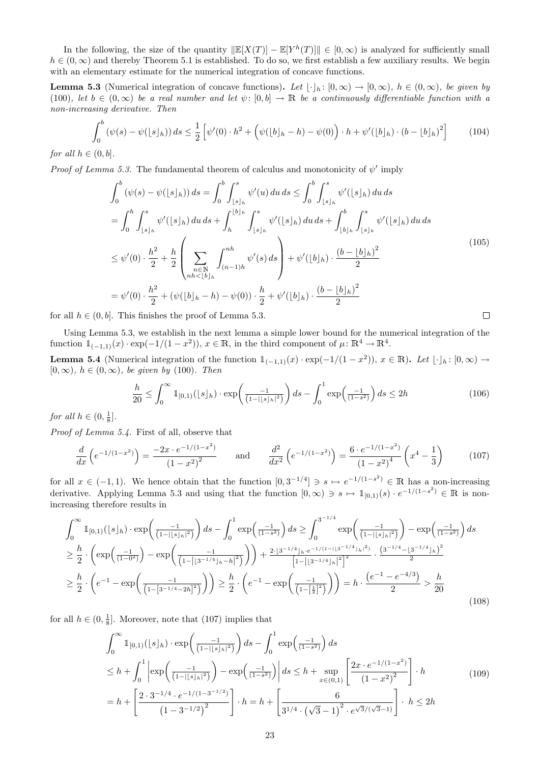In the following, the size of the quantity  $\|\mathbb{E}[X(T)] - \mathbb{E}[Y^h(T)]\| \in [0,\infty)$  is analyzed for sufficiently small  $h \in (0, \infty)$  and thereby Theorem 5.1 is established. To do so, we first establish a few auxiliary results. We begin with an elementary estimate for the numerical integration of concave functions.

**Lemma 5.3** (Numerical integration of concave functions). Let  $|\cdot|_h : [0, \infty) \to [0, \infty)$ ,  $h \in (0, \infty)$ , be given by (100), let  $b \in (0,\infty)$  be a real number and let  $\psi: [0,b] \to \mathbb{R}$  be a continuously differentiable function with a non-increasing derivative. Then

$$
\int_0^b \left(\psi(s) - \psi(|s|_h)\right) ds \le \frac{1}{2} \left[\psi'(0) \cdot h^2 + \left(\psi(|b|_h - h) - \psi(0)\right) \cdot h + \psi'(|b|_h) \cdot (b - |b|_h)^2\right] \tag{104}
$$

for all  $h \in (0, b]$ .

*Proof of Lemma 5.3.* The fundamental theorem of calculus and monotonicity of  $\psi'$  imply

$$
\int_{0}^{b} (\psi(s) - \psi(|s|_{h})) ds = \int_{0}^{b} \int_{|s|_{h}}^{s} \psi'(u) du ds \le \int_{0}^{b} \int_{|s|_{h}}^{s} \psi'(|s|_{h}) du ds \n= \int_{0}^{h} \int_{|s|_{h}}^{s} \psi'(|s|_{h}) du ds + \int_{h}^{|b|_{h}} \int_{|s|_{h}}^{s} \psi'(|s|_{h}) du ds + \int_{|b|_{h}}^{b} \int_{|s|_{h}}^{s} \psi'(|s|_{h}) du ds \n\le \psi'(0) \cdot \frac{h^{2}}{2} + \frac{h}{2} \left( \sum_{\substack{n \in \mathbb{N} \\ nh < |b|_{h}}} \int_{(n-1)h}^{nh} \psi'(s) ds \right) + \psi'(|b|_{h}) \cdot \frac{(b - |b|_{h})^{2}}{2} \n= \psi'(0) \cdot \frac{h^{2}}{2} + (\psi(|b|_{h} - h) - \psi(0)) \cdot \frac{h}{2} + \psi'(|b|_{h}) \cdot \frac{(b - |b|_{h})^{2}}{2}
$$
\n(105)

for all  $h \in (0, b]$ . This finishes the proof of Lemma 5.3.

Using Lemma 5.3, we establish in the next lemma a simple lower bound for the numerical integration of the function  $\mathbb{1}_{(-1,1)}(x) \cdot \exp(-1/(1-x^2)), x \in \mathbb{R}$ , in the third component of  $\mu: \mathbb{R}^4 \to \mathbb{R}^4$ .

**Lemma 5.4** (Numerical integration of the function  $1_{(-1,1)}(x) \cdot \exp(-1/(1-x^2))$ ,  $x \in \mathbb{R}$ ). Let  $\lfloor \cdot \rfloor_h : [0, \infty) \to$  $[0, \infty)$ ,  $h \in (0, \infty)$ , be given by (100). Then

$$
\frac{h}{20} \le \int_0^\infty \mathbb{1}_{[0,1)}(\lfloor s \rfloor_h) \cdot \exp\left(\frac{-1}{(1-|\lfloor s \rfloor_h)^2)}\right) ds - \int_0^1 \exp\left(\frac{-1}{(1-s^2)}\right) ds \le 2h \tag{106}
$$

 $\Box$ 

for all  $h \in (0, \frac{1}{8}]$ .

Proof of Lemma 5.4. First of all, observe that

$$
\frac{d}{dx}\left(e^{-1/(1-x^2)}\right) = \frac{-2x \cdot e^{-1/(1-x^2)}}{(1-x^2)^2} \qquad \text{and} \qquad \frac{d^2}{dx^2}\left(e^{-1/(1-x^2)}\right) = \frac{6 \cdot e^{-1/(1-x^2)}}{(1-x^2)^4}\left(x^4 - \frac{1}{3}\right) \tag{107}
$$

for all  $x \in (-1,1)$ . We hence obtain that the function  $[0,3^{-1/4}] \ni s \mapsto e^{-1/(1-s^2)} \in \mathbb{R}$  has a non-increasing derivative. Applying Lemma 5.3 and using that the function  $[0, \infty) \ni s \mapsto \mathbb{1}_{[0,1)}(s) \cdot e^{-1/(1-s^2)} \in \mathbb{R}$  is nonincreasing therefore results in

$$
\int_{0}^{\infty} \mathbb{1}_{[0,1)}(\lfloor s \rfloor_{h}) \cdot \exp\left(\frac{-1}{(1-|\lfloor s \rfloor_{h}|^{2})}\right) ds - \int_{0}^{1} \exp\left(\frac{-1}{(1-s^{2})}\right) ds \ge \int_{0}^{3^{-1/4}} \exp\left(\frac{-1}{(1-|\lfloor s \rfloor_{h}|^{2})}\right) - \exp\left(\frac{-1}{(1-s^{2})}\right) ds
$$
  
\n
$$
\ge \frac{h}{2} \cdot \left(\exp\left(\frac{-1}{(1-0^{2})}\right) - \exp\left(\frac{-1}{(1-|\lfloor s \rfloor_{h}|^{2}+h|^{2})}\right)\right) + \frac{2 \cdot |3^{-1/4}|_{h} \cdot e^{-1/(1-|\lfloor s \rfloor_{h}|^{2})}}{\left[1-|\lfloor s \rfloor_{h}|^{2}+h|^{2}\right]^{2}} \cdot \frac{\left(3^{-1/4}-|3^{-1/4}|_{h}\right)^{2}}{2}
$$
  
\n
$$
\ge \frac{h}{2} \cdot \left(e^{-1} - \exp\left(\frac{-1}{(1-|\lfloor s \rfloor_{h}|^{2}+2h|^{2})}\right)\right) \ge \frac{h}{2} \cdot \left(e^{-1} - \exp\left(\frac{-1}{(1-|\lfloor s \rfloor_{h}|^{2})}\right)\right) = h \cdot \frac{\left(e^{-1} - e^{-4/3}\right)}{2} > \frac{h}{20}
$$
\n(108)

for all  $h \in (0, \frac{1}{8}]$ . Moreover, note that (107) implies that

$$
\int_0^\infty \mathbb{1}_{[0,1)}(\lfloor s \rfloor_h) \cdot \exp\left(\frac{-1}{(1-|\lfloor s \rfloor_h|^2)}\right) ds - \int_0^1 \exp\left(\frac{-1}{(1-s^2)}\right) ds
$$
  
\n
$$
\leq h + \int_0^1 \left| \exp\left(\frac{-1}{(1-|\lfloor s \rfloor_h|^2)}\right) - \exp\left(\frac{-1}{(1-s^2)}\right) \right| ds \leq h + \sup_{x \in (0,1)} \left[ \frac{2x \cdot e^{-1/(1-x^2)}}{(1-x^2)^2} \right] \cdot h
$$
  
\n
$$
= h + \left[ \frac{2 \cdot 3^{-1/4} \cdot e^{-1/(1-3^{-1/2})}}{(1-3^{-1/2})^2} \right] \cdot h = h + \left[ \frac{6}{3^{1/4} \cdot (\sqrt{3}-1)^2 \cdot e^{\sqrt{3}/(\sqrt{3}-1)}} \right] \cdot h \leq 2h
$$
 (109)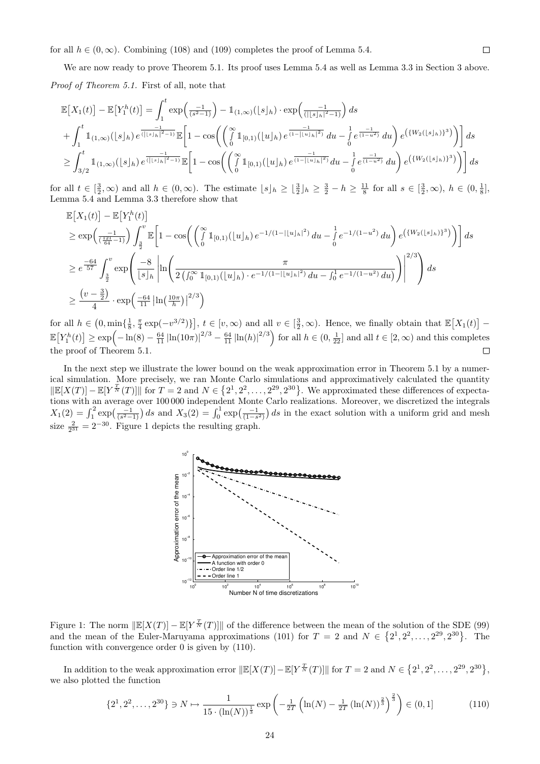for all  $h \in (0, \infty)$ . Combining (108) and (109) completes the proof of Lemma 5.4.

We are now ready to prove Theorem 5.1. Its proof uses Lemma 5.4 as well as Lemma 3.3 in Section 3 above. Proof of Theorem 5.1. First of all, note that

$$
\mathbb{E}\left[X_{1}(t)\right] - \mathbb{E}\left[Y_{1}^{h}(t)\right] = \int_{1}^{t} \exp\left(\frac{-1}{(s^{2}-1)}\right) - \mathbb{1}_{(1,\infty)}(\lfloor s \rfloor_{h}) \cdot \exp\left(\frac{-1}{(\lfloor s \rfloor_{h} \rfloor^{2}-1)}\right) ds
$$
  
+ 
$$
\int_{1}^{t} \mathbb{1}_{(1,\infty)}(\lfloor s \rfloor_{h}) e^{\frac{-1}{(\lfloor s \rfloor_{h} \rfloor^{2}-1)}} \mathbb{E}\left[1 - \cos\left(\left(\int_{0}^{\infty} \mathbb{1}_{[0,1)}(\lfloor u \rfloor_{h}) e^{\frac{-1}{(1-\lfloor u \rfloor_{h} \rfloor^{2})}} du - \int_{0}^{1} e^{\frac{-1}{(1-u^{2})}} du\right) e^{\left(\{W_{2}(\lfloor s \rfloor_{h})\}^{3}\right)}\right)\right] ds
$$
  

$$
\geq \int_{3/2}^{t} \mathbb{1}_{(1,\infty)}(\lfloor s \rfloor_{h}) e^{\frac{-1}{(\lfloor s \rfloor_{h} \rfloor^{2}-1)}} \mathbb{E}\left[1 - \cos\left(\left(\int_{0}^{\infty} \mathbb{1}_{[0,1)}(\lfloor u \rfloor_{h}) e^{\frac{-1}{(1-\lfloor u \rfloor_{h} \rfloor^{2})}} du - \int_{0}^{1} e^{\frac{-1}{(1-u^{2})}} du\right) e^{\left(\{W_{2}(\lfloor s \rfloor_{h})\}^{3}\right)}\right)\right] ds
$$

for all  $t \in \left[\frac{3}{2}, \infty\right)$  and all  $h \in (0, \infty)$ . The estimate  $\lfloor s \rfloor_h \geq \lfloor \frac{3}{2} \rfloor_h \geq \frac{3}{2} - h \geq \frac{11}{8}$  for all  $s \in \left[\frac{3}{2}, \infty\right)$ ,  $h \in (0, \frac{1}{8}]$ , Lemma 5.4 and Lemma 3.3 therefore show that

$$
\mathbb{E}\left[X_{1}(t)\right] - \mathbb{E}\left[Y_{1}^{h}(t)\right] \n\geq \exp\left(\frac{-1}{(\frac{12\pi}{64}-1)}\right) \int_{\frac{3}{2}}^{v} \mathbb{E}\left[1 - \cos\left(\left(\int_{0}^{\infty} \mathbb{1}_{[0,1)}(\lfloor u \rfloor_{h}) e^{-1/(1-|\lfloor u \rfloor_{h}|^{2})} du - \int_{0}^{1} e^{-1/(1-u^{2})} du\right) e^{\left(\{W_{2}(\lfloor s \rfloor_{h})\}^{3}\right)}\right)\right] ds \n\geq e^{\frac{-64}{57}} \int_{\frac{3}{2}}^{v} \exp\left(\frac{-8}{\lfloor s \rfloor_{h}} \left|\ln\left(\frac{\pi}{2\left(\int_{0}^{\infty} \mathbb{1}_{[0,1)}(\lfloor u \rfloor_{h}) \cdot e^{-1/(1-|\lfloor u \rfloor_{h}|^{2})} du - \int_{0}^{1} e^{-1/(1-u^{2})} du\right)}{\left(\int_{0}^{1} e^{-1/(1-u^{2})} du\right)}\right)\right|^{2/3}\right) ds \n\geq \frac{\left(v-\frac{3}{2}\right)}{4} \cdot \exp\left(\frac{-64}{11} \left|\ln\left(\frac{10\pi}{h}\right)\right|^{2/3}\right)
$$

for all  $h \in (0, \min\{\frac{1}{8}, \frac{\pi}{4}\exp(-v^{3/2})\}], t \in [v, \infty)$  and all  $v \in [\frac{3}{2}, \infty)$ . Hence, we finally obtain that  $\mathbb{E}[X_1(t)]$  - $\mathbb{E}[Y_1^h(t)] \ge \exp(-\ln(8) - \frac{64}{11}|\ln(10\pi)|^{2/3} - \frac{64}{11}|\ln(h)|^{2/3})$  for all  $h \in (0, \frac{1}{22}]$  and all  $t \in [2, \infty)$  and this completes the proof of Theorem 5.1.  $\Box$ 

In the next step we illustrate the lower bound on the weak approximation error in Theorem 5.1 by a numerical simulation. More precisely, we ran Monte Carlo simulations and approximatively calculated the quantity  $\Vert \mathbb{E}[X(T)] - \mathbb{E}[Y^{\frac{T}{N}}(T)] \Vert$  for  $T = 2$  and  $N \in \{2^1, 2^2, ..., 2^{29}, 2^{30}\}.$  We approximated these differences of expectations with an average over 100 000 independent Monte Carlo realizations. Moreover, we discretized the integrals  $X_1(2) = \int_1^2 \exp\left(\frac{-1}{(s^2-1)}\right) ds$  and  $X_3(2) = \int_0^1 \exp\left(\frac{-1}{(1-s^2)}\right) ds$  in the exact solution with a uniform grid and mesh size  $\frac{2}{2^{31}} = 2^{-30}$ . Figure 1 depicts the resulting graph.



Figure 1: The norm  $\Vert \mathbb{E}[X(T)] - \mathbb{E}[Y^{\frac{T}{N}}(T)] \Vert$  of the difference between the mean of the solution of the SDE (99) and the mean of the Euler-Maruyama approximations (101) for  $T = 2$  and  $N \in \{2^1, 2^2, ..., 2^{29}, 2^{30}\}.$  The function with convergence order 0 is given by (110).

In addition to the weak approximation error  $\Vert \mathbb{E}[X(T)] - \mathbb{E}[Y^{\frac{T}{N}}(T)] \Vert$  for  $T = 2$  and  $N \in \{2^1, 2^2, ..., 2^{29}, 2^{30}\},$ we also plotted the function

$$
\{2^1, 2^2, \dots, 2^{30}\} \ni N \mapsto \frac{1}{15 \cdot (\ln(N))^{\frac{1}{3}}} \exp\left(-\frac{1}{2T} \left(\ln(N) - \frac{1}{2T} \left(\ln(N)\right)^{\frac{2}{3}}\right)^{\frac{2}{3}}\right) \in (0, 1]
$$
(110)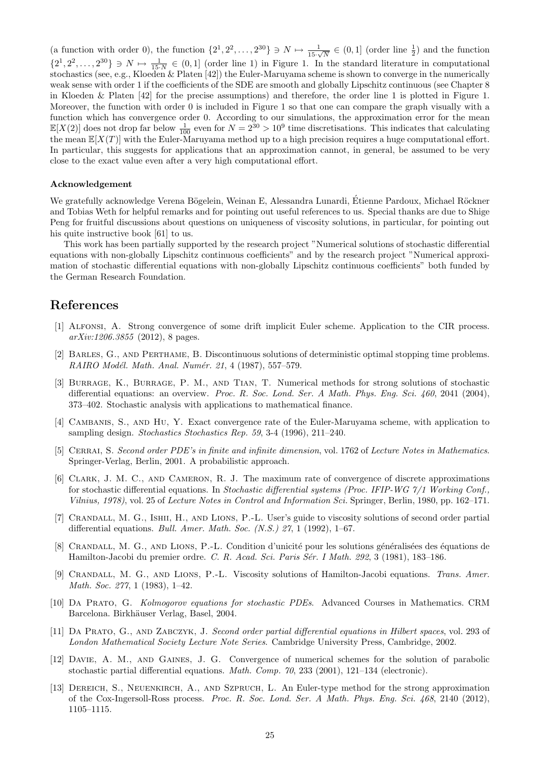(a function with order 0), the function  $\{2^1, 2^2, \ldots, 2^{30}\} \ni N \mapsto \frac{1}{15\sqrt{N}} \in (0, 1]$  (order line  $\frac{1}{2}$ ) and the function  $\{2^1, 2^2, \ldots, 2^{30}\} \ni N \mapsto \frac{1}{15\cdot N} \in (0,1]$  (order line 1) in Figure 1. In the standard literature in computational stochastics (see, e.g., Kloeden & Platen [42]) the Euler-Maruyama scheme is shown to converge in the numerically weak sense with order 1 if the coefficients of the SDE are smooth and globally Lipschitz continuous (see Chapter 8 in Kloeden & Platen [42] for the precise assumptions) and therefore, the order line 1 is plotted in Figure 1. Moreover, the function with order 0 is included in Figure 1 so that one can compare the graph visually with a function which has convergence order 0. According to our simulations, the approximation error for the mean  $\mathbb{E}[X(2)]$  does not drop far below  $\frac{1}{100}$  even for  $N = 2^{30} > 10^9$  time discretisations. This indicates that calculating the mean  $\mathbb{E}[X(T)]$  with the Euler-Maruyama method up to a high precision requires a huge computational effort. In particular, this suggests for applications that an approximation cannot, in general, be assumed to be very close to the exact value even after a very high computational effort.

#### Acknowledgement

We gratefully acknowledge Verena Bögelein, Weinan E, Alessandra Lunardi, Etienne Pardoux, Michael Röckner and Tobias Weth for helpful remarks and for pointing out useful references to us. Special thanks are due to Shige Peng for fruitful discussions about questions on uniqueness of viscosity solutions, in particular, for pointing out his quite instructive book [61] to us.

This work has been partially supported by the research project "Numerical solutions of stochastic differential equations with non-globally Lipschitz continuous coefficients" and by the research project "Numerical approximation of stochastic differential equations with non-globally Lipschitz continuous coefficients" both funded by the German Research Foundation.

## References

- [1] Alfonsi, A. Strong convergence of some drift implicit Euler scheme. Application to the CIR process.  $arXiv:1206.3855$  (2012), 8 pages.
- [2] Barles, G., and Perthame, B. Discontinuous solutions of deterministic optimal stopping time problems. RAIRO Modél. Math. Anal. Numér. 21, 4 (1987), 557-579.
- [3] Burrage, K., Burrage, P. M., and Tian, T. Numerical methods for strong solutions of stochastic differential equations: an overview. Proc. R. Soc. Lond. Ser. A Math. Phys. Eng. Sci. 460, 2041 (2004), 373–402. Stochastic analysis with applications to mathematical finance.
- [4] Cambanis, S., and Hu, Y. Exact convergence rate of the Euler-Maruyama scheme, with application to sampling design. Stochastics Stochastics Rep. 59, 3-4 (1996), 211–240.
- [5] CERRAI, S. Second order PDE's in finite and infinite dimension, vol. 1762 of Lecture Notes in Mathematics. Springer-Verlag, Berlin, 2001. A probabilistic approach.
- [6] Clark, J. M. C., and Cameron, R. J. The maximum rate of convergence of discrete approximations for stochastic differential equations. In Stochastic differential systems (Proc. IFIP-WG 7/1 Working Conf., Vilnius, 1978), vol. 25 of Lecture Notes in Control and Information Sci. Springer, Berlin, 1980, pp. 162–171.
- [7] Crandall, M. G., Ishii, H., and Lions, P.-L. User's guide to viscosity solutions of second order partial differential equations. *Bull. Amer. Math. Soc.* (N.S.) 27, 1 (1992), 1–67.
- [8] CRANDALL, M. G., AND LIONS, P.-L. Condition d'unicité pour les solutions généralisées des équations de Hamilton-Jacobi du premier ordre. C. R. Acad. Sci. Paris Sér. I Math. 292, 3 (1981), 183–186.
- [9] Crandall, M. G., and Lions, P.-L. Viscosity solutions of Hamilton-Jacobi equations. Trans. Amer. Math. Soc. 277, 1 (1983), 1–42.
- [10] Da Prato, G. Kolmogorov equations for stochastic PDEs. Advanced Courses in Mathematics. CRM Barcelona. Birkhäuser Verlag, Basel, 2004.
- [11] Da Prato, G., and Zabczyk, J. Second order partial differential equations in Hilbert spaces, vol. 293 of London Mathematical Society Lecture Note Series. Cambridge University Press, Cambridge, 2002.
- [12] Davie, A. M., and Gaines, J. G. Convergence of numerical schemes for the solution of parabolic stochastic partial differential equations. Math. Comp. 70, 233 (2001), 121–134 (electronic).
- [13] Dereich, S., Neuenkirch, A., and Szpruch, L. An Euler-type method for the strong approximation of the Cox-Ingersoll-Ross process. Proc. R. Soc. Lond. Ser. A Math. Phys. Eng. Sci. 468, 2140 (2012), 1105–1115.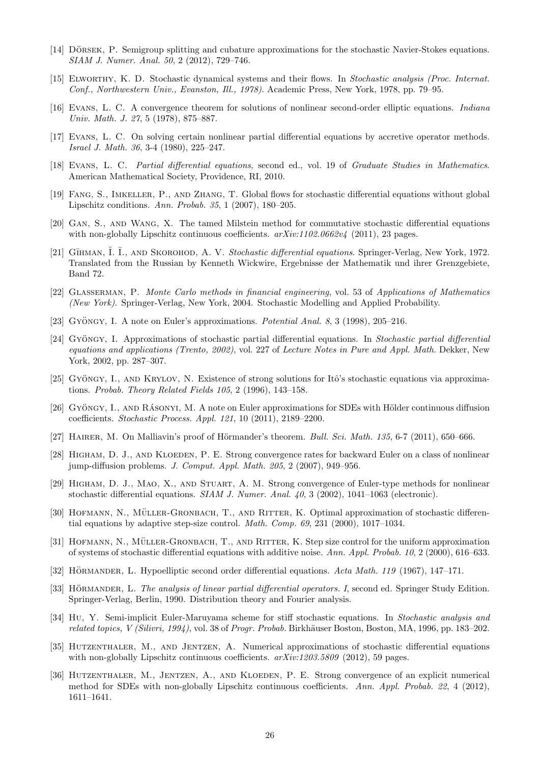- [14] DÖRSEK, P. Semigroup splitting and cubature approximations for the stochastic Navier-Stokes equations. SIAM J. Numer. Anal. 50, 2 (2012), 729–746.
- [15] Elworthy, K. D. Stochastic dynamical systems and their flows. In Stochastic analysis (Proc. Internat. Conf., Northwestern Univ., Evanston, Ill., 1978). Academic Press, New York, 1978, pp. 79–95.
- [16] Evans, L. C. A convergence theorem for solutions of nonlinear second-order elliptic equations. Indiana Univ. Math. J. 27, 5 (1978), 875–887.
- [17] Evans, L. C. On solving certain nonlinear partial differential equations by accretive operator methods. Israel J. Math. 36, 3-4 (1980), 225–247.
- [18] Evans, L. C. Partial differential equations, second ed., vol. 19 of Graduate Studies in Mathematics. American Mathematical Society, Providence, RI, 2010.
- [19] Fang, S., Imkeller, P., and Zhang, T. Global flows for stochastic differential equations without global Lipschitz conditions. Ann. Probab. 35, 1 (2007), 180–205.
- [20] Gan, S., and Wang, X. The tamed Milstein method for commutative stochastic differential equations with non-globally Lipschitz continuous coefficients.  $arXiv:1102.0662v4$  (2011), 23 pages.
- [21] GĪHMAN, I. Ī., AND SKOROHOD, A. V. Stochastic differential equations. Springer-Verlag, New York, 1972. Translated from the Russian by Kenneth Wickwire, Ergebnisse der Mathematik und ihrer Grenzgebiete, Band 72.
- [22] Glasserman, P. Monte Carlo methods in financial engineering, vol. 53 of Applications of Mathematics (New York). Springer-Verlag, New York, 2004. Stochastic Modelling and Applied Probability.
- [23] GYÖNGY, I. A note on Euler's approximations. Potential Anal. 8, 3 (1998), 205–216.
- [24] Gyöngy, I. Approximations of stochastic partial differential equations. In Stochastic partial differential equations and applications (Trento, 2002), vol. 227 of Lecture Notes in Pure and Appl. Math. Dekker, New York, 2002, pp. 287–307.
- [25] Gyöngy, I., AND KRYLOV, N. Existence of strong solutions for Itô's stochastic equations via approximations. Probab. Theory Related Fields 105, 2 (1996), 143–158.
- [26] GYÖNGY, I., AND RÁSONYI, M. A note on Euler approximations for SDEs with Hölder continuous diffusion coefficients. Stochastic Process. Appl. 121, 10 (2011), 2189–2200.
- [27] HAIRER, M. On Malliavin's proof of Hörmander's theorem. Bull. Sci. Math. 135, 6-7 (2011), 650–666.
- [28] HIGHAM, D. J., AND KLOEDEN, P. E. Strong convergence rates for backward Euler on a class of nonlinear jump-diffusion problems. J. Comput. Appl. Math. 205, 2 (2007), 949–956.
- [29] Higham, D. J., Mao, X., and Stuart, A. M. Strong convergence of Euler-type methods for nonlinear stochastic differential equations. SIAM J. Numer. Anal.  $40$ , 3 (2002), 1041–1063 (electronic).
- [30] HOFMANN, N., MÜLLER-GRONBACH, T., AND RITTER, K. Optimal approximation of stochastic differential equations by adaptive step-size control. Math. Comp. 69, 231 (2000), 1017–1034.
- [31] HOFMANN, N., MÜLLER-GRONBACH, T., AND RITTER, K. Step size control for the uniform approximation of systems of stochastic differential equations with additive noise. Ann. Appl. Probab. 10, 2 (2000), 616–633.
- [32] HÖRMANDER, L. Hypoelliptic second order differential equations. Acta Math. 119 (1967), 147–171.
- [33] HÖRMANDER, L. The analysis of linear partial differential operators. I, second ed. Springer Study Edition. Springer-Verlag, Berlin, 1990. Distribution theory and Fourier analysis.
- [34] Hu, Y. Semi-implicit Euler-Maruyama scheme for stiff stochastic equations. In Stochastic analysis and related topics, V (Silivri, 1994), vol. 38 of Progr. Probab. Birkhäuser Boston, Boston, MA, 1996, pp. 183–202.
- [35] HUTZENTHALER, M., AND JENTZEN, A. Numerical approximations of stochastic differential equations with non-globally Lipschitz continuous coefficients.  $arXiv:1203.5809$  (2012), 59 pages.
- [36] HUTZENTHALER, M., JENTZEN, A., AND KLOEDEN, P. E. Strong convergence of an explicit numerical method for SDEs with non-globally Lipschitz continuous coefficients. Ann. Appl. Probab. 22, 4 (2012), 1611–1641.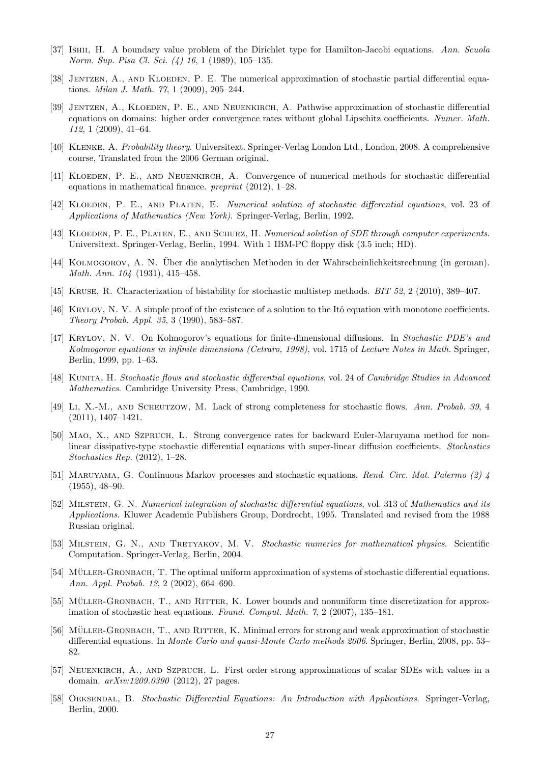- [37] Ishii, H. A boundary value problem of the Dirichlet type for Hamilton-Jacobi equations. Ann. Scuola Norm. Sup. Pisa Cl. Sci. (4) 16, 1 (1989), 105–135.
- [38] JENTZEN, A., AND KLOEDEN, P. E. The numerical approximation of stochastic partial differential equations. Milan J. Math. 77, 1 (2009), 205–244.
- [39] JENTZEN, A., KLOEDEN, P. E., AND NEUENKIRCH, A. Pathwise approximation of stochastic differential equations on domains: higher order convergence rates without global Lipschitz coefficients. Numer. Math. 112, 1 (2009), 41–64.
- [40] Klenke, A. Probability theory. Universitext. Springer-Verlag London Ltd., London, 2008. A comprehensive course, Translated from the 2006 German original.
- [41] Kloeden, P. E., and Neuenkirch, A. Convergence of numerical methods for stochastic differential equations in mathematical finance. preprint (2012), 1–28.
- [42] KLOEDEN, P. E., AND PLATEN, E. Numerical solution of stochastic differential equations, vol. 23 of Applications of Mathematics (New York). Springer-Verlag, Berlin, 1992.
- [43] KLOEDEN, P. E., PLATEN, E., AND SCHURZ, H. Numerical solution of SDE through computer experiments. Universitext. Springer-Verlag, Berlin, 1994. With 1 IBM-PC floppy disk (3.5 inch; HD).
- [44] Kolmogorov, A. N. Uber die analytischen Methoden in der Wahrscheinlichkeitsrechnung (in german). ¨ Math. Ann. 104 (1931), 415–458.
- [45] Kruse, R. Characterization of bistability for stochastic multistep methods. BIT 52, 2 (2010), 389–407.
- [46] KRYLOV, N. V. A simple proof of the existence of a solution to the Itô equation with monotone coefficients. Theory Probab. Appl. 35, 3 (1990), 583–587.
- [47] Krylov, N. V. On Kolmogorov's equations for finite-dimensional diffusions. In Stochastic PDE's and Kolmogorov equations in infinite dimensions (Cetraro, 1998), vol. 1715 of Lecture Notes in Math. Springer, Berlin, 1999, pp. 1–63.
- [48] KUNITA, H. Stochastic flows and stochastic differential equations, vol. 24 of Cambridge Studies in Advanced Mathematics. Cambridge University Press, Cambridge, 1990.
- [49] Li, X.-M., and Scheutzow, M. Lack of strong completeness for stochastic flows. Ann. Probab. 39, 4 (2011), 1407–1421.
- [50] Mao, X., and Szpruch, L. Strong convergence rates for backward Euler-Maruyama method for nonlinear dissipative-type stochastic differential equations with super-linear diffusion coefficients. Stochastics Stochastics Rep. (2012), 1–28.
- [51] Maruyama, G. Continuous Markov processes and stochastic equations. Rend. Circ. Mat. Palermo (2) 4 (1955), 48–90.
- [52] MILSTEIN, G. N. Numerical integration of stochastic differential equations, vol. 313 of Mathematics and its Applications. Kluwer Academic Publishers Group, Dordrecht, 1995. Translated and revised from the 1988 Russian original.
- [53] MILSTEIN, G. N., AND TRETYAKOV, M. V. Stochastic numerics for mathematical physics. Scientific Computation. Springer-Verlag, Berlin, 2004.
- [54] MÜLLER-GRONBACH, T. The optimal uniform approximation of systems of stochastic differential equations. Ann. Appl. Probab. 12, 2 (2002), 664–690.
- [55] MÜLLER-GRONBACH, T., AND RITTER, K. Lower bounds and nonuniform time discretization for approximation of stochastic heat equations. Found. Comput. Math. 7, 2 (2007), 135–181.
- [56] MÜLLER-GRONBACH, T., AND RITTER, K. Minimal errors for strong and weak approximation of stochastic differential equations. In Monte Carlo and quasi-Monte Carlo methods 2006. Springer, Berlin, 2008, pp. 53– 82.
- [57] Neuenkirch, A., and Szpruch, L. First order strong approximations of scalar SDEs with values in a domain. arXiv:1209.0390 (2012), 27 pages.
- [58] Oeksendal, B. Stochastic Differential Equations: An Introduction with Applications. Springer-Verlag, Berlin, 2000.